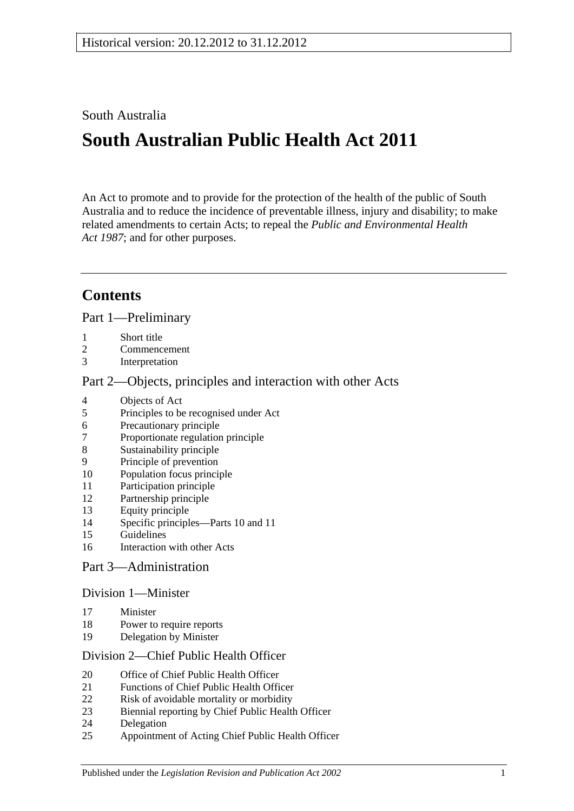## South Australia

# **South Australian Public Health Act 2011**

An Act to promote and to provide for the protection of the health of the public of South Australia and to reduce the incidence of preventable illness, injury and disability; to make related amendments to certain Acts; to repeal the *[Public and Environmental Health](http://www.legislation.sa.gov.au/index.aspx?action=legref&type=act&legtitle=Public%20and%20Environmental%20Health%20Act%201987)  Act [1987](http://www.legislation.sa.gov.au/index.aspx?action=legref&type=act&legtitle=Public%20and%20Environmental%20Health%20Act%201987)*; and for other purposes.

## **Contents**

Part [1—Preliminary](#page-4-0)

- [Short title](#page-4-1)
- [Commencement](#page-4-2)
- [Interpretation](#page-4-3)

### Part [2—Objects, principles and interaction with other Acts](#page-7-0)

- [Objects of Act](#page-7-1)
- [Principles to be recognised under Act](#page-8-0)
- [Precautionary principle](#page-8-1)
- [Proportionate regulation principle](#page-8-2)<br>8 Sustainability principle
- [Sustainability principle](#page-9-0)
- [Principle of prevention](#page-9-1)
- [Population focus principle](#page-9-2)
- [Participation principle](#page-9-3)
- [Partnership principle](#page-9-4)
- [Equity principle](#page-9-5)
- [Specific principles—Parts](#page-9-6) 10 and [11](#page-9-6)
- [Guidelines](#page-11-0)
- [Interaction with other Acts](#page-11-1)

## Part [3—Administration](#page-11-2)

#### Division [1—Minister](#page-11-3)

- [Minister](#page-11-4)
- [Power to require reports](#page-12-0)
- [Delegation by Minister](#page-13-0)

#### Division [2—Chief Public Health Officer](#page-13-1)

- [Office of Chief Public Health Officer](#page-13-2)
- [Functions of Chief Public Health Officer](#page-13-3)
- [Risk of avoidable mortality or morbidity](#page-14-0)
- [Biennial reporting by Chief Public Health Officer](#page-15-0)
- [Delegation](#page-15-1)
- [Appointment of Acting Chief Public Health Officer](#page-16-0)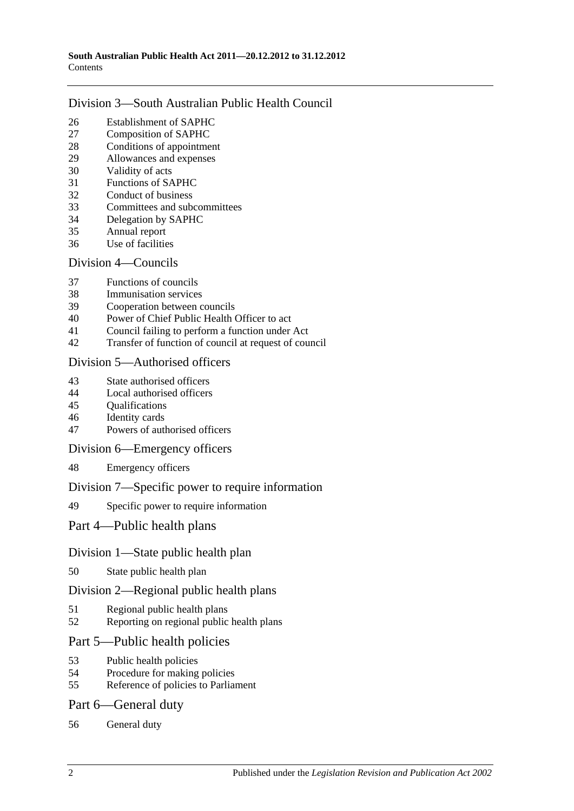#### Division [3—South Australian Public Health Council](#page-16-1)

- [Establishment of SAPHC](#page-16-2)<br>27 Composition of SAPHC
- [Composition of SAPHC](#page-16-3)
- [Conditions of appointment](#page-17-0)
- [Allowances and expenses](#page-17-1)
- [Validity of acts](#page-17-2)
- [Functions of SAPHC](#page-17-3)
- [Conduct of business](#page-18-0)
- [Committees and subcommittees](#page-18-1)
- [Delegation by SAPHC](#page-19-0)
- [Annual report](#page-19-1)
- [Use of facilities](#page-19-2)

#### Division [4—Councils](#page-19-3)

- [Functions of councils](#page-19-4)
- [Immunisation services](#page-20-0)
- [Cooperation between councils](#page-20-1)
- [Power of Chief Public Health Officer to act](#page-20-2)
- [Council failing to perform a function under Act](#page-21-0)
- [Transfer of function of council at request of council](#page-22-0)

#### Division [5—Authorised officers](#page-23-0)

- [State authorised officers](#page-23-1)
- [Local authorised officers](#page-23-2)
- [Qualifications](#page-23-3)
- [Identity cards](#page-24-0)
- [Powers of authorised officers](#page-24-1)

#### Division [6—Emergency officers](#page-26-0)

[Emergency officers](#page-26-1)

#### Division [7—Specific power to require information](#page-26-2)

[Specific power to require information](#page-26-3)

#### Part [4—Public health plans](#page-27-0)

#### Division [1—State public health plan](#page-27-1)

[State public health plan](#page-27-2)

#### Division [2—Regional public health plans](#page-28-0)

- [Regional public health plans](#page-28-1)
- [Reporting on regional public health plans](#page-31-0)

#### Part [5—Public health policies](#page-31-1)

- [Public health policies](#page-31-2)
- [Procedure for making policies](#page-32-0)
- [Reference of policies to Parliament](#page-32-1)

#### Part [6—General duty](#page-33-0)

[General duty](#page-33-1)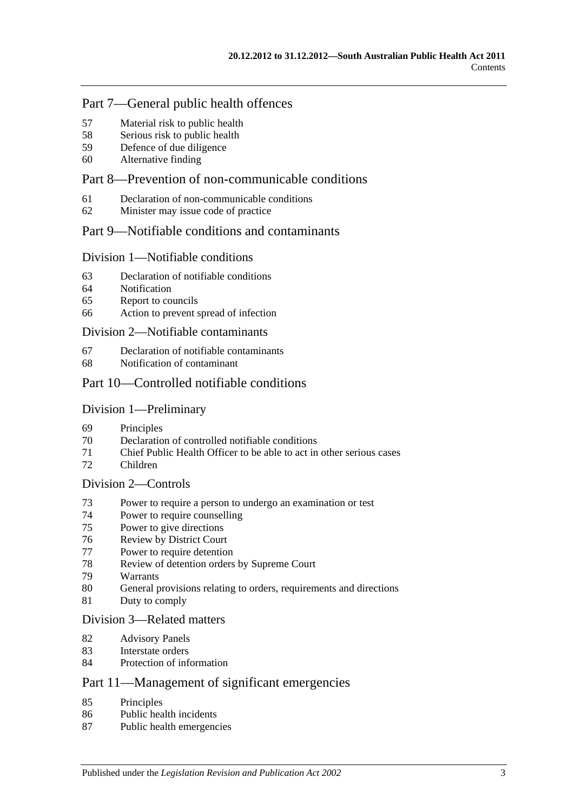## Part [7—General public health offences](#page-33-2)

- [Material risk to public health](#page-33-3)
- [Serious risk to public health](#page-34-0)
- [Defence of due diligence](#page-34-1)
- [Alternative finding](#page-35-0)

## Part [8—Prevention of non-communicable conditions](#page-35-1)

- [Declaration of non-communicable conditions](#page-35-2)
- [Minister may issue code of practice](#page-35-3)

#### Part [9—Notifiable conditions and contaminants](#page-36-0)

#### Division [1—Notifiable conditions](#page-36-1)

- [Declaration of notifiable conditions](#page-36-2)
- [Notification](#page-36-3)
- [Report to councils](#page-38-0)
- [Action to prevent spread of infection](#page-38-1)

#### Division [2—Notifiable contaminants](#page-39-0)

- [Declaration of notifiable contaminants](#page-39-1)
- [Notification of contaminant](#page-39-2)

#### Part [10—Controlled notifiable conditions](#page-41-0)

#### Division [1—Preliminary](#page-41-1)

- [Principles](#page-41-2)
- [Declaration of controlled notifiable conditions](#page-41-3)
- [Chief Public Health Officer to be able to act in other serious cases](#page-42-0)
- [Children](#page-43-0)

## Division [2—Controls](#page-43-1)

- [Power to require a person to undergo an examination or test](#page-43-2)
- [Power to require counselling](#page-45-0)
- [Power to give directions](#page-45-1)
- [Review by District Court](#page-47-0)
- [Power to require detention](#page-48-0)
- [Review of detention orders by Supreme](#page-49-0) Court
- [Warrants](#page-50-0)
- [General provisions relating to orders, requirements and directions](#page-51-0)
- [Duty to comply](#page-51-1)

#### Division [3—Related matters](#page-51-2)

- [Advisory Panels](#page-51-3)
- [Interstate orders](#page-52-0)
- [Protection of information](#page-53-0)

## Part [11—Management of significant emergencies](#page-53-1)

- [Principles](#page-53-2)
- [Public health incidents](#page-53-3)
- [Public health emergencies](#page-53-4)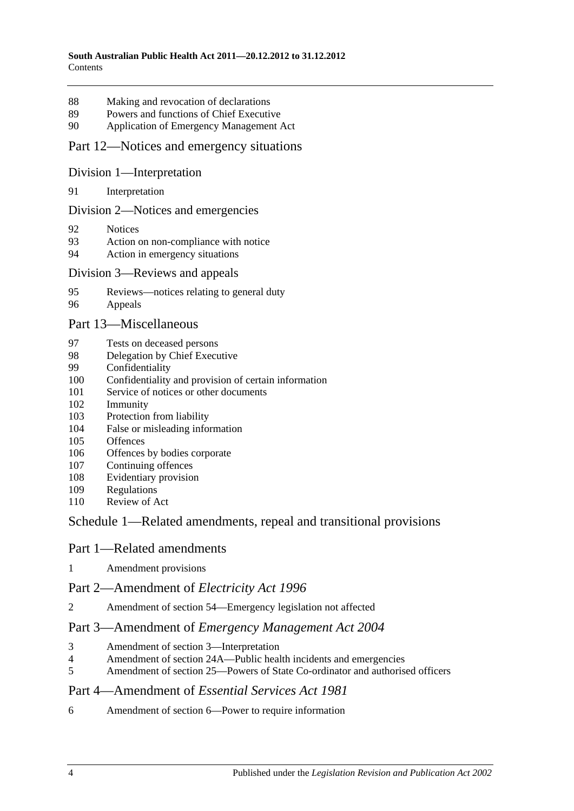- [Making and revocation of declarations](#page-53-5)
- [Powers and functions of Chief Executive](#page-54-0)
- [Application of Emergency Management Act](#page-54-1)

#### Part [12—Notices and emergency situations](#page-58-0)

#### Division [1—Interpretation](#page-58-1)

[Interpretation](#page-58-2)

#### Division [2—Notices and emergencies](#page-58-3)

- [Notices](#page-58-4)
- [Action on non-compliance with notice](#page-61-0)
- [Action in emergency situations](#page-61-1)

#### Division [3—Reviews and appeals](#page-62-0)

- [Reviews—notices relating to general duty](#page-62-1)
- [Appeals](#page-63-0)

#### Part [13—Miscellaneous](#page-64-0)

- [Tests on deceased persons](#page-64-1)
- [Delegation by Chief Executive](#page-65-0)
- [Confidentiality](#page-65-1)
- [Confidentiality and provision of certain information](#page-66-0)
- [Service of notices or other documents](#page-67-0)
- [Immunity](#page-68-0)
- [Protection from liability](#page-68-1)
- [False or misleading information](#page-69-0)
- [Offences](#page-69-1)
- [Offences by bodies corporate](#page-69-2)
- [Continuing offences](#page-69-3)
- [Evidentiary provision](#page-70-0)
- [Regulations](#page-70-1)
- [Review of Act](#page-73-0)

## Schedule [1—Related amendments, repeal and transitional provisions](#page-73-1)

#### Part 1—Related amendments

[Amendment provisions](#page-73-2)

#### Part 2—Amendment of *Electricity Act 1996*

Amendment of section [54—Emergency legislation not affected](#page-73-3)

#### Part 3—Amendment of *Emergency Management Act 2004*

- [Amendment of section](#page-73-4) 3—Interpretation
- Amendment of section [24A—Public health incidents and emergencies](#page-73-5)
- Amendment of section [25—Powers of State Co-ordinator and authorised officers](#page-73-6)

#### Part 4—Amendment of *Essential Services Act 1981*

Amendment of section [6—Power to require information](#page-74-0)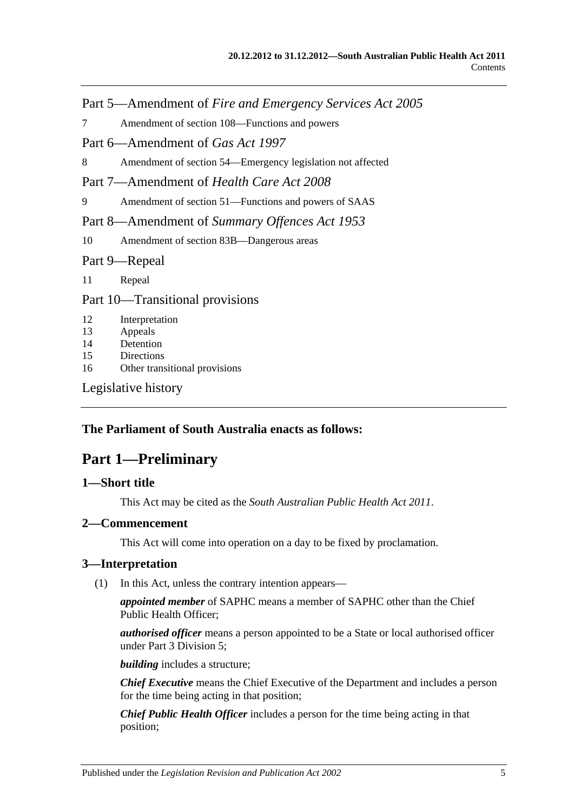Part 5—Amendment of *Fire and Emergency Services Act 2005*

7 Amendment of section [108—Functions and powers](#page-74-1)

Part 6—Amendment of *Gas Act 1997*

8 Amendment of section [54—Emergency legislation not affected](#page-74-2)

Part 7—Amendment of *Health Care Act 2008*

9 Amendment of section [51—Functions and powers of SAAS](#page-74-3)

Part 8—Amendment of *Summary Offences Act 1953*

10 Amendment of section [83B—Dangerous areas](#page-74-4)

Part 9—Repeal

11 [Repeal](#page-74-5)

Part 10—Transitional provisions

- 12 [Interpretation](#page-75-0)
- 13 [Appeals](#page-75-1)
- 14 [Detention](#page-75-2)
- 15 [Directions](#page-76-0)
- 16 [Other transitional provisions](#page-76-1)

[Legislative history](#page-77-0)

#### <span id="page-4-0"></span>**The Parliament of South Australia enacts as follows:**

## **Part 1—Preliminary**

#### <span id="page-4-1"></span>**1—Short title**

This Act may be cited as the *South Australian Public Health Act 2011*.

#### <span id="page-4-2"></span>**2—Commencement**

This Act will come into operation on a day to be fixed by proclamation.

#### <span id="page-4-4"></span><span id="page-4-3"></span>**3—Interpretation**

(1) In this Act, unless the contrary intention appears—

*appointed member* of SAPHC means a member of SAPHC other than the Chief Public Health Officer;

*authorised officer* means a person appointed to be a State or local authorised officer under Part [3 Division](#page-23-0) 5;

*building* includes a structure;

*Chief Executive* means the Chief Executive of the Department and includes a person for the time being acting in that position;

*Chief Public Health Officer* includes a person for the time being acting in that position;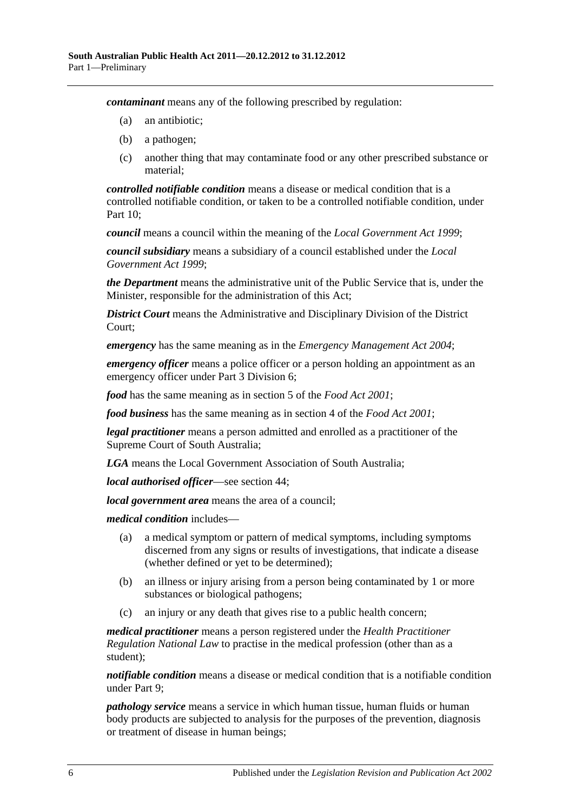*contaminant* means any of the following prescribed by regulation:

- (a) an antibiotic;
- (b) a pathogen;
- (c) another thing that may contaminate food or any other prescribed substance or material;

*controlled notifiable condition* means a disease or medical condition that is a controlled notifiable condition, or taken to be a controlled notifiable condition, under [Part](#page-41-0) 10;

*council* means a council within the meaning of the *[Local Government Act](http://www.legislation.sa.gov.au/index.aspx?action=legref&type=act&legtitle=Local%20Government%20Act%201999) 1999*;

*council subsidiary* means a subsidiary of a council established under the *[Local](http://www.legislation.sa.gov.au/index.aspx?action=legref&type=act&legtitle=Local%20Government%20Act%201999)  [Government Act](http://www.legislation.sa.gov.au/index.aspx?action=legref&type=act&legtitle=Local%20Government%20Act%201999) 1999*;

*the Department* means the administrative unit of the Public Service that is, under the Minister, responsible for the administration of this Act;

*District Court* means the Administrative and Disciplinary Division of the District Court;

*emergency* has the same meaning as in the *[Emergency Management Act](http://www.legislation.sa.gov.au/index.aspx?action=legref&type=act&legtitle=Emergency%20Management%20Act%202004) 2004*;

*emergency officer* means a police officer or a person holding an appointment as an emergency officer under Part [3 Division](#page-26-0) 6;

*food* has the same meaning as in section 5 of the *[Food Act](http://www.legislation.sa.gov.au/index.aspx?action=legref&type=act&legtitle=Food%20Act%202001) 2001*;

*food business* has the same meaning as in section 4 of the *[Food Act](http://www.legislation.sa.gov.au/index.aspx?action=legref&type=act&legtitle=Food%20Act%202001) 2001*;

*legal practitioner* means a person admitted and enrolled as a practitioner of the Supreme Court of South Australia;

*LGA* means the Local Government Association of South Australia;

*local authorised officer*—see [section](#page-23-2) 44;

*local government area* means the area of a council;

*medical condition* includes—

- (a) a medical symptom or pattern of medical symptoms, including symptoms discerned from any signs or results of investigations, that indicate a disease (whether defined or yet to be determined);
- (b) an illness or injury arising from a person being contaminated by 1 or more substances or biological pathogens;
- (c) an injury or any death that gives rise to a public health concern;

*medical practitioner* means a person registered under the *Health Practitioner Regulation National Law* to practise in the medical profession (other than as a student);

*notifiable condition* means a disease or medical condition that is a notifiable condition under [Part](#page-36-0) 9;

*pathology service* means a service in which human tissue, human fluids or human body products are subjected to analysis for the purposes of the prevention, diagnosis or treatment of disease in human beings;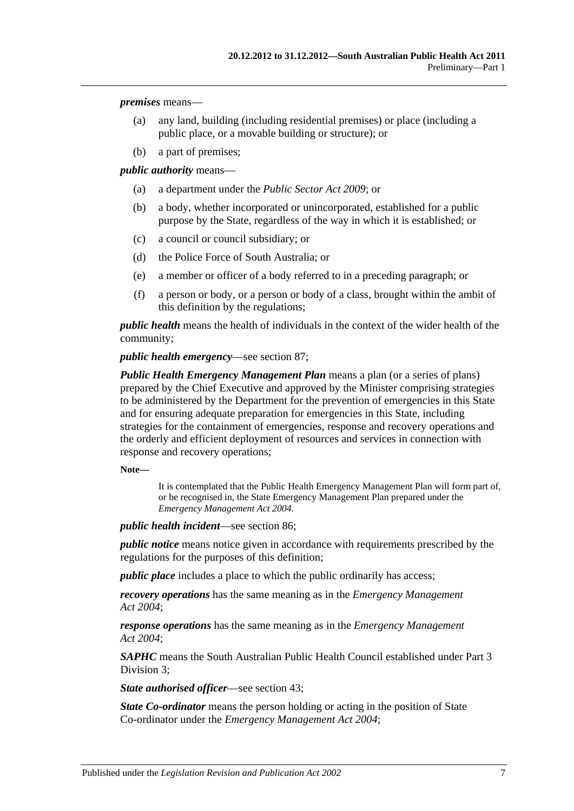*premises* means—

- (a) any land, building (including residential premises) or place (including a public place, or a movable building or structure); or
- (b) a part of premises;

*public authority* means—

- (a) a department under the *[Public Sector Act](http://www.legislation.sa.gov.au/index.aspx?action=legref&type=act&legtitle=Public%20Sector%20Act%202009) 2009*; or
- (b) a body, whether incorporated or unincorporated, established for a public purpose by the State, regardless of the way in which it is established; or
- (c) a council or council subsidiary; or
- (d) the Police Force of South Australia; or
- (e) a member or officer of a body referred to in a preceding paragraph; or
- (f) a person or body, or a person or body of a class, brought within the ambit of this definition by the regulations;

*public health* means the health of individuals in the context of the wider health of the community;

*public health emergency*—see [section](#page-53-4) 87;

*Public Health Emergency Management Plan* means a plan (or a series of plans) prepared by the Chief Executive and approved by the Minister comprising strategies to be administered by the Department for the prevention of emergencies in this State and for ensuring adequate preparation for emergencies in this State, including strategies for the containment of emergencies, response and recovery operations and the orderly and efficient deployment of resources and services in connection with response and recovery operations;

**Note—**

It is contemplated that the Public Health Emergency Management Plan will form part of, or be recognised in, the State Emergency Management Plan prepared under the *[Emergency Management Act](http://www.legislation.sa.gov.au/index.aspx?action=legref&type=act&legtitle=Emergency%20Management%20Act%202004) 2004*.

*public health incident*—see [section](#page-53-3) 86;

*public notice* means notice given in accordance with requirements prescribed by the regulations for the purposes of this definition;

*public place* includes a place to which the public ordinarily has access;

*recovery operations* has the same meaning as in the *[Emergency Management](http://www.legislation.sa.gov.au/index.aspx?action=legref&type=act&legtitle=Emergency%20Management%20Act%202004)  Act [2004](http://www.legislation.sa.gov.au/index.aspx?action=legref&type=act&legtitle=Emergency%20Management%20Act%202004)*;

*response operations* has the same meaning as in the *[Emergency Management](http://www.legislation.sa.gov.au/index.aspx?action=legref&type=act&legtitle=Emergency%20Management%20Act%202004)  Act [2004](http://www.legislation.sa.gov.au/index.aspx?action=legref&type=act&legtitle=Emergency%20Management%20Act%202004)*;

*SAPHC* means the South Australian Public Health Council established under [Part](#page-16-1) 3 [Division](#page-16-1) 3;

*State authorised officer*—see [section](#page-23-1) 43;

*State Co-ordinator* means the person holding or acting in the position of State Co-ordinator under the *[Emergency Management Act](http://www.legislation.sa.gov.au/index.aspx?action=legref&type=act&legtitle=Emergency%20Management%20Act%202004) 2004*;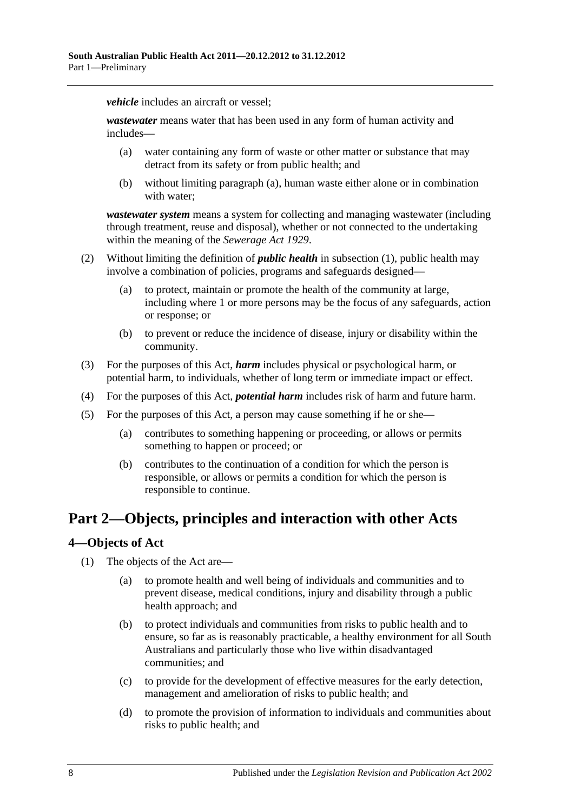*vehicle* includes an aircraft or vessel:

<span id="page-7-2"></span>*wastewater* means water that has been used in any form of human activity and includes—

- (a) water containing any form of waste or other matter or substance that may detract from its safety or from public health; and
- (b) without limiting [paragraph](#page-7-2) (a), human waste either alone or in combination with water;

*wastewater system* means a system for collecting and managing wastewater (including through treatment, reuse and disposal), whether or not connected to the undertaking within the meaning of the *[Sewerage Act](http://www.legislation.sa.gov.au/index.aspx?action=legref&type=act&legtitle=Sewerage%20Act%201929) 1929*.

- (2) Without limiting the definition of *public health* in [subsection](#page-4-4) (1), public health may involve a combination of policies, programs and safeguards designed—
	- (a) to protect, maintain or promote the health of the community at large, including where 1 or more persons may be the focus of any safeguards, action or response; or
	- (b) to prevent or reduce the incidence of disease, injury or disability within the community.
- (3) For the purposes of this Act, *harm* includes physical or psychological harm, or potential harm, to individuals, whether of long term or immediate impact or effect.
- (4) For the purposes of this Act, *potential harm* includes risk of harm and future harm.
- (5) For the purposes of this Act, a person may cause something if he or she—
	- (a) contributes to something happening or proceeding, or allows or permits something to happen or proceed; or
	- (b) contributes to the continuation of a condition for which the person is responsible, or allows or permits a condition for which the person is responsible to continue.

## <span id="page-7-0"></span>**Part 2—Objects, principles and interaction with other Acts**

#### <span id="page-7-1"></span>**4—Objects of Act**

- (1) The objects of the Act are—
	- (a) to promote health and well being of individuals and communities and to prevent disease, medical conditions, injury and disability through a public health approach; and
	- (b) to protect individuals and communities from risks to public health and to ensure, so far as is reasonably practicable, a healthy environment for all South Australians and particularly those who live within disadvantaged communities; and
	- (c) to provide for the development of effective measures for the early detection, management and amelioration of risks to public health; and
	- (d) to promote the provision of information to individuals and communities about risks to public health; and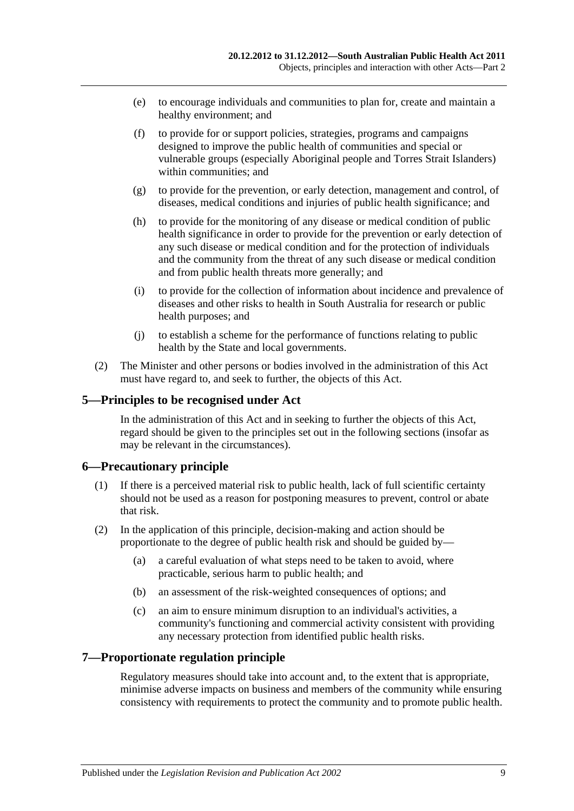- (e) to encourage individuals and communities to plan for, create and maintain a healthy environment; and
- (f) to provide for or support policies, strategies, programs and campaigns designed to improve the public health of communities and special or vulnerable groups (especially Aboriginal people and Torres Strait Islanders) within communities; and
- (g) to provide for the prevention, or early detection, management and control, of diseases, medical conditions and injuries of public health significance; and
- (h) to provide for the monitoring of any disease or medical condition of public health significance in order to provide for the prevention or early detection of any such disease or medical condition and for the protection of individuals and the community from the threat of any such disease or medical condition and from public health threats more generally; and
- (i) to provide for the collection of information about incidence and prevalence of diseases and other risks to health in South Australia for research or public health purposes; and
- (j) to establish a scheme for the performance of functions relating to public health by the State and local governments.
- (2) The Minister and other persons or bodies involved in the administration of this Act must have regard to, and seek to further, the objects of this Act.

#### <span id="page-8-0"></span>**5—Principles to be recognised under Act**

In the administration of this Act and in seeking to further the objects of this Act, regard should be given to the principles set out in the following sections (insofar as may be relevant in the circumstances).

#### <span id="page-8-1"></span>**6—Precautionary principle**

- (1) If there is a perceived material risk to public health, lack of full scientific certainty should not be used as a reason for postponing measures to prevent, control or abate that risk.
- (2) In the application of this principle, decision-making and action should be proportionate to the degree of public health risk and should be guided by—
	- (a) a careful evaluation of what steps need to be taken to avoid, where practicable, serious harm to public health; and
	- (b) an assessment of the risk-weighted consequences of options; and
	- (c) an aim to ensure minimum disruption to an individual's activities, a community's functioning and commercial activity consistent with providing any necessary protection from identified public health risks.

#### <span id="page-8-2"></span>**7—Proportionate regulation principle**

Regulatory measures should take into account and, to the extent that is appropriate, minimise adverse impacts on business and members of the community while ensuring consistency with requirements to protect the community and to promote public health.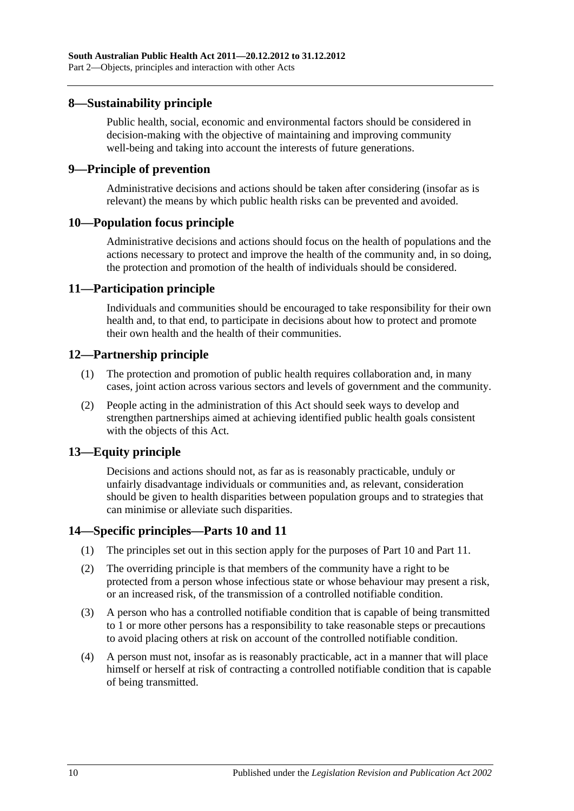#### <span id="page-9-0"></span>**8—Sustainability principle**

Public health, social, economic and environmental factors should be considered in decision-making with the objective of maintaining and improving community well-being and taking into account the interests of future generations.

#### <span id="page-9-1"></span>**9—Principle of prevention**

Administrative decisions and actions should be taken after considering (insofar as is relevant) the means by which public health risks can be prevented and avoided.

#### <span id="page-9-2"></span>**10—Population focus principle**

Administrative decisions and actions should focus on the health of populations and the actions necessary to protect and improve the health of the community and, in so doing, the protection and promotion of the health of individuals should be considered.

#### <span id="page-9-3"></span>**11—Participation principle**

Individuals and communities should be encouraged to take responsibility for their own health and, to that end, to participate in decisions about how to protect and promote their own health and the health of their communities.

#### <span id="page-9-4"></span>**12—Partnership principle**

- (1) The protection and promotion of public health requires collaboration and, in many cases, joint action across various sectors and levels of government and the community.
- (2) People acting in the administration of this Act should seek ways to develop and strengthen partnerships aimed at achieving identified public health goals consistent with the objects of this Act.

#### <span id="page-9-5"></span>**13—Equity principle**

Decisions and actions should not, as far as is reasonably practicable, unduly or unfairly disadvantage individuals or communities and, as relevant, consideration should be given to health disparities between population groups and to strategies that can minimise or alleviate such disparities.

#### <span id="page-9-6"></span>**14—Specific principles[—Parts](#page-41-0) 10 and [11](#page-53-1)**

- (1) The principles set out in this section apply for the purposes of [Part](#page-41-0) 10 and [Part](#page-53-1) 11.
- (2) The overriding principle is that members of the community have a right to be protected from a person whose infectious state or whose behaviour may present a risk, or an increased risk, of the transmission of a controlled notifiable condition.
- (3) A person who has a controlled notifiable condition that is capable of being transmitted to 1 or more other persons has a responsibility to take reasonable steps or precautions to avoid placing others at risk on account of the controlled notifiable condition.
- (4) A person must not, insofar as is reasonably practicable, act in a manner that will place himself or herself at risk of contracting a controlled notifiable condition that is capable of being transmitted.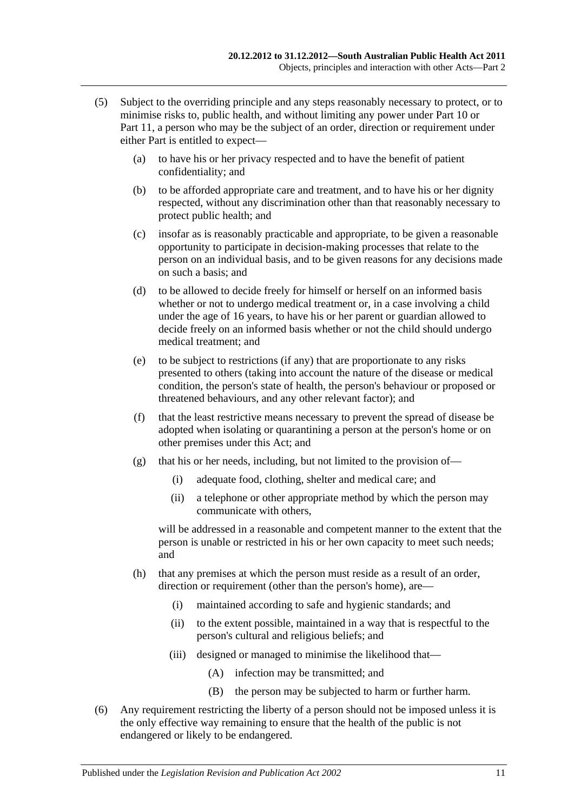- (5) Subject to the overriding principle and any steps reasonably necessary to protect, or to minimise risks to, public health, and without limiting any power under [Part](#page-41-0) 10 or [Part](#page-53-1) 11, a person who may be the subject of an order, direction or requirement under either Part is entitled to expect—
	- (a) to have his or her privacy respected and to have the benefit of patient confidentiality; and
	- (b) to be afforded appropriate care and treatment, and to have his or her dignity respected, without any discrimination other than that reasonably necessary to protect public health; and
	- (c) insofar as is reasonably practicable and appropriate, to be given a reasonable opportunity to participate in decision-making processes that relate to the person on an individual basis, and to be given reasons for any decisions made on such a basis; and
	- (d) to be allowed to decide freely for himself or herself on an informed basis whether or not to undergo medical treatment or, in a case involving a child under the age of 16 years, to have his or her parent or guardian allowed to decide freely on an informed basis whether or not the child should undergo medical treatment; and
	- (e) to be subject to restrictions (if any) that are proportionate to any risks presented to others (taking into account the nature of the disease or medical condition, the person's state of health, the person's behaviour or proposed or threatened behaviours, and any other relevant factor); and
	- (f) that the least restrictive means necessary to prevent the spread of disease be adopted when isolating or quarantining a person at the person's home or on other premises under this Act; and
	- (g) that his or her needs, including, but not limited to the provision of—
		- (i) adequate food, clothing, shelter and medical care; and
		- (ii) a telephone or other appropriate method by which the person may communicate with others,

will be addressed in a reasonable and competent manner to the extent that the person is unable or restricted in his or her own capacity to meet such needs; and

- (h) that any premises at which the person must reside as a result of an order, direction or requirement (other than the person's home), are—
	- (i) maintained according to safe and hygienic standards; and
	- (ii) to the extent possible, maintained in a way that is respectful to the person's cultural and religious beliefs; and
	- (iii) designed or managed to minimise the likelihood that—
		- (A) infection may be transmitted; and
		- (B) the person may be subjected to harm or further harm.
- <span id="page-10-0"></span>(6) Any requirement restricting the liberty of a person should not be imposed unless it is the only effective way remaining to ensure that the health of the public is not endangered or likely to be endangered.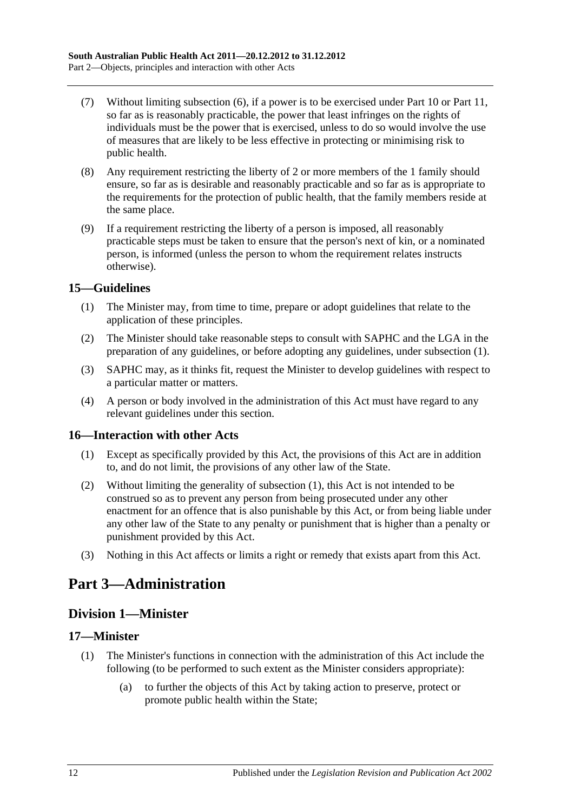- (7) Without limiting [subsection](#page-10-0) (6), if a power is to be exercised under [Part](#page-41-0) 10 or [Part](#page-53-1) 11, so far as is reasonably practicable, the power that least infringes on the rights of individuals must be the power that is exercised, unless to do so would involve the use of measures that are likely to be less effective in protecting or minimising risk to public health.
- (8) Any requirement restricting the liberty of 2 or more members of the 1 family should ensure, so far as is desirable and reasonably practicable and so far as is appropriate to the requirements for the protection of public health, that the family members reside at the same place.
- (9) If a requirement restricting the liberty of a person is imposed, all reasonably practicable steps must be taken to ensure that the person's next of kin, or a nominated person, is informed (unless the person to whom the requirement relates instructs otherwise).

#### <span id="page-11-5"></span><span id="page-11-0"></span>**15—Guidelines**

- (1) The Minister may, from time to time, prepare or adopt guidelines that relate to the application of these principles.
- (2) The Minister should take reasonable steps to consult with SAPHC and the LGA in the preparation of any guidelines, or before adopting any guidelines, under [subsection](#page-11-5) (1).
- (3) SAPHC may, as it thinks fit, request the Minister to develop guidelines with respect to a particular matter or matters.
- (4) A person or body involved in the administration of this Act must have regard to any relevant guidelines under this section.

#### <span id="page-11-6"></span><span id="page-11-1"></span>**16—Interaction with other Acts**

- (1) Except as specifically provided by this Act, the provisions of this Act are in addition to, and do not limit, the provisions of any other law of the State.
- (2) Without limiting the generality of [subsection](#page-11-6) (1), this Act is not intended to be construed so as to prevent any person from being prosecuted under any other enactment for an offence that is also punishable by this Act, or from being liable under any other law of the State to any penalty or punishment that is higher than a penalty or punishment provided by this Act.
- (3) Nothing in this Act affects or limits a right or remedy that exists apart from this Act.

## <span id="page-11-3"></span><span id="page-11-2"></span>**Part 3—Administration**

## **Division 1—Minister**

#### <span id="page-11-4"></span>**17—Minister**

- (1) The Minister's functions in connection with the administration of this Act include the following (to be performed to such extent as the Minister considers appropriate):
	- (a) to further the objects of this Act by taking action to preserve, protect or promote public health within the State;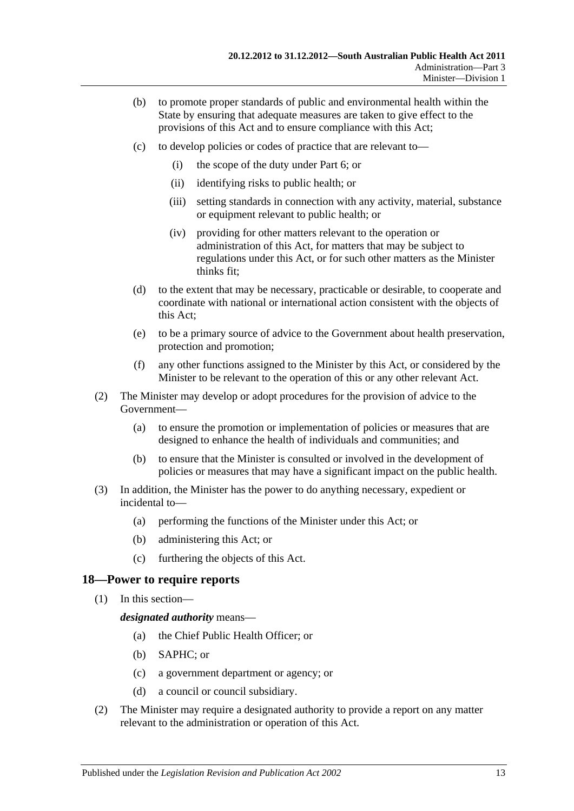- (b) to promote proper standards of public and environmental health within the State by ensuring that adequate measures are taken to give effect to the provisions of this Act and to ensure compliance with this Act;
- (c) to develop policies or codes of practice that are relevant to—
	- (i) the scope of the duty under [Part](#page-33-0) 6; or
	- (ii) identifying risks to public health; or
	- (iii) setting standards in connection with any activity, material, substance or equipment relevant to public health; or
	- (iv) providing for other matters relevant to the operation or administration of this Act, for matters that may be subject to regulations under this Act, or for such other matters as the Minister thinks fit;
- (d) to the extent that may be necessary, practicable or desirable, to cooperate and coordinate with national or international action consistent with the objects of this Act;
- (e) to be a primary source of advice to the Government about health preservation, protection and promotion;
- (f) any other functions assigned to the Minister by this Act, or considered by the Minister to be relevant to the operation of this or any other relevant Act.
- (2) The Minister may develop or adopt procedures for the provision of advice to the Government—
	- (a) to ensure the promotion or implementation of policies or measures that are designed to enhance the health of individuals and communities; and
	- (b) to ensure that the Minister is consulted or involved in the development of policies or measures that may have a significant impact on the public health.
- (3) In addition, the Minister has the power to do anything necessary, expedient or incidental to—
	- (a) performing the functions of the Minister under this Act; or
	- (b) administering this Act; or
	- (c) furthering the objects of this Act.

#### <span id="page-12-0"></span>**18—Power to require reports**

(1) In this section—

*designated authority* means—

- (a) the Chief Public Health Officer; or
- (b) SAPHC; or
- (c) a government department or agency; or
- (d) a council or council subsidiary.
- (2) The Minister may require a designated authority to provide a report on any matter relevant to the administration or operation of this Act.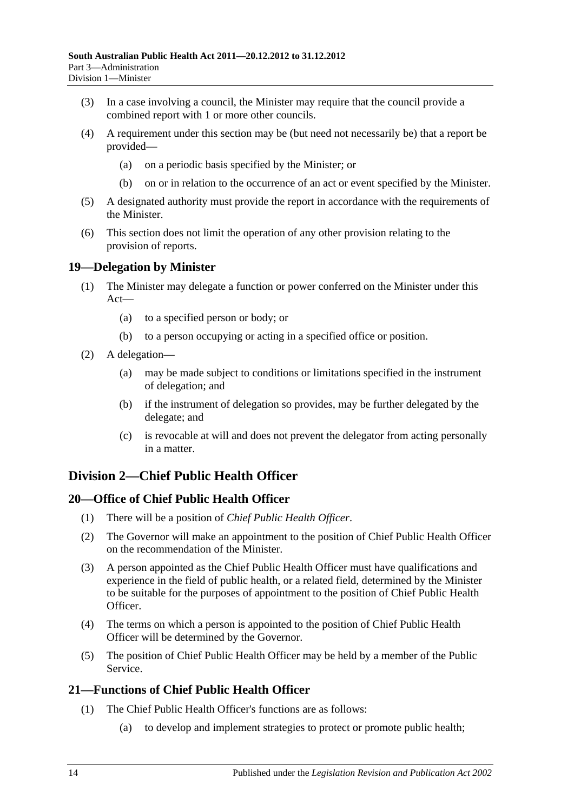- (3) In a case involving a council, the Minister may require that the council provide a combined report with 1 or more other councils.
- (4) A requirement under this section may be (but need not necessarily be) that a report be provided—
	- (a) on a periodic basis specified by the Minister; or
	- (b) on or in relation to the occurrence of an act or event specified by the Minister.
- (5) A designated authority must provide the report in accordance with the requirements of the Minister.
- (6) This section does not limit the operation of any other provision relating to the provision of reports.

### <span id="page-13-0"></span>**19—Delegation by Minister**

- (1) The Minister may delegate a function or power conferred on the Minister under this Act—
	- (a) to a specified person or body; or
	- (b) to a person occupying or acting in a specified office or position.
- (2) A delegation—
	- (a) may be made subject to conditions or limitations specified in the instrument of delegation; and
	- (b) if the instrument of delegation so provides, may be further delegated by the delegate; and
	- (c) is revocable at will and does not prevent the delegator from acting personally in a matter.

## <span id="page-13-1"></span>**Division 2—Chief Public Health Officer**

#### <span id="page-13-2"></span>**20—Office of Chief Public Health Officer**

- (1) There will be a position of *Chief Public Health Officer*.
- (2) The Governor will make an appointment to the position of Chief Public Health Officer on the recommendation of the Minister.
- (3) A person appointed as the Chief Public Health Officer must have qualifications and experience in the field of public health, or a related field, determined by the Minister to be suitable for the purposes of appointment to the position of Chief Public Health Officer.
- (4) The terms on which a person is appointed to the position of Chief Public Health Officer will be determined by the Governor.
- (5) The position of Chief Public Health Officer may be held by a member of the Public Service.

## <span id="page-13-4"></span><span id="page-13-3"></span>**21—Functions of Chief Public Health Officer**

- (1) The Chief Public Health Officer's functions are as follows:
	- (a) to develop and implement strategies to protect or promote public health;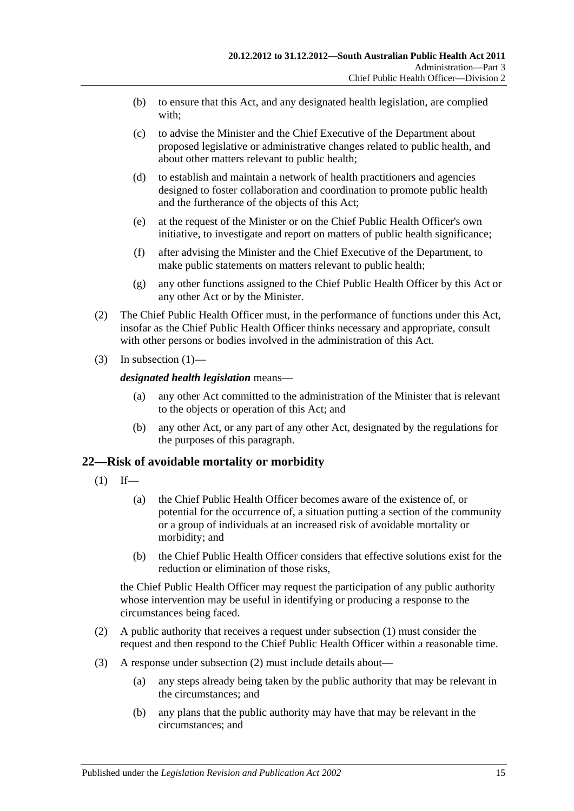- (b) to ensure that this Act, and any designated health legislation, are complied with;
- (c) to advise the Minister and the Chief Executive of the Department about proposed legislative or administrative changes related to public health, and about other matters relevant to public health;
- (d) to establish and maintain a network of health practitioners and agencies designed to foster collaboration and coordination to promote public health and the furtherance of the objects of this Act;
- (e) at the request of the Minister or on the Chief Public Health Officer's own initiative, to investigate and report on matters of public health significance;
- (f) after advising the Minister and the Chief Executive of the Department, to make public statements on matters relevant to public health;
- (g) any other functions assigned to the Chief Public Health Officer by this Act or any other Act or by the Minister.
- (2) The Chief Public Health Officer must, in the performance of functions under this Act, insofar as the Chief Public Health Officer thinks necessary and appropriate, consult with other persons or bodies involved in the administration of this Act.
- (3) In [subsection](#page-13-4)  $(1)$ —

#### *designated health legislation* means—

- (a) any other Act committed to the administration of the Minister that is relevant to the objects or operation of this Act; and
- (b) any other Act, or any part of any other Act, designated by the regulations for the purposes of this paragraph.

#### <span id="page-14-1"></span><span id="page-14-0"></span>**22—Risk of avoidable mortality or morbidity**

- $(1)$  If—
	- (a) the Chief Public Health Officer becomes aware of the existence of, or potential for the occurrence of, a situation putting a section of the community or a group of individuals at an increased risk of avoidable mortality or morbidity; and
	- (b) the Chief Public Health Officer considers that effective solutions exist for the reduction or elimination of those risks,

the Chief Public Health Officer may request the participation of any public authority whose intervention may be useful in identifying or producing a response to the circumstances being faced.

- <span id="page-14-2"></span>(2) A public authority that receives a request under [subsection](#page-14-1) (1) must consider the request and then respond to the Chief Public Health Officer within a reasonable time.
- (3) A response under [subsection](#page-14-2) (2) must include details about—
	- (a) any steps already being taken by the public authority that may be relevant in the circumstances; and
	- (b) any plans that the public authority may have that may be relevant in the circumstances; and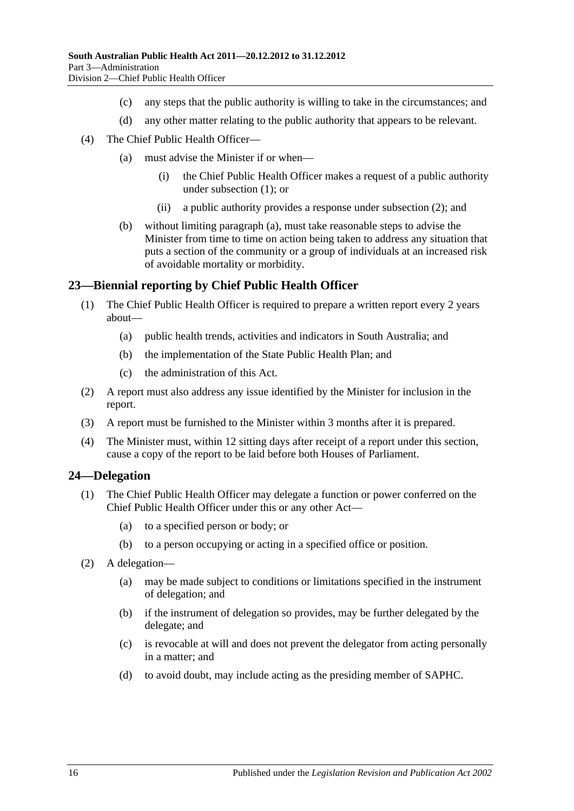- (c) any steps that the public authority is willing to take in the circumstances; and
- (d) any other matter relating to the public authority that appears to be relevant.
- <span id="page-15-2"></span>(4) The Chief Public Health Officer—
	- (a) must advise the Minister if or when—
		- (i) the Chief Public Health Officer makes a request of a public authority under [subsection](#page-14-1) (1); or
		- (ii) a public authority provides a response under [subsection](#page-14-2) (2); and
	- (b) without limiting [paragraph](#page-15-2) (a), must take reasonable steps to advise the Minister from time to time on action being taken to address any situation that puts a section of the community or a group of individuals at an increased risk of avoidable mortality or morbidity.

#### <span id="page-15-0"></span>**23—Biennial reporting by Chief Public Health Officer**

- (1) The Chief Public Health Officer is required to prepare a written report every 2 years about—
	- (a) public health trends, activities and indicators in South Australia; and
	- (b) the implementation of the State Public Health Plan; and
	- (c) the administration of this Act.
- (2) A report must also address any issue identified by the Minister for inclusion in the report.
- (3) A report must be furnished to the Minister within 3 months after it is prepared.
- (4) The Minister must, within 12 sitting days after receipt of a report under this section, cause a copy of the report to be laid before both Houses of Parliament.

#### <span id="page-15-1"></span>**24—Delegation**

- (1) The Chief Public Health Officer may delegate a function or power conferred on the Chief Public Health Officer under this or any other Act—
	- (a) to a specified person or body; or
	- (b) to a person occupying or acting in a specified office or position.
- (2) A delegation—
	- (a) may be made subject to conditions or limitations specified in the instrument of delegation; and
	- (b) if the instrument of delegation so provides, may be further delegated by the delegate; and
	- (c) is revocable at will and does not prevent the delegator from acting personally in a matter; and
	- (d) to avoid doubt, may include acting as the presiding member of SAPHC.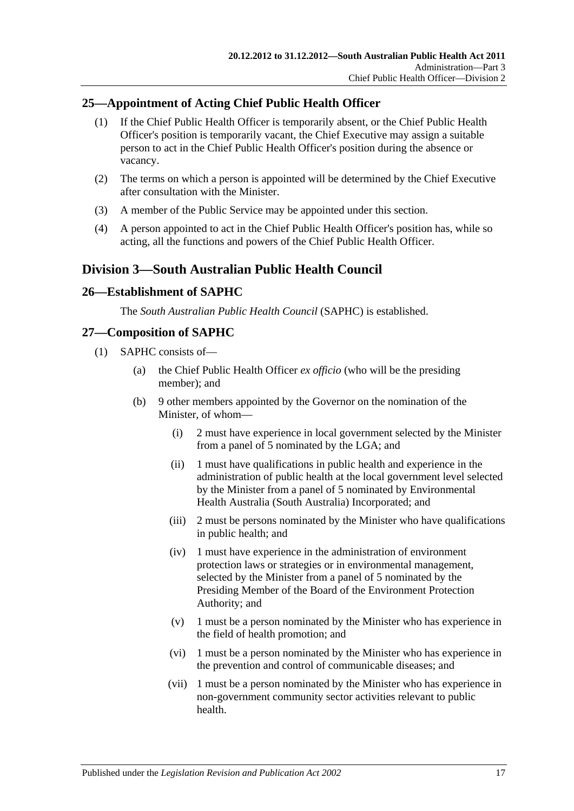## <span id="page-16-0"></span>**25—Appointment of Acting Chief Public Health Officer**

- (1) If the Chief Public Health Officer is temporarily absent, or the Chief Public Health Officer's position is temporarily vacant, the Chief Executive may assign a suitable person to act in the Chief Public Health Officer's position during the absence or vacancy.
- (2) The terms on which a person is appointed will be determined by the Chief Executive after consultation with the Minister.
- (3) A member of the Public Service may be appointed under this section.
- (4) A person appointed to act in the Chief Public Health Officer's position has, while so acting, all the functions and powers of the Chief Public Health Officer.

## <span id="page-16-1"></span>**Division 3—South Australian Public Health Council**

#### <span id="page-16-2"></span>**26—Establishment of SAPHC**

The *South Australian Public Health Council* (SAPHC) is established.

## <span id="page-16-3"></span>**27—Composition of SAPHC**

- (1) SAPHC consists of—
	- (a) the Chief Public Health Officer *ex officio* (who will be the presiding member); and
	- (b) 9 other members appointed by the Governor on the nomination of the Minister, of whom—
		- (i) 2 must have experience in local government selected by the Minister from a panel of 5 nominated by the LGA; and
		- (ii) 1 must have qualifications in public health and experience in the administration of public health at the local government level selected by the Minister from a panel of 5 nominated by Environmental Health Australia (South Australia) Incorporated; and
		- (iii) 2 must be persons nominated by the Minister who have qualifications in public health; and
		- (iv) 1 must have experience in the administration of environment protection laws or strategies or in environmental management, selected by the Minister from a panel of 5 nominated by the Presiding Member of the Board of the Environment Protection Authority; and
		- (v) 1 must be a person nominated by the Minister who has experience in the field of health promotion; and
		- (vi) 1 must be a person nominated by the Minister who has experience in the prevention and control of communicable diseases; and
		- (vii) 1 must be a person nominated by the Minister who has experience in non-government community sector activities relevant to public health.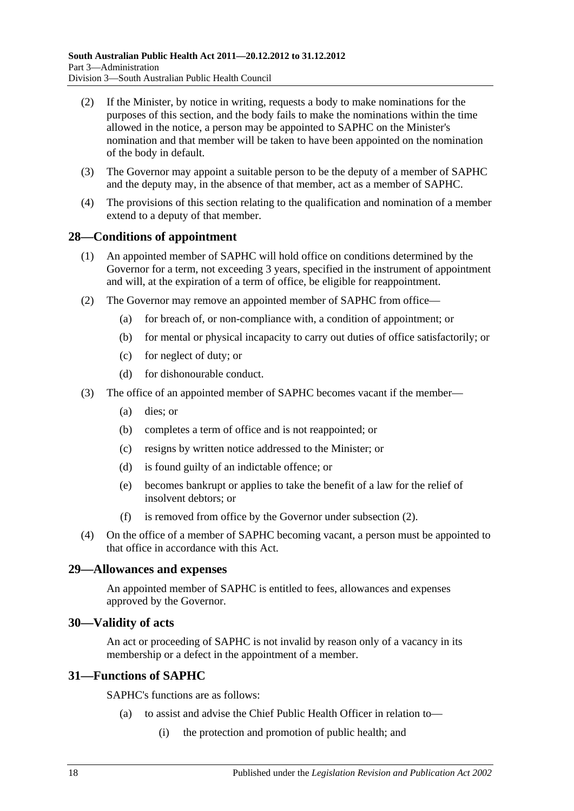- (2) If the Minister, by notice in writing, requests a body to make nominations for the purposes of this section, and the body fails to make the nominations within the time allowed in the notice, a person may be appointed to SAPHC on the Minister's nomination and that member will be taken to have been appointed on the nomination of the body in default.
- (3) The Governor may appoint a suitable person to be the deputy of a member of SAPHC and the deputy may, in the absence of that member, act as a member of SAPHC.
- (4) The provisions of this section relating to the qualification and nomination of a member extend to a deputy of that member.

#### <span id="page-17-0"></span>**28—Conditions of appointment**

- (1) An appointed member of SAPHC will hold office on conditions determined by the Governor for a term, not exceeding 3 years, specified in the instrument of appointment and will, at the expiration of a term of office, be eligible for reappointment.
- <span id="page-17-4"></span>(2) The Governor may remove an appointed member of SAPHC from office—
	- (a) for breach of, or non-compliance with, a condition of appointment; or
	- (b) for mental or physical incapacity to carry out duties of office satisfactorily; or
	- (c) for neglect of duty; or
	- (d) for dishonourable conduct.
- (3) The office of an appointed member of SAPHC becomes vacant if the member—
	- (a) dies; or
	- (b) completes a term of office and is not reappointed; or
	- (c) resigns by written notice addressed to the Minister; or
	- (d) is found guilty of an indictable offence; or
	- (e) becomes bankrupt or applies to take the benefit of a law for the relief of insolvent debtors; or
	- (f) is removed from office by the Governor under [subsection](#page-17-4) (2).
- (4) On the office of a member of SAPHC becoming vacant, a person must be appointed to that office in accordance with this Act.

#### <span id="page-17-1"></span>**29—Allowances and expenses**

An appointed member of SAPHC is entitled to fees, allowances and expenses approved by the Governor.

#### <span id="page-17-2"></span>**30—Validity of acts**

An act or proceeding of SAPHC is not invalid by reason only of a vacancy in its membership or a defect in the appointment of a member.

#### <span id="page-17-3"></span>**31—Functions of SAPHC**

SAPHC's functions are as follows:

- (a) to assist and advise the Chief Public Health Officer in relation to—
	- (i) the protection and promotion of public health; and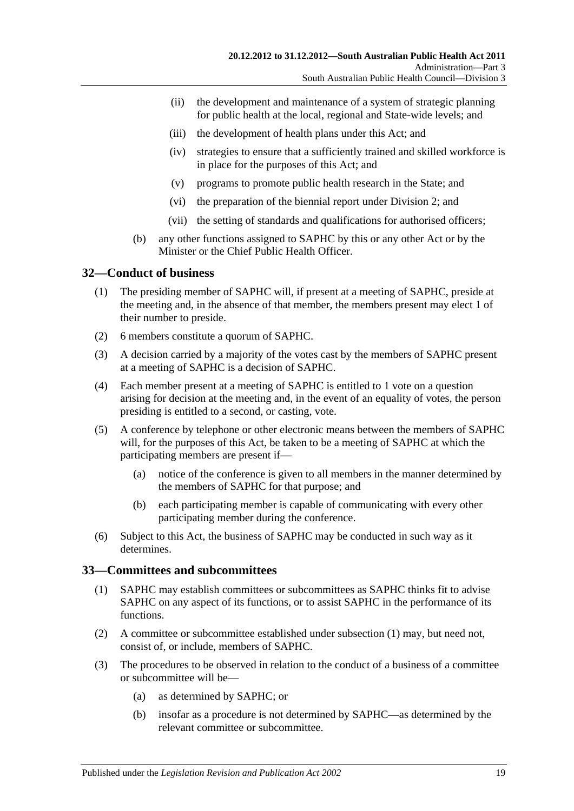- (ii) the development and maintenance of a system of strategic planning for public health at the local, regional and State-wide levels; and
- (iii) the development of health plans under this Act; and
- (iv) strategies to ensure that a sufficiently trained and skilled workforce is in place for the purposes of this Act; and
- (v) programs to promote public health research in the State; and
- (vi) the preparation of the biennial report under [Division](#page-13-1) 2; and
- (vii) the setting of standards and qualifications for authorised officers;
- (b) any other functions assigned to SAPHC by this or any other Act or by the Minister or the Chief Public Health Officer

## <span id="page-18-0"></span>**32—Conduct of business**

- (1) The presiding member of SAPHC will, if present at a meeting of SAPHC, preside at the meeting and, in the absence of that member, the members present may elect 1 of their number to preside.
- (2) 6 members constitute a quorum of SAPHC.
- (3) A decision carried by a majority of the votes cast by the members of SAPHC present at a meeting of SAPHC is a decision of SAPHC.
- (4) Each member present at a meeting of SAPHC is entitled to 1 vote on a question arising for decision at the meeting and, in the event of an equality of votes, the person presiding is entitled to a second, or casting, vote.
- (5) A conference by telephone or other electronic means between the members of SAPHC will, for the purposes of this Act, be taken to be a meeting of SAPHC at which the participating members are present if—
	- (a) notice of the conference is given to all members in the manner determined by the members of SAPHC for that purpose; and
	- (b) each participating member is capable of communicating with every other participating member during the conference.
- (6) Subject to this Act, the business of SAPHC may be conducted in such way as it determines.

#### <span id="page-18-2"></span><span id="page-18-1"></span>**33—Committees and subcommittees**

- (1) SAPHC may establish committees or subcommittees as SAPHC thinks fit to advise SAPHC on any aspect of its functions, or to assist SAPHC in the performance of its functions.
- (2) A committee or subcommittee established under [subsection](#page-18-2) (1) may, but need not, consist of, or include, members of SAPHC.
- (3) The procedures to be observed in relation to the conduct of a business of a committee or subcommittee will be—
	- (a) as determined by SAPHC; or
	- (b) insofar as a procedure is not determined by SAPHC—as determined by the relevant committee or subcommittee.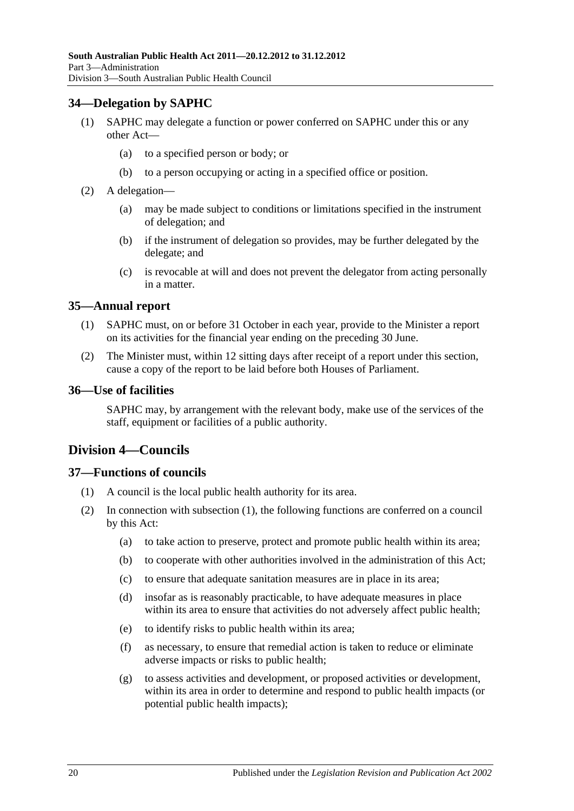### <span id="page-19-0"></span>**34—Delegation by SAPHC**

- (1) SAPHC may delegate a function or power conferred on SAPHC under this or any other Act—
	- (a) to a specified person or body; or
	- (b) to a person occupying or acting in a specified office or position.
- (2) A delegation—
	- (a) may be made subject to conditions or limitations specified in the instrument of delegation; and
	- (b) if the instrument of delegation so provides, may be further delegated by the delegate; and
	- (c) is revocable at will and does not prevent the delegator from acting personally in a matter.

#### <span id="page-19-1"></span>**35—Annual report**

- (1) SAPHC must, on or before 31 October in each year, provide to the Minister a report on its activities for the financial year ending on the preceding 30 June.
- (2) The Minister must, within 12 sitting days after receipt of a report under this section, cause a copy of the report to be laid before both Houses of Parliament.

#### <span id="page-19-2"></span>**36—Use of facilities**

SAPHC may, by arrangement with the relevant body, make use of the services of the staff, equipment or facilities of a public authority.

## <span id="page-19-3"></span>**Division 4—Councils**

## <span id="page-19-5"></span><span id="page-19-4"></span>**37—Functions of councils**

- (1) A council is the local public health authority for its area.
- (2) In connection with [subsection](#page-19-5) (1), the following functions are conferred on a council by this Act:
	- (a) to take action to preserve, protect and promote public health within its area;
	- (b) to cooperate with other authorities involved in the administration of this Act;
	- (c) to ensure that adequate sanitation measures are in place in its area;
	- (d) insofar as is reasonably practicable, to have adequate measures in place within its area to ensure that activities do not adversely affect public health;
	- (e) to identify risks to public health within its area;
	- (f) as necessary, to ensure that remedial action is taken to reduce or eliminate adverse impacts or risks to public health;
	- (g) to assess activities and development, or proposed activities or development, within its area in order to determine and respond to public health impacts (or potential public health impacts);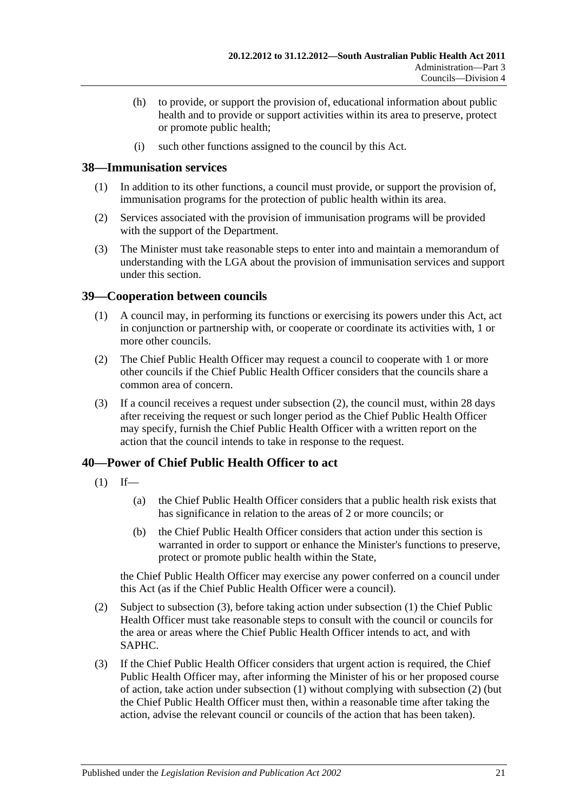- (h) to provide, or support the provision of, educational information about public health and to provide or support activities within its area to preserve, protect or promote public health;
- (i) such other functions assigned to the council by this Act.

#### <span id="page-20-0"></span>**38—Immunisation services**

- (1) In addition to its other functions, a council must provide, or support the provision of, immunisation programs for the protection of public health within its area.
- (2) Services associated with the provision of immunisation programs will be provided with the support of the Department.
- (3) The Minister must take reasonable steps to enter into and maintain a memorandum of understanding with the LGA about the provision of immunisation services and support under this section.

### <span id="page-20-1"></span>**39—Cooperation between councils**

- (1) A council may, in performing its functions or exercising its powers under this Act, act in conjunction or partnership with, or cooperate or coordinate its activities with, 1 or more other councils.
- <span id="page-20-3"></span>(2) The Chief Public Health Officer may request a council to cooperate with 1 or more other councils if the Chief Public Health Officer considers that the councils share a common area of concern.
- (3) If a council receives a request under [subsection](#page-20-3) (2), the council must, within 28 days after receiving the request or such longer period as the Chief Public Health Officer may specify, furnish the Chief Public Health Officer with a written report on the action that the council intends to take in response to the request.

## <span id="page-20-5"></span><span id="page-20-2"></span>**40—Power of Chief Public Health Officer to act**

- $(1)$  If—
	- (a) the Chief Public Health Officer considers that a public health risk exists that has significance in relation to the areas of 2 or more councils; or
	- (b) the Chief Public Health Officer considers that action under this section is warranted in order to support or enhance the Minister's functions to preserve, protect or promote public health within the State,

the Chief Public Health Officer may exercise any power conferred on a council under this Act (as if the Chief Public Health Officer were a council).

- <span id="page-20-6"></span>(2) Subject to [subsection](#page-20-4) (3), before taking action under [subsection](#page-20-5) (1) the Chief Public Health Officer must take reasonable steps to consult with the council or councils for the area or areas where the Chief Public Health Officer intends to act, and with SAPHC.
- <span id="page-20-4"></span>(3) If the Chief Public Health Officer considers that urgent action is required, the Chief Public Health Officer may, after informing the Minister of his or her proposed course of action, take action under [subsection](#page-20-5) (1) without complying with [subsection](#page-20-6) (2) (but the Chief Public Health Officer must then, within a reasonable time after taking the action, advise the relevant council or councils of the action that has been taken).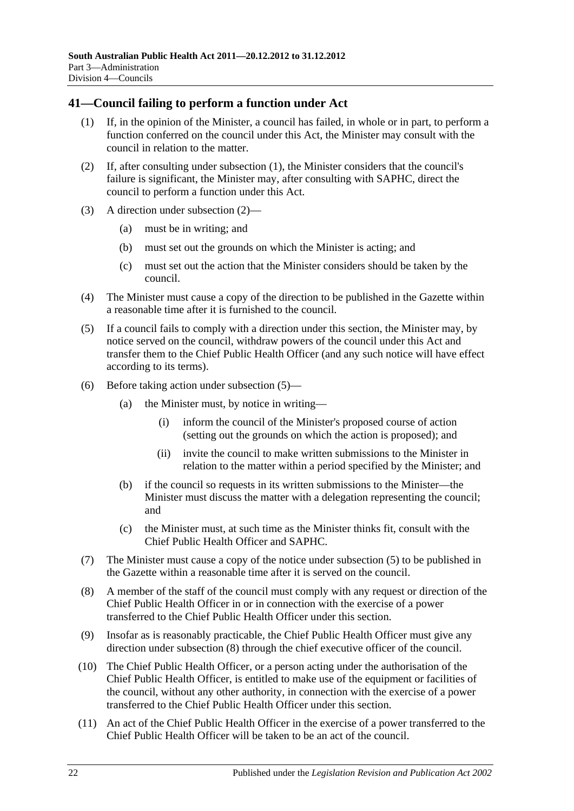### <span id="page-21-1"></span><span id="page-21-0"></span>**41—Council failing to perform a function under Act**

- (1) If, in the opinion of the Minister, a council has failed, in whole or in part, to perform a function conferred on the council under this Act, the Minister may consult with the council in relation to the matter.
- <span id="page-21-2"></span>(2) If, after consulting under [subsection](#page-21-1) (1), the Minister considers that the council's failure is significant, the Minister may, after consulting with SAPHC, direct the council to perform a function under this Act.
- (3) A direction under [subsection](#page-21-2) (2)—
	- (a) must be in writing; and
	- (b) must set out the grounds on which the Minister is acting; and
	- (c) must set out the action that the Minister considers should be taken by the council.
- (4) The Minister must cause a copy of the direction to be published in the Gazette within a reasonable time after it is furnished to the council.
- <span id="page-21-3"></span>(5) If a council fails to comply with a direction under this section, the Minister may, by notice served on the council, withdraw powers of the council under this Act and transfer them to the Chief Public Health Officer (and any such notice will have effect according to its terms).
- (6) Before taking action under [subsection](#page-21-3) (5)—
	- (a) the Minister must, by notice in writing—
		- (i) inform the council of the Minister's proposed course of action (setting out the grounds on which the action is proposed); and
		- (ii) invite the council to make written submissions to the Minister in relation to the matter within a period specified by the Minister; and
	- (b) if the council so requests in its written submissions to the Minister—the Minister must discuss the matter with a delegation representing the council; and
	- (c) the Minister must, at such time as the Minister thinks fit, consult with the Chief Public Health Officer and SAPHC.
- (7) The Minister must cause a copy of the notice under [subsection](#page-21-3) (5) to be published in the Gazette within a reasonable time after it is served on the council.
- <span id="page-21-4"></span>(8) A member of the staff of the council must comply with any request or direction of the Chief Public Health Officer in or in connection with the exercise of a power transferred to the Chief Public Health Officer under this section.
- (9) Insofar as is reasonably practicable, the Chief Public Health Officer must give any direction under [subsection](#page-21-4) (8) through the chief executive officer of the council.
- (10) The Chief Public Health Officer, or a person acting under the authorisation of the Chief Public Health Officer, is entitled to make use of the equipment or facilities of the council, without any other authority, in connection with the exercise of a power transferred to the Chief Public Health Officer under this section.
- (11) An act of the Chief Public Health Officer in the exercise of a power transferred to the Chief Public Health Officer will be taken to be an act of the council.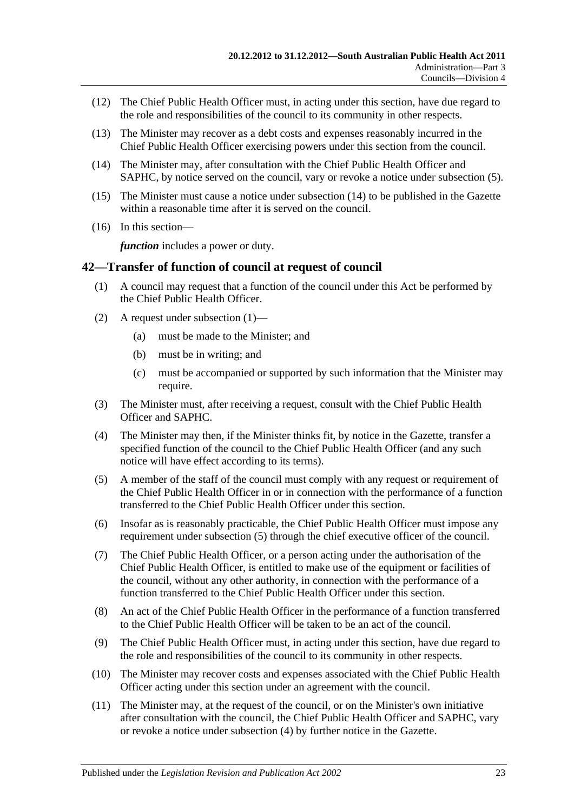- (12) The Chief Public Health Officer must, in acting under this section, have due regard to the role and responsibilities of the council to its community in other respects.
- (13) The Minister may recover as a debt costs and expenses reasonably incurred in the Chief Public Health Officer exercising powers under this section from the council.
- <span id="page-22-1"></span>(14) The Minister may, after consultation with the Chief Public Health Officer and SAPHC, by notice served on the council, vary or revoke a notice under [subsection](#page-21-3) (5).
- (15) The Minister must cause a notice under [subsection](#page-22-1) (14) to be published in the Gazette within a reasonable time after it is served on the council.
- (16) In this section—

*function* includes a power or duty.

#### <span id="page-22-2"></span><span id="page-22-0"></span>**42—Transfer of function of council at request of council**

- (1) A council may request that a function of the council under this Act be performed by the Chief Public Health Officer.
- (2) A request under [subsection](#page-22-2) (1)—
	- (a) must be made to the Minister; and
	- (b) must be in writing; and
	- (c) must be accompanied or supported by such information that the Minister may require.
- (3) The Minister must, after receiving a request, consult with the Chief Public Health Officer and SAPHC.
- <span id="page-22-4"></span>(4) The Minister may then, if the Minister thinks fit, by notice in the Gazette, transfer a specified function of the council to the Chief Public Health Officer (and any such notice will have effect according to its terms).
- <span id="page-22-3"></span>(5) A member of the staff of the council must comply with any request or requirement of the Chief Public Health Officer in or in connection with the performance of a function transferred to the Chief Public Health Officer under this section.
- (6) Insofar as is reasonably practicable, the Chief Public Health Officer must impose any requirement under [subsection](#page-22-3) (5) through the chief executive officer of the council.
- (7) The Chief Public Health Officer, or a person acting under the authorisation of the Chief Public Health Officer, is entitled to make use of the equipment or facilities of the council, without any other authority, in connection with the performance of a function transferred to the Chief Public Health Officer under this section.
- (8) An act of the Chief Public Health Officer in the performance of a function transferred to the Chief Public Health Officer will be taken to be an act of the council.
- (9) The Chief Public Health Officer must, in acting under this section, have due regard to the role and responsibilities of the council to its community in other respects.
- (10) The Minister may recover costs and expenses associated with the Chief Public Health Officer acting under this section under an agreement with the council.
- (11) The Minister may, at the request of the council, or on the Minister's own initiative after consultation with the council, the Chief Public Health Officer and SAPHC, vary or revoke a notice under [subsection](#page-22-4) (4) by further notice in the Gazette.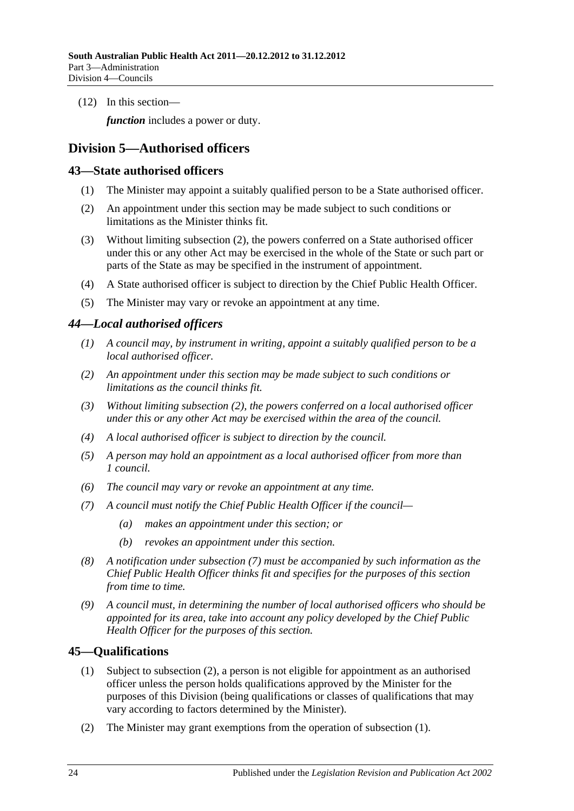(12) In this section—

*function* includes a power or duty.

## <span id="page-23-0"></span>**Division 5—Authorised officers**

#### <span id="page-23-1"></span>**43—State authorised officers**

- (1) The Minister may appoint a suitably qualified person to be a State authorised officer.
- <span id="page-23-4"></span>(2) An appointment under this section may be made subject to such conditions or limitations as the Minister thinks fit.
- (3) Without limiting [subsection](#page-23-4) (2), the powers conferred on a State authorised officer under this or any other Act may be exercised in the whole of the State or such part or parts of the State as may be specified in the instrument of appointment.
- (4) A State authorised officer is subject to direction by the Chief Public Health Officer.
- (5) The Minister may vary or revoke an appointment at any time.

#### <span id="page-23-2"></span>*44—Local authorised officers*

- *(1) A council may, by instrument in writing, appoint a suitably qualified person to be a local authorised officer.*
- <span id="page-23-5"></span>*(2) An appointment under this section may be made subject to such conditions or limitations as the council thinks fit.*
- *(3) Without limiting [subsection](#page-23-5) (2), the powers conferred on a local authorised officer under this or any other Act may be exercised within the area of the council.*
- *(4) A local authorised officer is subject to direction by the council.*
- *(5) A person may hold an appointment as a local authorised officer from more than 1 council.*
- *(6) The council may vary or revoke an appointment at any time.*
- <span id="page-23-6"></span>*(7) A council must notify the Chief Public Health Officer if the council—*
	- *(a) makes an appointment under this section; or*
	- *(b) revokes an appointment under this section.*
- *(8) A notification under [subsection](#page-23-6) (7) must be accompanied by such information as the Chief Public Health Officer thinks fit and specifies for the purposes of this section from time to time.*
- *(9) A council must, in determining the number of local authorised officers who should be appointed for its area, take into account any policy developed by the Chief Public Health Officer for the purposes of this section.*

#### <span id="page-23-8"></span><span id="page-23-3"></span>**45—Qualifications**

- (1) Subject to [subsection](#page-23-7) (2), a person is not eligible for appointment as an authorised officer unless the person holds qualifications approved by the Minister for the purposes of this Division (being qualifications or classes of qualifications that may vary according to factors determined by the Minister).
- <span id="page-23-7"></span>(2) The Minister may grant exemptions from the operation of [subsection](#page-23-8) (1).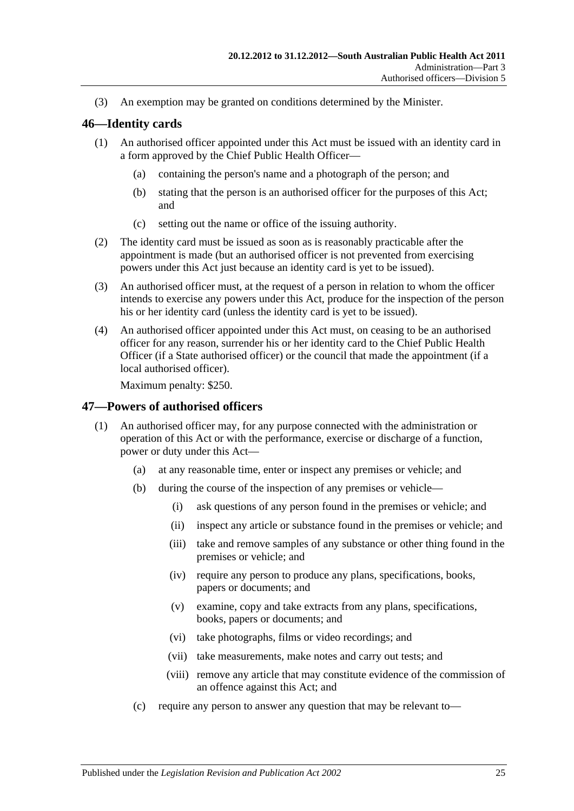(3) An exemption may be granted on conditions determined by the Minister.

#### <span id="page-24-0"></span>**46—Identity cards**

- (1) An authorised officer appointed under this Act must be issued with an identity card in a form approved by the Chief Public Health Officer—
	- (a) containing the person's name and a photograph of the person; and
	- (b) stating that the person is an authorised officer for the purposes of this Act; and
	- (c) setting out the name or office of the issuing authority.
- (2) The identity card must be issued as soon as is reasonably practicable after the appointment is made (but an authorised officer is not prevented from exercising powers under this Act just because an identity card is yet to be issued).
- (3) An authorised officer must, at the request of a person in relation to whom the officer intends to exercise any powers under this Act, produce for the inspection of the person his or her identity card (unless the identity card is yet to be issued).
- (4) An authorised officer appointed under this Act must, on ceasing to be an authorised officer for any reason, surrender his or her identity card to the Chief Public Health Officer (if a State authorised officer) or the council that made the appointment (if a local authorised officer).

Maximum penalty: \$250.

#### <span id="page-24-1"></span>**47—Powers of authorised officers**

- (1) An authorised officer may, for any purpose connected with the administration or operation of this Act or with the performance, exercise or discharge of a function, power or duty under this Act—
	- (a) at any reasonable time, enter or inspect any premises or vehicle; and
	- (b) during the course of the inspection of any premises or vehicle—
		- (i) ask questions of any person found in the premises or vehicle; and
		- (ii) inspect any article or substance found in the premises or vehicle; and
		- (iii) take and remove samples of any substance or other thing found in the premises or vehicle; and
		- (iv) require any person to produce any plans, specifications, books, papers or documents; and
		- (v) examine, copy and take extracts from any plans, specifications, books, papers or documents; and
		- (vi) take photographs, films or video recordings; and
		- (vii) take measurements, make notes and carry out tests; and
		- (viii) remove any article that may constitute evidence of the commission of an offence against this Act; and
	- (c) require any person to answer any question that may be relevant to—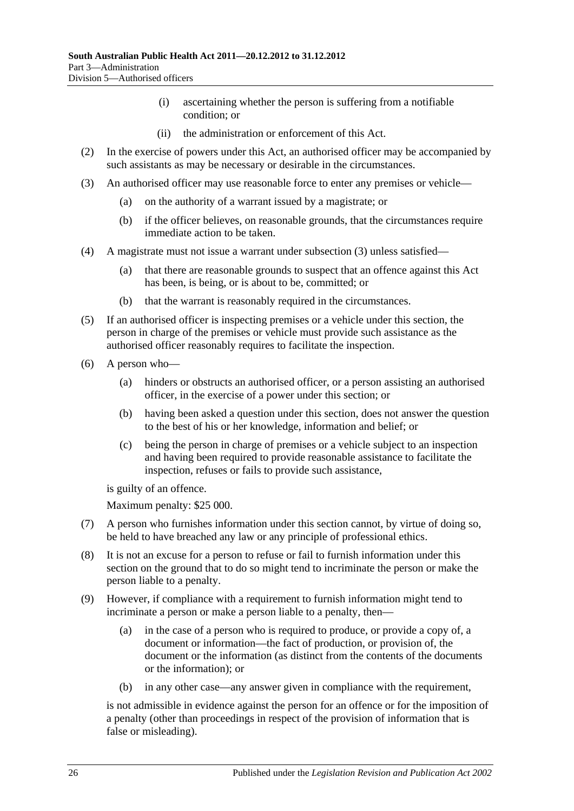- (i) ascertaining whether the person is suffering from a notifiable condition; or
- (ii) the administration or enforcement of this Act.
- (2) In the exercise of powers under this Act, an authorised officer may be accompanied by such assistants as may be necessary or desirable in the circumstances.
- <span id="page-25-0"></span>(3) An authorised officer may use reasonable force to enter any premises or vehicle—
	- (a) on the authority of a warrant issued by a magistrate; or
	- (b) if the officer believes, on reasonable grounds, that the circumstances require immediate action to be taken.
- (4) A magistrate must not issue a warrant under [subsection](#page-25-0) (3) unless satisfied—
	- (a) that there are reasonable grounds to suspect that an offence against this Act has been, is being, or is about to be, committed; or
	- (b) that the warrant is reasonably required in the circumstances.
- (5) If an authorised officer is inspecting premises or a vehicle under this section, the person in charge of the premises or vehicle must provide such assistance as the authorised officer reasonably requires to facilitate the inspection.
- (6) A person who—
	- (a) hinders or obstructs an authorised officer, or a person assisting an authorised officer, in the exercise of a power under this section; or
	- (b) having been asked a question under this section, does not answer the question to the best of his or her knowledge, information and belief; or
	- (c) being the person in charge of premises or a vehicle subject to an inspection and having been required to provide reasonable assistance to facilitate the inspection, refuses or fails to provide such assistance,

is guilty of an offence.

Maximum penalty: \$25 000.

- (7) A person who furnishes information under this section cannot, by virtue of doing so, be held to have breached any law or any principle of professional ethics.
- (8) It is not an excuse for a person to refuse or fail to furnish information under this section on the ground that to do so might tend to incriminate the person or make the person liable to a penalty.
- (9) However, if compliance with a requirement to furnish information might tend to incriminate a person or make a person liable to a penalty, then—
	- (a) in the case of a person who is required to produce, or provide a copy of, a document or information—the fact of production, or provision of, the document or the information (as distinct from the contents of the documents or the information); or
	- (b) in any other case—any answer given in compliance with the requirement,

is not admissible in evidence against the person for an offence or for the imposition of a penalty (other than proceedings in respect of the provision of information that is false or misleading).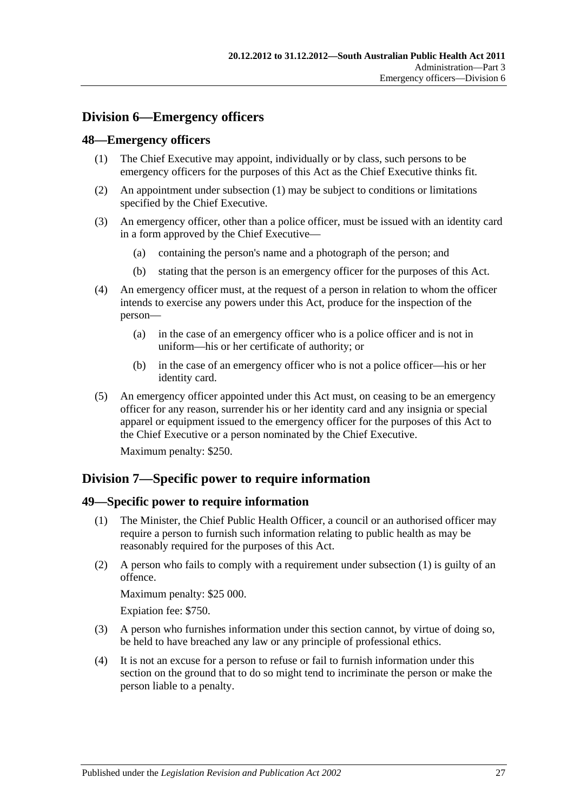## <span id="page-26-0"></span>**Division 6—Emergency officers**

#### <span id="page-26-4"></span><span id="page-26-1"></span>**48—Emergency officers**

- (1) The Chief Executive may appoint, individually or by class, such persons to be emergency officers for the purposes of this Act as the Chief Executive thinks fit.
- (2) An appointment under [subsection](#page-26-4) (1) may be subject to conditions or limitations specified by the Chief Executive.
- (3) An emergency officer, other than a police officer, must be issued with an identity card in a form approved by the Chief Executive—
	- (a) containing the person's name and a photograph of the person; and
	- (b) stating that the person is an emergency officer for the purposes of this Act.
- (4) An emergency officer must, at the request of a person in relation to whom the officer intends to exercise any powers under this Act, produce for the inspection of the person—
	- (a) in the case of an emergency officer who is a police officer and is not in uniform—his or her certificate of authority; or
	- (b) in the case of an emergency officer who is not a police officer—his or her identity card.
- (5) An emergency officer appointed under this Act must, on ceasing to be an emergency officer for any reason, surrender his or her identity card and any insignia or special apparel or equipment issued to the emergency officer for the purposes of this Act to the Chief Executive or a person nominated by the Chief Executive.

Maximum penalty: \$250.

## <span id="page-26-2"></span>**Division 7—Specific power to require information**

#### <span id="page-26-5"></span><span id="page-26-3"></span>**49—Specific power to require information**

- (1) The Minister, the Chief Public Health Officer, a council or an authorised officer may require a person to furnish such information relating to public health as may be reasonably required for the purposes of this Act.
- (2) A person who fails to comply with a requirement under [subsection](#page-26-5) (1) is guilty of an offence.

Maximum penalty: \$25 000.

Expiation fee: \$750.

- (3) A person who furnishes information under this section cannot, by virtue of doing so, be held to have breached any law or any principle of professional ethics.
- (4) It is not an excuse for a person to refuse or fail to furnish information under this section on the ground that to do so might tend to incriminate the person or make the person liable to a penalty.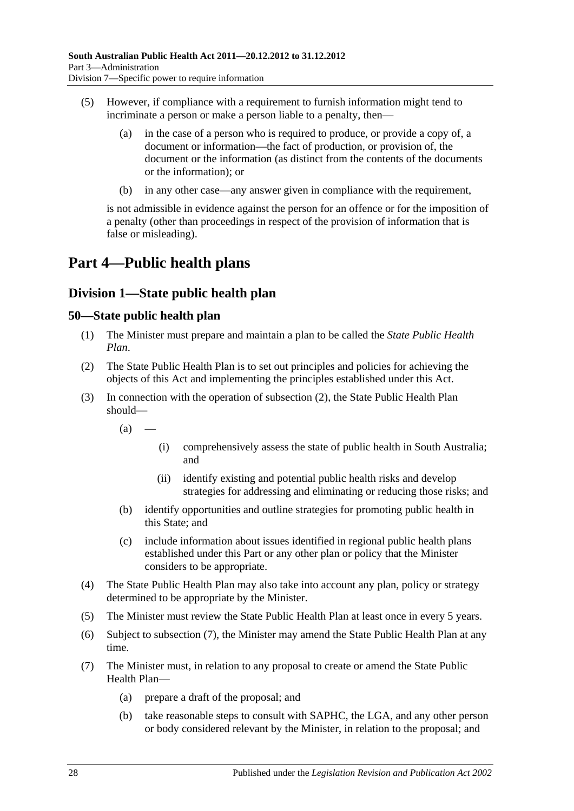- (5) However, if compliance with a requirement to furnish information might tend to incriminate a person or make a person liable to a penalty, then—
	- (a) in the case of a person who is required to produce, or provide a copy of, a document or information—the fact of production, or provision of, the document or the information (as distinct from the contents of the documents or the information); or
	- (b) in any other case—any answer given in compliance with the requirement,

is not admissible in evidence against the person for an offence or for the imposition of a penalty (other than proceedings in respect of the provision of information that is false or misleading).

## <span id="page-27-0"></span>**Part 4—Public health plans**

## <span id="page-27-1"></span>**Division 1—State public health plan**

#### <span id="page-27-2"></span>**50—State public health plan**

- (1) The Minister must prepare and maintain a plan to be called the *State Public Health Plan*.
- <span id="page-27-3"></span>(2) The State Public Health Plan is to set out principles and policies for achieving the objects of this Act and implementing the principles established under this Act.
- (3) In connection with the operation of [subsection](#page-27-3) (2), the State Public Health Plan should—
	- $(a)$
- (i) comprehensively assess the state of public health in South Australia; and
- (ii) identify existing and potential public health risks and develop strategies for addressing and eliminating or reducing those risks; and
- (b) identify opportunities and outline strategies for promoting public health in this State; and
- (c) include information about issues identified in regional public health plans established under this Part or any other plan or policy that the Minister considers to be appropriate.
- (4) The State Public Health Plan may also take into account any plan, policy or strategy determined to be appropriate by the Minister.
- (5) The Minister must review the State Public Health Plan at least once in every 5 years.
- (6) Subject to [subsection](#page-27-4) (7), the Minister may amend the State Public Health Plan at any time.
- <span id="page-27-4"></span>(7) The Minister must, in relation to any proposal to create or amend the State Public Health Plan—
	- (a) prepare a draft of the proposal; and
	- (b) take reasonable steps to consult with SAPHC, the LGA, and any other person or body considered relevant by the Minister, in relation to the proposal; and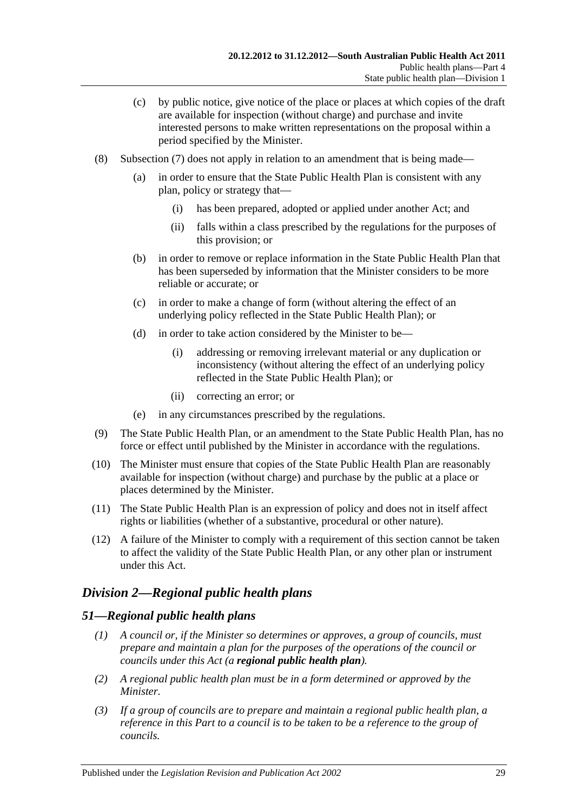- (c) by public notice, give notice of the place or places at which copies of the draft are available for inspection (without charge) and purchase and invite interested persons to make written representations on the proposal within a period specified by the Minister.
- (8) [Subsection](#page-27-4) (7) does not apply in relation to an amendment that is being made—
	- (a) in order to ensure that the State Public Health Plan is consistent with any plan, policy or strategy that—
		- (i) has been prepared, adopted or applied under another Act; and
		- (ii) falls within a class prescribed by the regulations for the purposes of this provision; or
	- (b) in order to remove or replace information in the State Public Health Plan that has been superseded by information that the Minister considers to be more reliable or accurate; or
	- (c) in order to make a change of form (without altering the effect of an underlying policy reflected in the State Public Health Plan); or
	- (d) in order to take action considered by the Minister to be—
		- (i) addressing or removing irrelevant material or any duplication or inconsistency (without altering the effect of an underlying policy reflected in the State Public Health Plan); or
		- (ii) correcting an error; or
	- (e) in any circumstances prescribed by the regulations.
- (9) The State Public Health Plan, or an amendment to the State Public Health Plan, has no force or effect until published by the Minister in accordance with the regulations.
- (10) The Minister must ensure that copies of the State Public Health Plan are reasonably available for inspection (without charge) and purchase by the public at a place or places determined by the Minister.
- (11) The State Public Health Plan is an expression of policy and does not in itself affect rights or liabilities (whether of a substantive, procedural or other nature).
- (12) A failure of the Minister to comply with a requirement of this section cannot be taken to affect the validity of the State Public Health Plan, or any other plan or instrument under this Act.

## <span id="page-28-0"></span>*Division 2—Regional public health plans*

#### <span id="page-28-1"></span>*51—Regional public health plans*

- *(1) A council or, if the Minister so determines or approves, a group of councils, must prepare and maintain a plan for the purposes of the operations of the council or councils under this Act (a regional public health plan).*
- *(2) A regional public health plan must be in a form determined or approved by the Minister.*
- *(3) If a group of councils are to prepare and maintain a regional public health plan, a reference in this Part to a council is to be taken to be a reference to the group of councils.*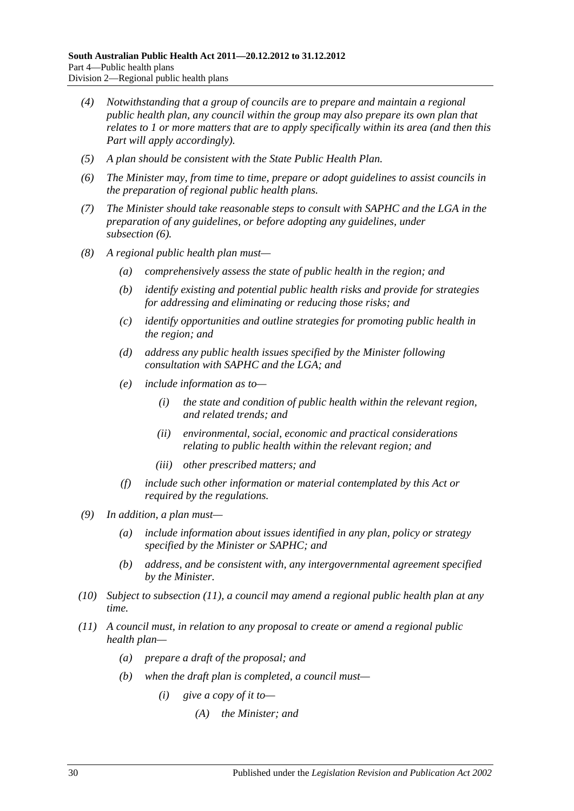- *(4) Notwithstanding that a group of councils are to prepare and maintain a regional public health plan, any council within the group may also prepare its own plan that relates to 1 or more matters that are to apply specifically within its area (and then this Part will apply accordingly).*
- *(5) A plan should be consistent with the State Public Health Plan.*
- <span id="page-29-0"></span>*(6) The Minister may, from time to time, prepare or adopt guidelines to assist councils in the preparation of regional public health plans.*
- *(7) The Minister should take reasonable steps to consult with SAPHC and the LGA in the preparation of any guidelines, or before adopting any guidelines, under [subsection](#page-29-0) (6).*
- *(8) A regional public health plan must—*
	- *(a) comprehensively assess the state of public health in the region; and*
	- *(b) identify existing and potential public health risks and provide for strategies for addressing and eliminating or reducing those risks; and*
	- *(c) identify opportunities and outline strategies for promoting public health in the region; and*
	- *(d) address any public health issues specified by the Minister following consultation with SAPHC and the LGA; and*
	- *(e) include information as to—*
		- *(i) the state and condition of public health within the relevant region, and related trends; and*
		- *(ii) environmental, social, economic and practical considerations relating to public health within the relevant region; and*
		- *(iii) other prescribed matters; and*
	- *(f) include such other information or material contemplated by this Act or required by the regulations.*
- *(9) In addition, a plan must—*
	- *(a) include information about issues identified in any plan, policy or strategy specified by the Minister or SAPHC; and*
	- *(b) address, and be consistent with, any intergovernmental agreement specified by the Minister.*
- *(10) Subject to [subsection](#page-29-1) (11), a council may amend a regional public health plan at any time.*
- <span id="page-29-1"></span>*(11) A council must, in relation to any proposal to create or amend a regional public health plan—*
	- *(a) prepare a draft of the proposal; and*
	- *(b) when the draft plan is completed, a council must—*
		- *(i) give a copy of it to—*
			- *(A) the Minister; and*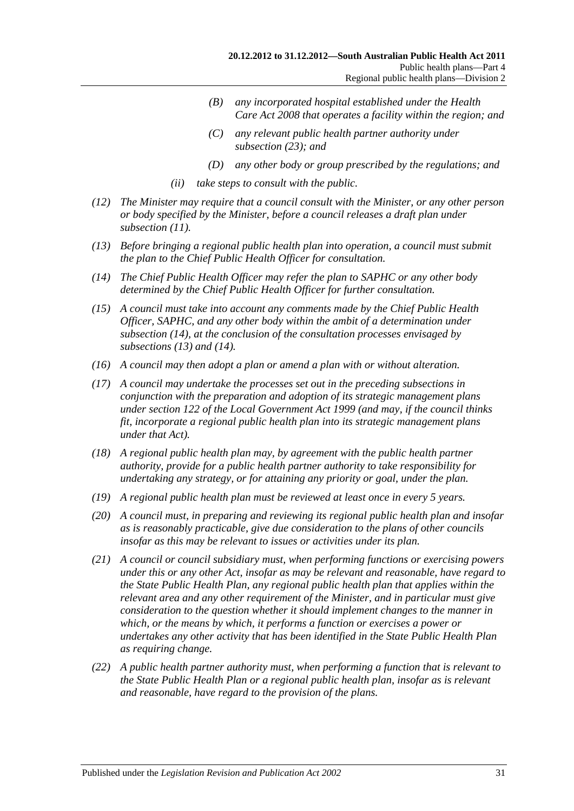- *(B) any incorporated hospital established under the [Health](http://www.legislation.sa.gov.au/index.aspx?action=legref&type=act&legtitle=Health%20Care%20Act%202008)  [Care Act](http://www.legislation.sa.gov.au/index.aspx?action=legref&type=act&legtitle=Health%20Care%20Act%202008) 2008 that operates a facility within the region; and*
- *(C) any relevant public health partner authority under [subsection](#page-31-3) (23); and*
- *(D) any other body or group prescribed by the regulations; and*
- *(ii) take steps to consult with the public.*
- *(12) The Minister may require that a council consult with the Minister, or any other person or body specified by the Minister, before a council releases a draft plan under [subsection](#page-29-1) (11).*
- <span id="page-30-1"></span>*(13) Before bringing a regional public health plan into operation, a council must submit the plan to the Chief Public Health Officer for consultation.*
- <span id="page-30-0"></span>*(14) The Chief Public Health Officer may refer the plan to SAPHC or any other body determined by the Chief Public Health Officer for further consultation.*
- *(15) A council must take into account any comments made by the Chief Public Health Officer, SAPHC, and any other body within the ambit of a determination under [subsection](#page-30-0) (14), at the conclusion of the consultation processes envisaged by [subsections](#page-30-1) (13) and [\(14\).](#page-30-0)*
- *(16) A council may then adopt a plan or amend a plan with or without alteration.*
- *(17) A council may undertake the processes set out in the preceding subsections in conjunction with the preparation and adoption of its strategic management plans under section 122 of the [Local Government Act](http://www.legislation.sa.gov.au/index.aspx?action=legref&type=act&legtitle=Local%20Government%20Act%201999) 1999 (and may, if the council thinks fit, incorporate a regional public health plan into its strategic management plans under that Act).*
- *(18) A regional public health plan may, by agreement with the public health partner authority, provide for a public health partner authority to take responsibility for undertaking any strategy, or for attaining any priority or goal, under the plan.*
- *(19) A regional public health plan must be reviewed at least once in every 5 years.*
- *(20) A council must, in preparing and reviewing its regional public health plan and insofar as is reasonably practicable, give due consideration to the plans of other councils insofar as this may be relevant to issues or activities under its plan.*
- *(21) A council or council subsidiary must, when performing functions or exercising powers under this or any other Act, insofar as may be relevant and reasonable, have regard to the State Public Health Plan, any regional public health plan that applies within the relevant area and any other requirement of the Minister, and in particular must give consideration to the question whether it should implement changes to the manner in which, or the means by which, it performs a function or exercises a power or undertakes any other activity that has been identified in the State Public Health Plan as requiring change.*
- *(22) A public health partner authority must, when performing a function that is relevant to the State Public Health Plan or a regional public health plan, insofar as is relevant and reasonable, have regard to the provision of the plans.*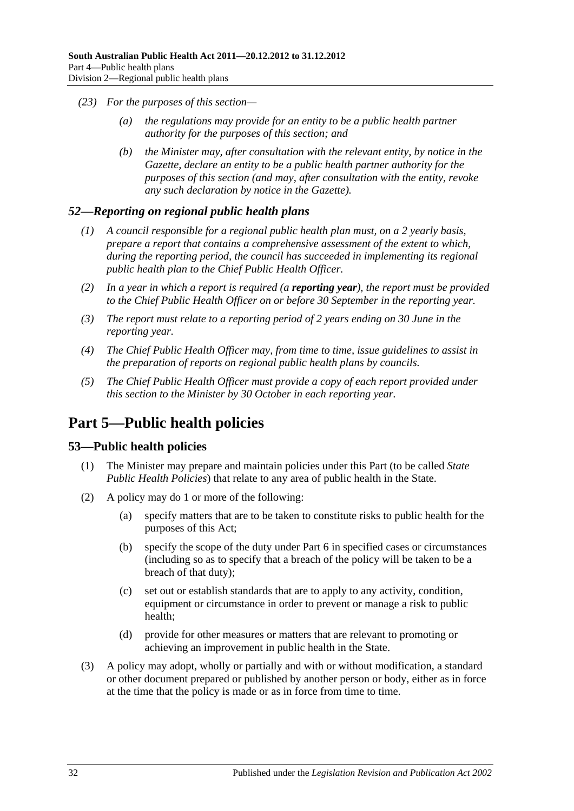- <span id="page-31-3"></span>*(23) For the purposes of this section—*
	- *(a) the regulations may provide for an entity to be a public health partner authority for the purposes of this section; and*
	- *(b) the Minister may, after consultation with the relevant entity, by notice in the Gazette, declare an entity to be a public health partner authority for the purposes of this section (and may, after consultation with the entity, revoke any such declaration by notice in the Gazette).*

#### <span id="page-31-0"></span>*52—Reporting on regional public health plans*

- *(1) A council responsible for a regional public health plan must, on a 2 yearly basis, prepare a report that contains a comprehensive assessment of the extent to which, during the reporting period, the council has succeeded in implementing its regional public health plan to the Chief Public Health Officer.*
- *(2) In a year in which a report is required (a reporting year), the report must be provided to the Chief Public Health Officer on or before 30 September in the reporting year.*
- *(3) The report must relate to a reporting period of 2 years ending on 30 June in the reporting year.*
- *(4) The Chief Public Health Officer may, from time to time, issue guidelines to assist in the preparation of reports on regional public health plans by councils.*
- *(5) The Chief Public Health Officer must provide a copy of each report provided under this section to the Minister by 30 October in each reporting year.*

## <span id="page-31-1"></span>**Part 5—Public health policies**

#### <span id="page-31-2"></span>**53—Public health policies**

- (1) The Minister may prepare and maintain policies under this Part (to be called *State Public Health Policies*) that relate to any area of public health in the State.
- (2) A policy may do 1 or more of the following:
	- (a) specify matters that are to be taken to constitute risks to public health for the purposes of this Act;
	- (b) specify the scope of the duty under [Part](#page-33-0) 6 in specified cases or circumstances (including so as to specify that a breach of the policy will be taken to be a breach of that duty);
	- (c) set out or establish standards that are to apply to any activity, condition, equipment or circumstance in order to prevent or manage a risk to public health;
	- (d) provide for other measures or matters that are relevant to promoting or achieving an improvement in public health in the State.
- (3) A policy may adopt, wholly or partially and with or without modification, a standard or other document prepared or published by another person or body, either as in force at the time that the policy is made or as in force from time to time.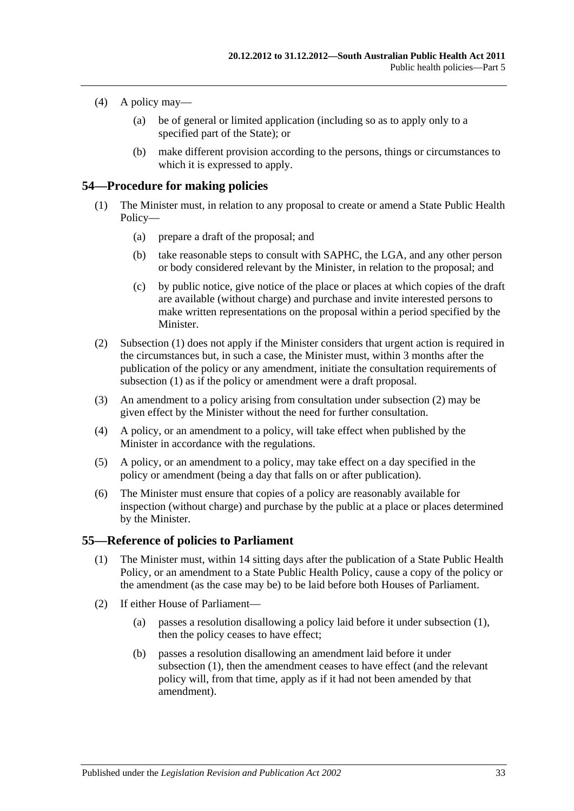- (4) A policy may—
	- (a) be of general or limited application (including so as to apply only to a specified part of the State); or
	- (b) make different provision according to the persons, things or circumstances to which it is expressed to apply.

#### <span id="page-32-2"></span><span id="page-32-0"></span>**54—Procedure for making policies**

- (1) The Minister must, in relation to any proposal to create or amend a State Public Health Policy—
	- (a) prepare a draft of the proposal; and
	- (b) take reasonable steps to consult with SAPHC, the LGA, and any other person or body considered relevant by the Minister, in relation to the proposal; and
	- (c) by public notice, give notice of the place or places at which copies of the draft are available (without charge) and purchase and invite interested persons to make written representations on the proposal within a period specified by the **Minister**
- <span id="page-32-3"></span>(2) [Subsection](#page-32-2) (1) does not apply if the Minister considers that urgent action is required in the circumstances but, in such a case, the Minister must, within 3 months after the publication of the policy or any amendment, initiate the consultation requirements of [subsection](#page-32-2) (1) as if the policy or amendment were a draft proposal.
- (3) An amendment to a policy arising from consultation under [subsection](#page-32-3) (2) may be given effect by the Minister without the need for further consultation.
- (4) A policy, or an amendment to a policy, will take effect when published by the Minister in accordance with the regulations.
- (5) A policy, or an amendment to a policy, may take effect on a day specified in the policy or amendment (being a day that falls on or after publication).
- (6) The Minister must ensure that copies of a policy are reasonably available for inspection (without charge) and purchase by the public at a place or places determined by the Minister.

#### <span id="page-32-4"></span><span id="page-32-1"></span>**55—Reference of policies to Parliament**

- (1) The Minister must, within 14 sitting days after the publication of a State Public Health Policy, or an amendment to a State Public Health Policy, cause a copy of the policy or the amendment (as the case may be) to be laid before both Houses of Parliament.
- <span id="page-32-5"></span>(2) If either House of Parliament—
	- (a) passes a resolution disallowing a policy laid before it under [subsection](#page-32-4) (1), then the policy ceases to have effect;
	- (b) passes a resolution disallowing an amendment laid before it under [subsection](#page-32-4) (1), then the amendment ceases to have effect (and the relevant policy will, from that time, apply as if it had not been amended by that amendment).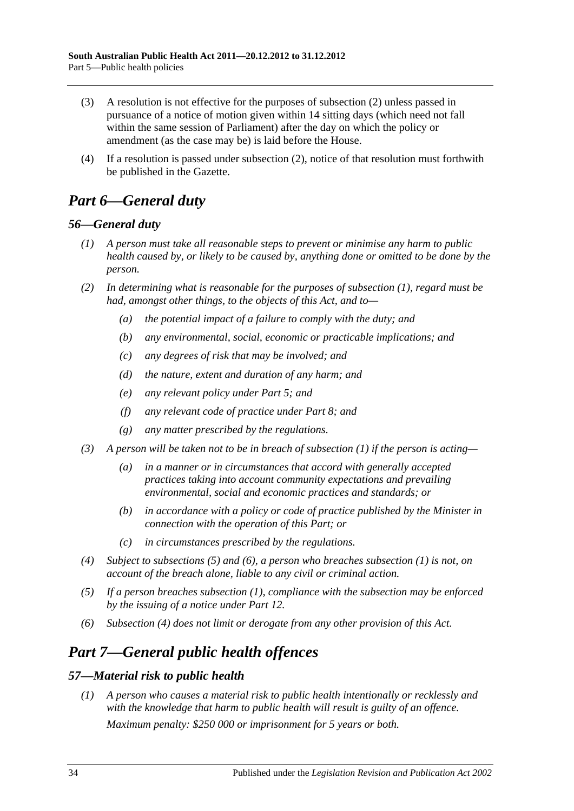- (3) A resolution is not effective for the purposes of [subsection](#page-32-5) (2) unless passed in pursuance of a notice of motion given within 14 sitting days (which need not fall within the same session of Parliament) after the day on which the policy or amendment (as the case may be) is laid before the House.
- (4) If a resolution is passed under [subsection](#page-32-5) (2), notice of that resolution must forthwith be published in the Gazette.

## <span id="page-33-0"></span>*Part 6—General duty*

### <span id="page-33-4"></span><span id="page-33-1"></span>*56—General duty*

- *(1) A person must take all reasonable steps to prevent or minimise any harm to public health caused by, or likely to be caused by, anything done or omitted to be done by the person.*
- *(2) In determining what is reasonable for the purposes of [subsection](#page-33-4) (1), regard must be had, amongst other things, to the objects of this Act, and to—*
	- *(a) the potential impact of a failure to comply with the duty; and*
	- *(b) any environmental, social, economic or practicable implications; and*
	- *(c) any degrees of risk that may be involved; and*
	- *(d) the nature, extent and duration of any harm; and*
	- *(e) any relevant policy under [Part](#page-31-1) 5; and*
	- *(f) any relevant code of practice under [Part](#page-35-1) 8; and*
	- *(g) any matter prescribed by the regulations.*
- *(3) A person will be taken not to be in breach of [subsection](#page-33-4) (1) if the person is acting—*
	- *(a) in a manner or in circumstances that accord with generally accepted practices taking into account community expectations and prevailing environmental, social and economic practices and standards; or*
	- *(b) in accordance with a policy or code of practice published by the Minister in connection with the operation of this Part; or*
	- *(c) in circumstances prescribed by the regulations.*
- <span id="page-33-7"></span>*(4) Subject to [subsections](#page-33-5) (5) and [\(6\),](#page-33-6) a person who breaches [subsection](#page-33-4) (1) is not, on account of the breach alone, liable to any civil or criminal action.*
- <span id="page-33-5"></span>*(5) If a person breaches [subsection](#page-33-4) (1), compliance with the subsection may be enforced by the issuing of a notice under [Part](#page-58-0) 12.*
- <span id="page-33-6"></span>*(6) [Subsection](#page-33-7) (4) does not limit or derogate from any other provision of this Act.*

## <span id="page-33-2"></span>*Part 7—General public health offences*

## <span id="page-33-3"></span>*57—Material risk to public health*

*(1) A person who causes a material risk to public health intentionally or recklessly and with the knowledge that harm to public health will result is guilty of an offence. Maximum penalty: \$250 000 or imprisonment for 5 years or both.*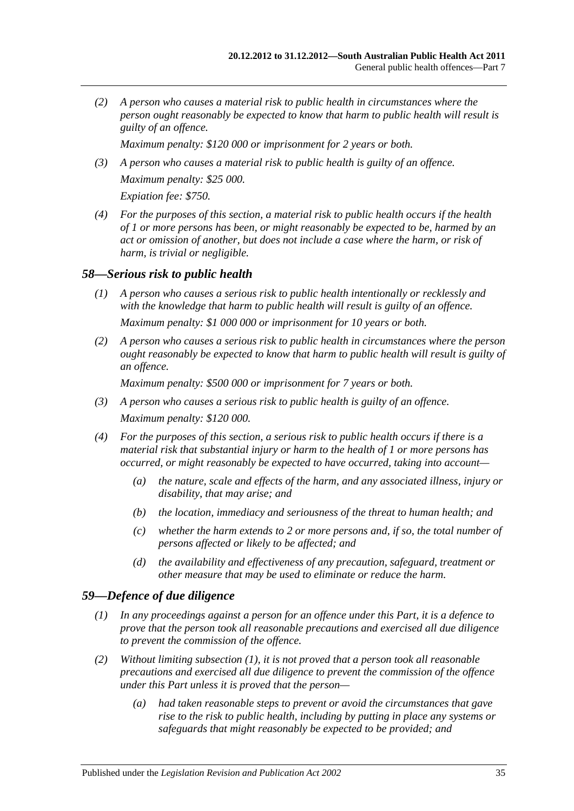*(2) A person who causes a material risk to public health in circumstances where the person ought reasonably be expected to know that harm to public health will result is guilty of an offence.*

*Maximum penalty: \$120 000 or imprisonment for 2 years or both.*

- *(3) A person who causes a material risk to public health is guilty of an offence. Maximum penalty: \$25 000. Expiation fee: \$750.*
- *(4) For the purposes of this section, a material risk to public health occurs if the health of 1 or more persons has been, or might reasonably be expected to be, harmed by an act or omission of another, but does not include a case where the harm, or risk of harm, is trivial or negligible.*

#### <span id="page-34-0"></span>*58—Serious risk to public health*

- *(1) A person who causes a serious risk to public health intentionally or recklessly and with the knowledge that harm to public health will result is guilty of an offence. Maximum penalty: \$1 000 000 or imprisonment for 10 years or both.*
- *(2) A person who causes a serious risk to public health in circumstances where the person ought reasonably be expected to know that harm to public health will result is guilty of an offence.*

*Maximum penalty: \$500 000 or imprisonment for 7 years or both.*

- *(3) A person who causes a serious risk to public health is guilty of an offence. Maximum penalty: \$120 000.*
- *(4) For the purposes of this section, a serious risk to public health occurs if there is a material risk that substantial injury or harm to the health of 1 or more persons has occurred, or might reasonably be expected to have occurred, taking into account—*
	- *(a) the nature, scale and effects of the harm, and any associated illness, injury or disability, that may arise; and*
	- *(b) the location, immediacy and seriousness of the threat to human health; and*
	- *(c) whether the harm extends to 2 or more persons and, if so, the total number of persons affected or likely to be affected; and*
	- *(d) the availability and effectiveness of any precaution, safeguard, treatment or other measure that may be used to eliminate or reduce the harm.*

#### <span id="page-34-2"></span><span id="page-34-1"></span>*59—Defence of due diligence*

- *(1) In any proceedings against a person for an offence under this Part, it is a defence to prove that the person took all reasonable precautions and exercised all due diligence to prevent the commission of the offence.*
- *(2) Without limiting [subsection](#page-34-2) (1), it is not proved that a person took all reasonable precautions and exercised all due diligence to prevent the commission of the offence under this Part unless it is proved that the person—*
	- *(a) had taken reasonable steps to prevent or avoid the circumstances that gave rise to the risk to public health, including by putting in place any systems or safeguards that might reasonably be expected to be provided; and*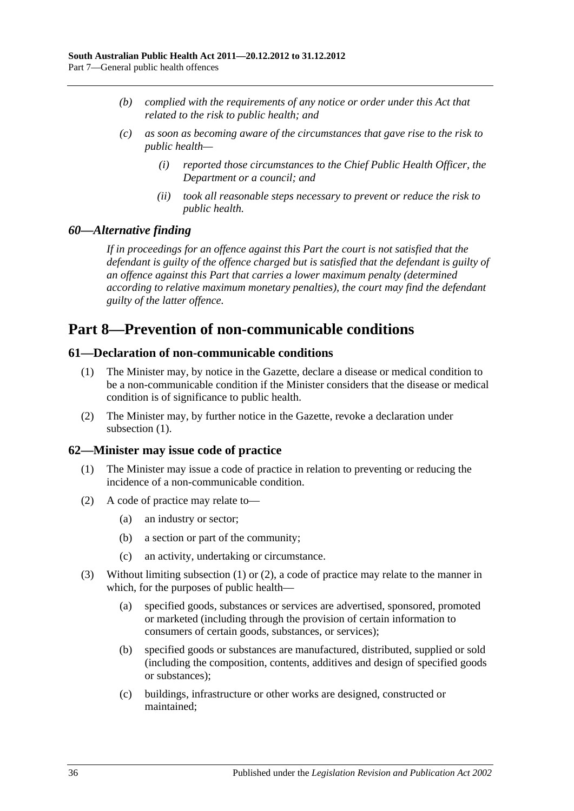- *(b) complied with the requirements of any notice or order under this Act that related to the risk to public health; and*
- *(c) as soon as becoming aware of the circumstances that gave rise to the risk to public health—*
	- *(i) reported those circumstances to the Chief Public Health Officer, the Department or a council; and*
	- *(ii) took all reasonable steps necessary to prevent or reduce the risk to public health.*

#### <span id="page-35-0"></span>*60—Alternative finding*

*If in proceedings for an offence against this Part the court is not satisfied that the defendant is guilty of the offence charged but is satisfied that the defendant is guilty of an offence against this Part that carries a lower maximum penalty (determined according to relative maximum monetary penalties), the court may find the defendant guilty of the latter offence.*

## <span id="page-35-1"></span>**Part 8—Prevention of non-communicable conditions**

#### <span id="page-35-4"></span><span id="page-35-2"></span>**61—Declaration of non-communicable conditions**

- (1) The Minister may, by notice in the Gazette, declare a disease or medical condition to be a non-communicable condition if the Minister considers that the disease or medical condition is of significance to public health.
- (2) The Minister may, by further notice in the Gazette, revoke a declaration under [subsection](#page-35-4) (1).

#### <span id="page-35-5"></span><span id="page-35-3"></span>**62—Minister may issue code of practice**

- (1) The Minister may issue a code of practice in relation to preventing or reducing the incidence of a non-communicable condition.
- <span id="page-35-6"></span>(2) A code of practice may relate to—
	- (a) an industry or sector;
	- (b) a section or part of the community;
	- (c) an activity, undertaking or circumstance.
- (3) Without limiting [subsection](#page-35-5) (1) or [\(2\),](#page-35-6) a code of practice may relate to the manner in which, for the purposes of public health—
	- (a) specified goods, substances or services are advertised, sponsored, promoted or marketed (including through the provision of certain information to consumers of certain goods, substances, or services);
	- (b) specified goods or substances are manufactured, distributed, supplied or sold (including the composition, contents, additives and design of specified goods or substances);
	- (c) buildings, infrastructure or other works are designed, constructed or maintained;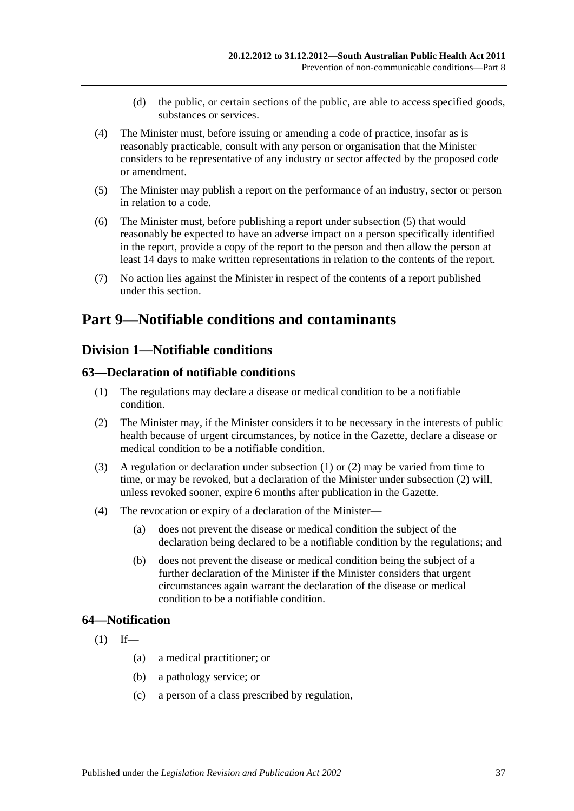- (d) the public, or certain sections of the public, are able to access specified goods, substances or services.
- (4) The Minister must, before issuing or amending a code of practice, insofar as is reasonably practicable, consult with any person or organisation that the Minister considers to be representative of any industry or sector affected by the proposed code or amendment.
- <span id="page-36-0"></span>(5) The Minister may publish a report on the performance of an industry, sector or person in relation to a code.
- (6) The Minister must, before publishing a report under [subsection](#page-36-0) (5) that would reasonably be expected to have an adverse impact on a person specifically identified in the report, provide a copy of the report to the person and then allow the person at least 14 days to make written representations in relation to the contents of the report.
- (7) No action lies against the Minister in respect of the contents of a report published under this section.

# **Part 9—Notifiable conditions and contaminants**

# **Division 1—Notifiable conditions**

#### <span id="page-36-1"></span>**63—Declaration of notifiable conditions**

- (1) The regulations may declare a disease or medical condition to be a notifiable condition.
- <span id="page-36-2"></span>(2) The Minister may, if the Minister considers it to be necessary in the interests of public health because of urgent circumstances, by notice in the Gazette, declare a disease or medical condition to be a notifiable condition.
- (3) A regulation or declaration under [subsection](#page-36-1) (1) or [\(2\)](#page-36-2) may be varied from time to time, or may be revoked, but a declaration of the Minister under [subsection](#page-36-2) (2) will, unless revoked sooner, expire 6 months after publication in the Gazette.
- (4) The revocation or expiry of a declaration of the Minister—
	- (a) does not prevent the disease or medical condition the subject of the declaration being declared to be a notifiable condition by the regulations; and
	- (b) does not prevent the disease or medical condition being the subject of a further declaration of the Minister if the Minister considers that urgent circumstances again warrant the declaration of the disease or medical condition to be a notifiable condition.

## <span id="page-36-3"></span>**64—Notification**

- $(1)$  If—
	- (a) a medical practitioner; or
	- (b) a pathology service; or
	- (c) a person of a class prescribed by regulation,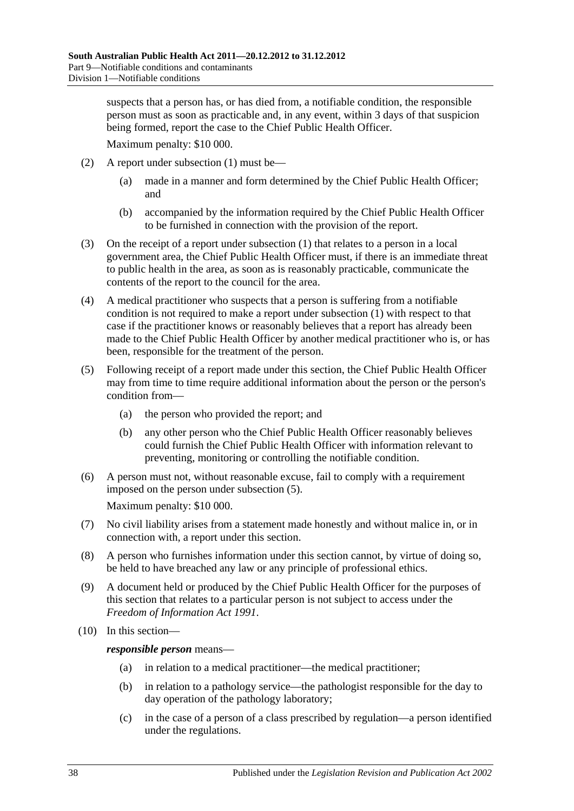suspects that a person has, or has died from, a notifiable condition, the responsible person must as soon as practicable and, in any event, within 3 days of that suspicion being formed, report the case to the Chief Public Health Officer.

Maximum penalty: \$10 000.

- (2) A report under [subsection](#page-36-3) (1) must be—
	- (a) made in a manner and form determined by the Chief Public Health Officer; and
	- (b) accompanied by the information required by the Chief Public Health Officer to be furnished in connection with the provision of the report.
- (3) On the receipt of a report under [subsection](#page-36-3) (1) that relates to a person in a local government area, the Chief Public Health Officer must, if there is an immediate threat to public health in the area, as soon as is reasonably practicable, communicate the contents of the report to the council for the area.
- (4) A medical practitioner who suspects that a person is suffering from a notifiable condition is not required to make a report under [subsection](#page-36-3) (1) with respect to that case if the practitioner knows or reasonably believes that a report has already been made to the Chief Public Health Officer by another medical practitioner who is, or has been, responsible for the treatment of the person.
- <span id="page-37-0"></span>(5) Following receipt of a report made under this section, the Chief Public Health Officer may from time to time require additional information about the person or the person's condition from—
	- (a) the person who provided the report; and
	- (b) any other person who the Chief Public Health Officer reasonably believes could furnish the Chief Public Health Officer with information relevant to preventing, monitoring or controlling the notifiable condition.
- (6) A person must not, without reasonable excuse, fail to comply with a requirement imposed on the person under [subsection](#page-37-0) (5).

Maximum penalty: \$10 000.

- (7) No civil liability arises from a statement made honestly and without malice in, or in connection with, a report under this section.
- (8) A person who furnishes information under this section cannot, by virtue of doing so, be held to have breached any law or any principle of professional ethics.
- (9) A document held or produced by the Chief Public Health Officer for the purposes of this section that relates to a particular person is not subject to access under the *[Freedom of Information Act](http://www.legislation.sa.gov.au/index.aspx?action=legref&type=act&legtitle=Freedom%20of%20Information%20Act%201991) 1991*.
- (10) In this section—

*responsible person* means—

- (a) in relation to a medical practitioner—the medical practitioner;
- (b) in relation to a pathology service—the pathologist responsible for the day to day operation of the pathology laboratory;
- (c) in the case of a person of a class prescribed by regulation—a person identified under the regulations.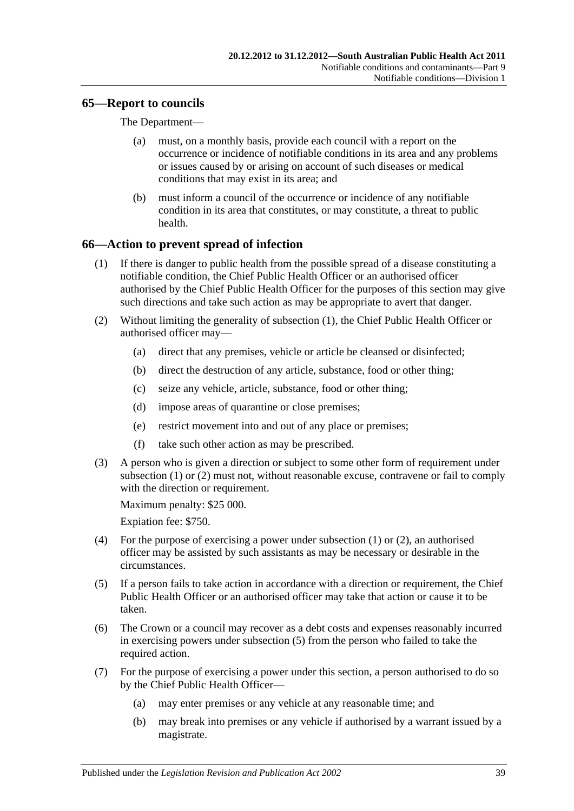## **65—Report to councils**

The Department—

- (a) must, on a monthly basis, provide each council with a report on the occurrence or incidence of notifiable conditions in its area and any problems or issues caused by or arising on account of such diseases or medical conditions that may exist in its area; and
- (b) must inform a council of the occurrence or incidence of any notifiable condition in its area that constitutes, or may constitute, a threat to public health.

## <span id="page-38-0"></span>**66—Action to prevent spread of infection**

- (1) If there is danger to public health from the possible spread of a disease constituting a notifiable condition, the Chief Public Health Officer or an authorised officer authorised by the Chief Public Health Officer for the purposes of this section may give such directions and take such action as may be appropriate to avert that danger.
- <span id="page-38-1"></span>(2) Without limiting the generality of [subsection](#page-38-0) (1), the Chief Public Health Officer or authorised officer may—
	- (a) direct that any premises, vehicle or article be cleansed or disinfected;
	- (b) direct the destruction of any article, substance, food or other thing;
	- (c) seize any vehicle, article, substance, food or other thing;
	- (d) impose areas of quarantine or close premises;
	- (e) restrict movement into and out of any place or premises;
	- (f) take such other action as may be prescribed.
- (3) A person who is given a direction or subject to some other form of requirement under [subsection](#page-38-0) (1) or [\(2\)](#page-38-1) must not, without reasonable excuse, contravene or fail to comply with the direction or requirement.

Maximum penalty: \$25 000.

Expiation fee: \$750.

- (4) For the purpose of exercising a power under [subsection](#page-38-0) (1) or [\(2\),](#page-38-1) an authorised officer may be assisted by such assistants as may be necessary or desirable in the circumstances.
- <span id="page-38-2"></span>(5) If a person fails to take action in accordance with a direction or requirement, the Chief Public Health Officer or an authorised officer may take that action or cause it to be taken.
- (6) The Crown or a council may recover as a debt costs and expenses reasonably incurred in exercising powers under [subsection](#page-38-2) (5) from the person who failed to take the required action.
- <span id="page-38-3"></span>(7) For the purpose of exercising a power under this section, a person authorised to do so by the Chief Public Health Officer—
	- (a) may enter premises or any vehicle at any reasonable time; and
	- (b) may break into premises or any vehicle if authorised by a warrant issued by a magistrate.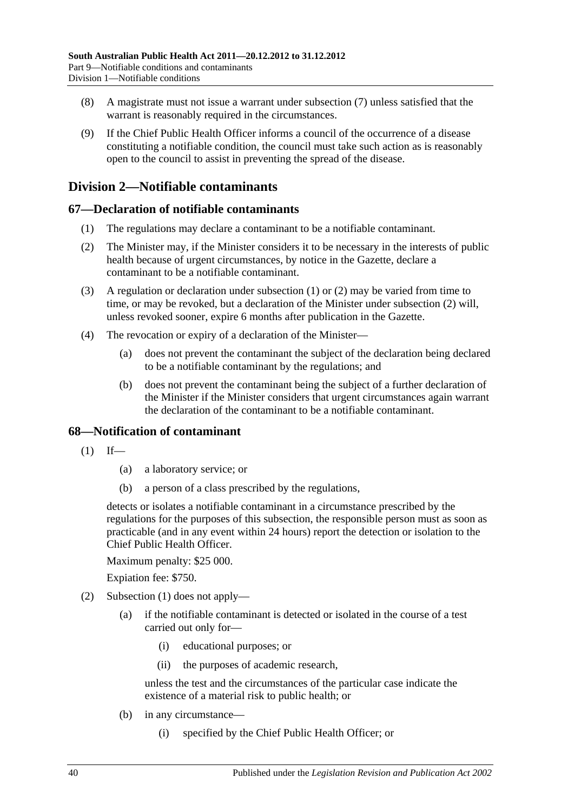- (8) A magistrate must not issue a warrant under [subsection](#page-38-3) (7) unless satisfied that the warrant is reasonably required in the circumstances.
- (9) If the Chief Public Health Officer informs a council of the occurrence of a disease constituting a notifiable condition, the council must take such action as is reasonably open to the council to assist in preventing the spread of the disease.

# **Division 2—Notifiable contaminants**

# <span id="page-39-0"></span>**67—Declaration of notifiable contaminants**

- (1) The regulations may declare a contaminant to be a notifiable contaminant.
- <span id="page-39-1"></span>(2) The Minister may, if the Minister considers it to be necessary in the interests of public health because of urgent circumstances, by notice in the Gazette, declare a contaminant to be a notifiable contaminant.
- (3) A regulation or declaration under [subsection](#page-39-0) (1) or [\(2\)](#page-39-1) may be varied from time to time, or may be revoked, but a declaration of the Minister under [subsection](#page-39-1) (2) will, unless revoked sooner, expire 6 months after publication in the Gazette.
- (4) The revocation or expiry of a declaration of the Minister—
	- (a) does not prevent the contaminant the subject of the declaration being declared to be a notifiable contaminant by the regulations; and
	- (b) does not prevent the contaminant being the subject of a further declaration of the Minister if the Minister considers that urgent circumstances again warrant the declaration of the contaminant to be a notifiable contaminant.

## <span id="page-39-2"></span>**68—Notification of contaminant**

- $(1)$  If—
	- (a) a laboratory service; or
	- (b) a person of a class prescribed by the regulations,

detects or isolates a notifiable contaminant in a circumstance prescribed by the regulations for the purposes of this subsection, the responsible person must as soon as practicable (and in any event within 24 hours) report the detection or isolation to the Chief Public Health Officer.

Maximum penalty: \$25 000.

Expiation fee: \$750.

- <span id="page-39-3"></span>(2) [Subsection](#page-39-2) (1) does not apply—
	- (a) if the notifiable contaminant is detected or isolated in the course of a test carried out only for—
		- (i) educational purposes; or
		- (ii) the purposes of academic research,

unless the test and the circumstances of the particular case indicate the existence of a material risk to public health; or

- (b) in any circumstance—
	- (i) specified by the Chief Public Health Officer; or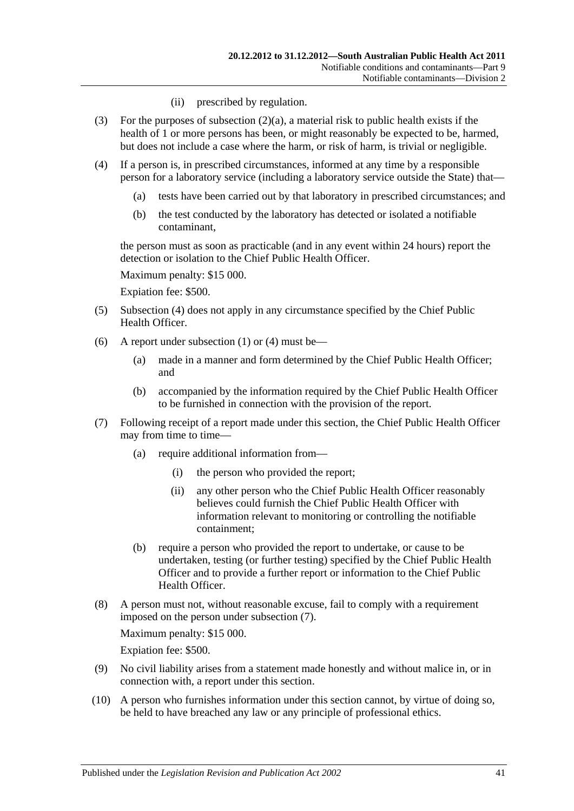- (ii) prescribed by regulation.
- (3) For the purposes of [subsection](#page-39-3)  $(2)(a)$ , a material risk to public health exists if the health of 1 or more persons has been, or might reasonably be expected to be, harmed, but does not include a case where the harm, or risk of harm, is trivial or negligible.
- <span id="page-40-0"></span>(4) If a person is, in prescribed circumstances, informed at any time by a responsible person for a laboratory service (including a laboratory service outside the State) that—
	- (a) tests have been carried out by that laboratory in prescribed circumstances; and
	- (b) the test conducted by the laboratory has detected or isolated a notifiable contaminant,

the person must as soon as practicable (and in any event within 24 hours) report the detection or isolation to the Chief Public Health Officer.

Maximum penalty: \$15 000.

Expiation fee: \$500.

- (5) [Subsection](#page-40-0) (4) does not apply in any circumstance specified by the Chief Public Health Officer.
- (6) A report under [subsection](#page-39-2) (1) or [\(4\)](#page-40-0) must be—
	- (a) made in a manner and form determined by the Chief Public Health Officer; and
	- (b) accompanied by the information required by the Chief Public Health Officer to be furnished in connection with the provision of the report.
- <span id="page-40-1"></span>(7) Following receipt of a report made under this section, the Chief Public Health Officer may from time to time—
	- (a) require additional information from—
		- (i) the person who provided the report;
		- (ii) any other person who the Chief Public Health Officer reasonably believes could furnish the Chief Public Health Officer with information relevant to monitoring or controlling the notifiable containment;
	- (b) require a person who provided the report to undertake, or cause to be undertaken, testing (or further testing) specified by the Chief Public Health Officer and to provide a further report or information to the Chief Public Health Officer.
- (8) A person must not, without reasonable excuse, fail to comply with a requirement imposed on the person under [subsection](#page-40-1) (7).

Maximum penalty: \$15 000.

Expiation fee: \$500.

- (9) No civil liability arises from a statement made honestly and without malice in, or in connection with, a report under this section.
- (10) A person who furnishes information under this section cannot, by virtue of doing so, be held to have breached any law or any principle of professional ethics.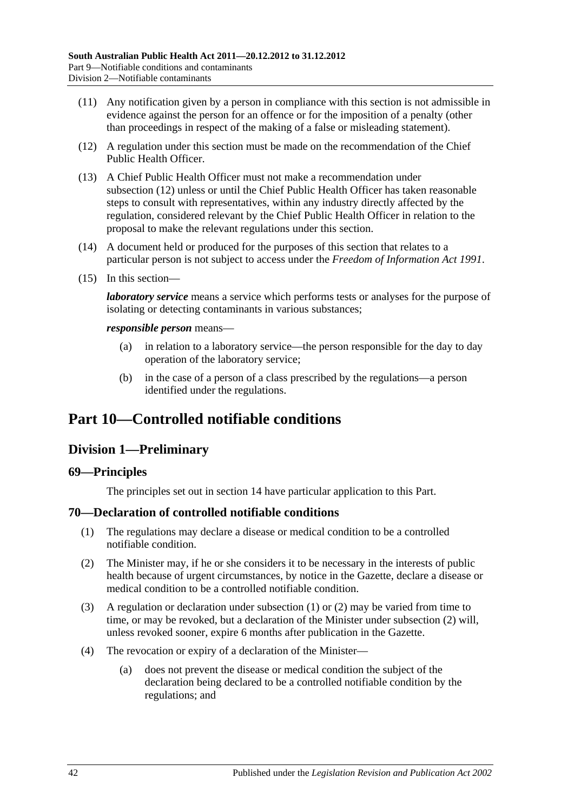- (11) Any notification given by a person in compliance with this section is not admissible in evidence against the person for an offence or for the imposition of a penalty (other than proceedings in respect of the making of a false or misleading statement).
- <span id="page-41-0"></span>(12) A regulation under this section must be made on the recommendation of the Chief Public Health Officer.
- (13) A Chief Public Health Officer must not make a recommendation under [subsection](#page-41-0) (12) unless or until the Chief Public Health Officer has taken reasonable steps to consult with representatives, within any industry directly affected by the regulation, considered relevant by the Chief Public Health Officer in relation to the proposal to make the relevant regulations under this section.
- (14) A document held or produced for the purposes of this section that relates to a particular person is not subject to access under the *[Freedom of Information Act](http://www.legislation.sa.gov.au/index.aspx?action=legref&type=act&legtitle=Freedom%20of%20Information%20Act%201991) 1991*.
- (15) In this section—

*laboratory service* means a service which performs tests or analyses for the purpose of isolating or detecting contaminants in various substances;

#### *responsible person* means—

- (a) in relation to a laboratory service—the person responsible for the day to day operation of the laboratory service;
- (b) in the case of a person of a class prescribed by the regulations—a person identified under the regulations.

# <span id="page-41-3"></span>**Part 10—Controlled notifiable conditions**

# **Division 1—Preliminary**

#### **69—Principles**

The principles set out in [section](#page-9-0) 14 have particular application to this Part.

#### <span id="page-41-1"></span>**70—Declaration of controlled notifiable conditions**

- (1) The regulations may declare a disease or medical condition to be a controlled notifiable condition.
- <span id="page-41-2"></span>(2) The Minister may, if he or she considers it to be necessary in the interests of public health because of urgent circumstances, by notice in the Gazette, declare a disease or medical condition to be a controlled notifiable condition.
- (3) A regulation or declaration under [subsection](#page-41-1) (1) or [\(2\)](#page-41-2) may be varied from time to time, or may be revoked, but a declaration of the Minister under [subsection](#page-41-2) (2) will, unless revoked sooner, expire 6 months after publication in the Gazette.
- (4) The revocation or expiry of a declaration of the Minister—
	- (a) does not prevent the disease or medical condition the subject of the declaration being declared to be a controlled notifiable condition by the regulations; and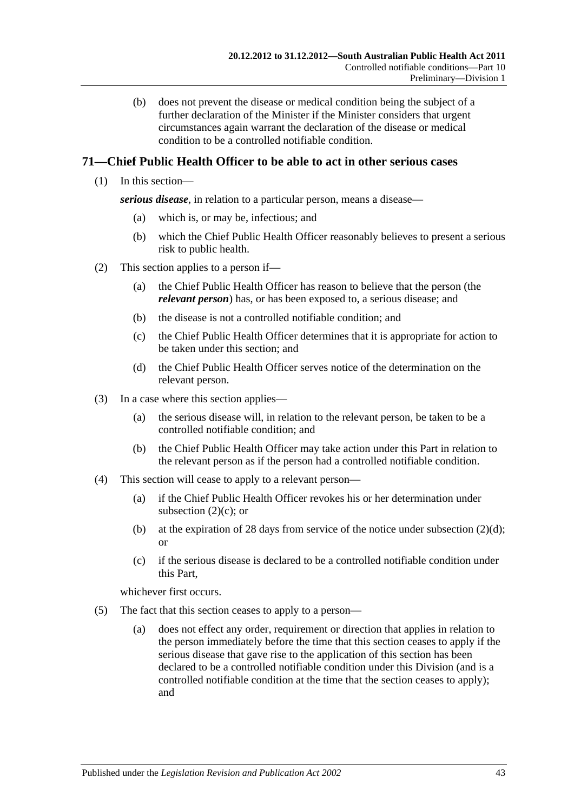(b) does not prevent the disease or medical condition being the subject of a further declaration of the Minister if the Minister considers that urgent circumstances again warrant the declaration of the disease or medical condition to be a controlled notifiable condition.

# **71—Chief Public Health Officer to be able to act in other serious cases**

(1) In this section—

*serious disease*, in relation to a particular person, means a disease—

- (a) which is, or may be, infectious; and
- (b) which the Chief Public Health Officer reasonably believes to present a serious risk to public health.
- <span id="page-42-2"></span><span id="page-42-0"></span>(2) This section applies to a person if—
	- (a) the Chief Public Health Officer has reason to believe that the person (the *relevant person*) has, or has been exposed to, a serious disease; and
	- (b) the disease is not a controlled notifiable condition; and
	- (c) the Chief Public Health Officer determines that it is appropriate for action to be taken under this section; and
	- (d) the Chief Public Health Officer serves notice of the determination on the relevant person.
- <span id="page-42-1"></span>(3) In a case where this section applies—
	- (a) the serious disease will, in relation to the relevant person, be taken to be a controlled notifiable condition; and
	- (b) the Chief Public Health Officer may take action under this Part in relation to the relevant person as if the person had a controlled notifiable condition.
- (4) This section will cease to apply to a relevant person—
	- (a) if the Chief Public Health Officer revokes his or her determination under [subsection](#page-42-0)  $(2)(c)$ ; or
	- (b) at the expiration of 28 days from service of the notice under [subsection](#page-42-1)  $(2)(d)$ ; or
	- (c) if the serious disease is declared to be a controlled notifiable condition under this Part,

whichever first occurs.

- (5) The fact that this section ceases to apply to a person—
	- (a) does not effect any order, requirement or direction that applies in relation to the person immediately before the time that this section ceases to apply if the serious disease that gave rise to the application of this section has been declared to be a controlled notifiable condition under this Division (and is a controlled notifiable condition at the time that the section ceases to apply); and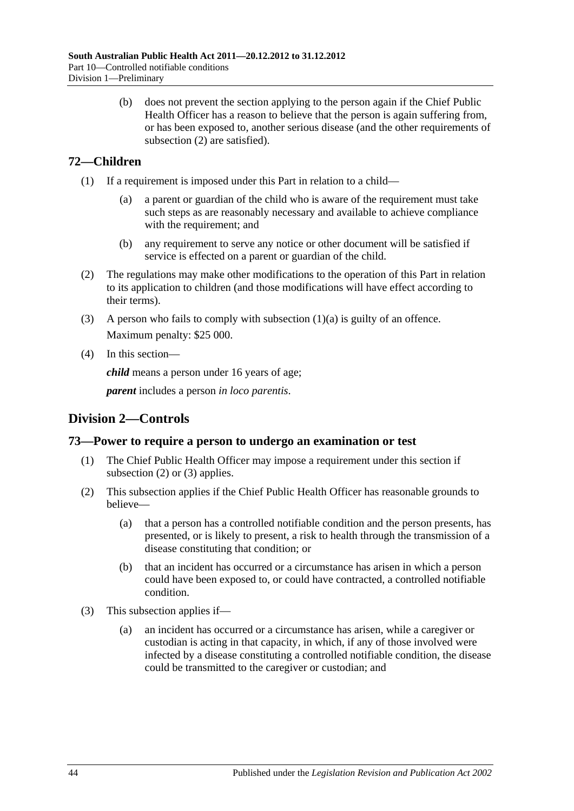(b) does not prevent the section applying to the person again if the Chief Public Health Officer has a reason to believe that the person is again suffering from, or has been exposed to, another serious disease (and the other requirements of [subsection](#page-42-2) (2) are satisfied).

# **72—Children**

- <span id="page-43-0"></span>(1) If a requirement is imposed under this Part in relation to a child—
	- (a) a parent or guardian of the child who is aware of the requirement must take such steps as are reasonably necessary and available to achieve compliance with the requirement; and
	- (b) any requirement to serve any notice or other document will be satisfied if service is effected on a parent or guardian of the child.
- (2) The regulations may make other modifications to the operation of this Part in relation to its application to children (and those modifications will have effect according to their terms).
- (3) A person who fails to comply with [subsection](#page-43-0) (1)(a) is guilty of an offence. Maximum penalty: \$25 000.
- (4) In this section—

*child* means a person under 16 years of age;

*parent* includes a person *in loco parentis*.

# **Division 2—Controls**

# **73—Power to require a person to undergo an examination or test**

- (1) The Chief Public Health Officer may impose a requirement under this section if [subsection](#page-43-1) (2) or [\(3\)](#page-43-2) applies.
- <span id="page-43-1"></span>(2) This subsection applies if the Chief Public Health Officer has reasonable grounds to believe—
	- (a) that a person has a controlled notifiable condition and the person presents, has presented, or is likely to present, a risk to health through the transmission of a disease constituting that condition; or
	- (b) that an incident has occurred or a circumstance has arisen in which a person could have been exposed to, or could have contracted, a controlled notifiable condition.
- <span id="page-43-2"></span>(3) This subsection applies if—
	- (a) an incident has occurred or a circumstance has arisen, while a caregiver or custodian is acting in that capacity, in which, if any of those involved were infected by a disease constituting a controlled notifiable condition, the disease could be transmitted to the caregiver or custodian; and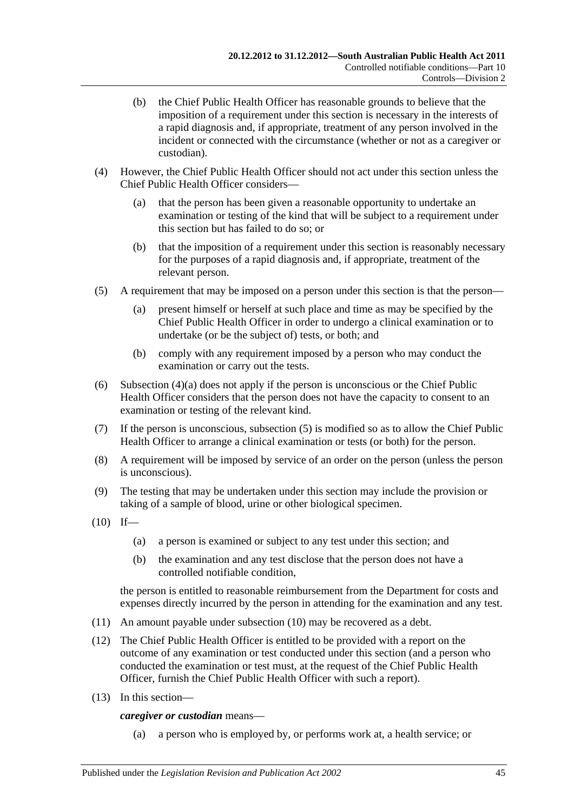- (b) the Chief Public Health Officer has reasonable grounds to believe that the imposition of a requirement under this section is necessary in the interests of a rapid diagnosis and, if appropriate, treatment of any person involved in the incident or connected with the circumstance (whether or not as a caregiver or custodian).
- <span id="page-44-0"></span>(4) However, the Chief Public Health Officer should not act under this section unless the Chief Public Health Officer considers—
	- (a) that the person has been given a reasonable opportunity to undertake an examination or testing of the kind that will be subject to a requirement under this section but has failed to do so; or
	- (b) that the imposition of a requirement under this section is reasonably necessary for the purposes of a rapid diagnosis and, if appropriate, treatment of the relevant person.
- <span id="page-44-1"></span>(5) A requirement that may be imposed on a person under this section is that the person—
	- (a) present himself or herself at such place and time as may be specified by the Chief Public Health Officer in order to undergo a clinical examination or to undertake (or be the subject of) tests, or both; and
	- (b) comply with any requirement imposed by a person who may conduct the examination or carry out the tests.
- (6) [Subsection](#page-44-0) (4)(a) does not apply if the person is unconscious or the Chief Public Health Officer considers that the person does not have the capacity to consent to an examination or testing of the relevant kind.
- (7) If the person is unconscious, [subsection](#page-44-1) (5) is modified so as to allow the Chief Public Health Officer to arrange a clinical examination or tests (or both) for the person.
- (8) A requirement will be imposed by service of an order on the person (unless the person is unconscious).
- (9) The testing that may be undertaken under this section may include the provision or taking of a sample of blood, urine or other biological specimen.
- <span id="page-44-2"></span> $(10)$  If—
	- (a) a person is examined or subject to any test under this section; and
	- (b) the examination and any test disclose that the person does not have a controlled notifiable condition,

the person is entitled to reasonable reimbursement from the Department for costs and expenses directly incurred by the person in attending for the examination and any test.

- (11) An amount payable under [subsection](#page-44-2) (10) may be recovered as a debt.
- (12) The Chief Public Health Officer is entitled to be provided with a report on the outcome of any examination or test conducted under this section (and a person who conducted the examination or test must, at the request of the Chief Public Health Officer, furnish the Chief Public Health Officer with such a report).
- (13) In this section—

*caregiver or custodian* means—

(a) a person who is employed by, or performs work at, a health service; or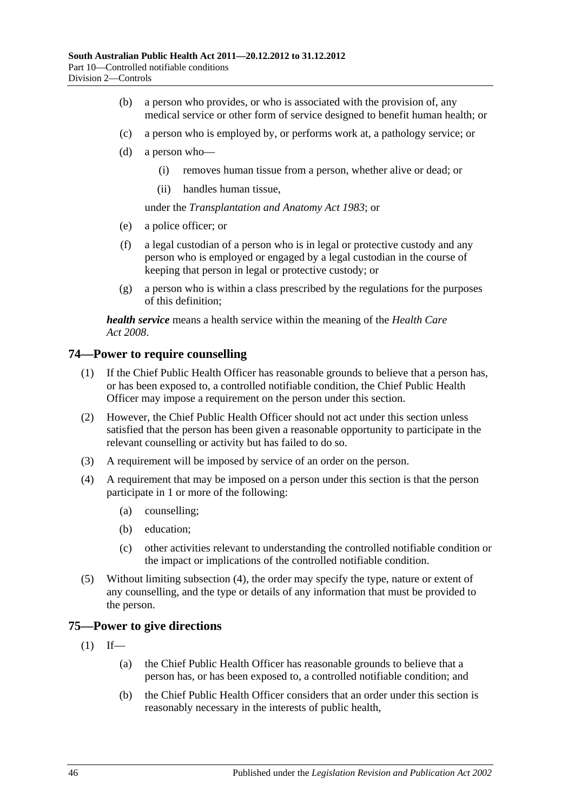- (b) a person who provides, or who is associated with the provision of, any medical service or other form of service designed to benefit human health; or
- (c) a person who is employed by, or performs work at, a pathology service; or
- (d) a person who—
	- (i) removes human tissue from a person, whether alive or dead; or
	- (ii) handles human tissue,

under the *[Transplantation and Anatomy Act](http://www.legislation.sa.gov.au/index.aspx?action=legref&type=act&legtitle=Transplantation%20and%20Anatomy%20Act%201983) 1983*; or

- (e) a police officer; or
- (f) a legal custodian of a person who is in legal or protective custody and any person who is employed or engaged by a legal custodian in the course of keeping that person in legal or protective custody; or
- (g) a person who is within a class prescribed by the regulations for the purposes of this definition;

*health service* means a health service within the meaning of the *[Health Care](http://www.legislation.sa.gov.au/index.aspx?action=legref&type=act&legtitle=Health%20Care%20Act%202008)  Act [2008](http://www.legislation.sa.gov.au/index.aspx?action=legref&type=act&legtitle=Health%20Care%20Act%202008)*.

#### **74—Power to require counselling**

- (1) If the Chief Public Health Officer has reasonable grounds to believe that a person has, or has been exposed to, a controlled notifiable condition, the Chief Public Health Officer may impose a requirement on the person under this section.
- (2) However, the Chief Public Health Officer should not act under this section unless satisfied that the person has been given a reasonable opportunity to participate in the relevant counselling or activity but has failed to do so.
- (3) A requirement will be imposed by service of an order on the person.
- <span id="page-45-0"></span>(4) A requirement that may be imposed on a person under this section is that the person participate in 1 or more of the following:
	- (a) counselling;
	- (b) education;
	- (c) other activities relevant to understanding the controlled notifiable condition or the impact or implications of the controlled notifiable condition.
- (5) Without limiting [subsection](#page-45-0) (4), the order may specify the type, nature or extent of any counselling, and the type or details of any information that must be provided to the person.

#### <span id="page-45-1"></span>**75—Power to give directions**

- $(1)$  If—
	- (a) the Chief Public Health Officer has reasonable grounds to believe that a person has, or has been exposed to, a controlled notifiable condition; and
	- (b) the Chief Public Health Officer considers that an order under this section is reasonably necessary in the interests of public health,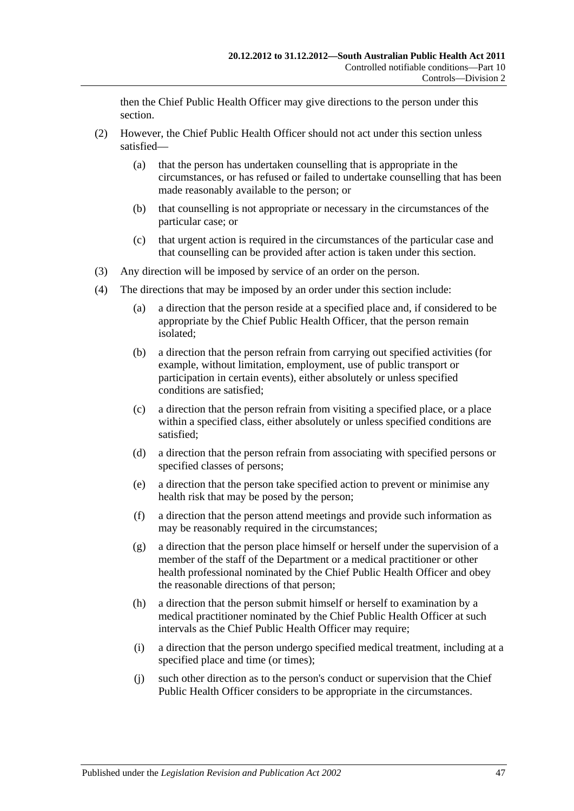then the Chief Public Health Officer may give directions to the person under this section.

- (2) However, the Chief Public Health Officer should not act under this section unless satisfied—
	- (a) that the person has undertaken counselling that is appropriate in the circumstances, or has refused or failed to undertake counselling that has been made reasonably available to the person; or
	- (b) that counselling is not appropriate or necessary in the circumstances of the particular case; or
	- (c) that urgent action is required in the circumstances of the particular case and that counselling can be provided after action is taken under this section.
- (3) Any direction will be imposed by service of an order on the person.
- <span id="page-46-1"></span><span id="page-46-0"></span>(4) The directions that may be imposed by an order under this section include:
	- (a) a direction that the person reside at a specified place and, if considered to be appropriate by the Chief Public Health Officer, that the person remain isolated;
	- (b) a direction that the person refrain from carrying out specified activities (for example, without limitation, employment, use of public transport or participation in certain events), either absolutely or unless specified conditions are satisfied;
	- (c) a direction that the person refrain from visiting a specified place, or a place within a specified class, either absolutely or unless specified conditions are satisfied;
	- (d) a direction that the person refrain from associating with specified persons or specified classes of persons;
	- (e) a direction that the person take specified action to prevent or minimise any health risk that may be posed by the person;
	- (f) a direction that the person attend meetings and provide such information as may be reasonably required in the circumstances;
	- (g) a direction that the person place himself or herself under the supervision of a member of the staff of the Department or a medical practitioner or other health professional nominated by the Chief Public Health Officer and obey the reasonable directions of that person;
	- (h) a direction that the person submit himself or herself to examination by a medical practitioner nominated by the Chief Public Health Officer at such intervals as the Chief Public Health Officer may require;
	- (i) a direction that the person undergo specified medical treatment, including at a specified place and time (or times);
	- (j) such other direction as to the person's conduct or supervision that the Chief Public Health Officer considers to be appropriate in the circumstances.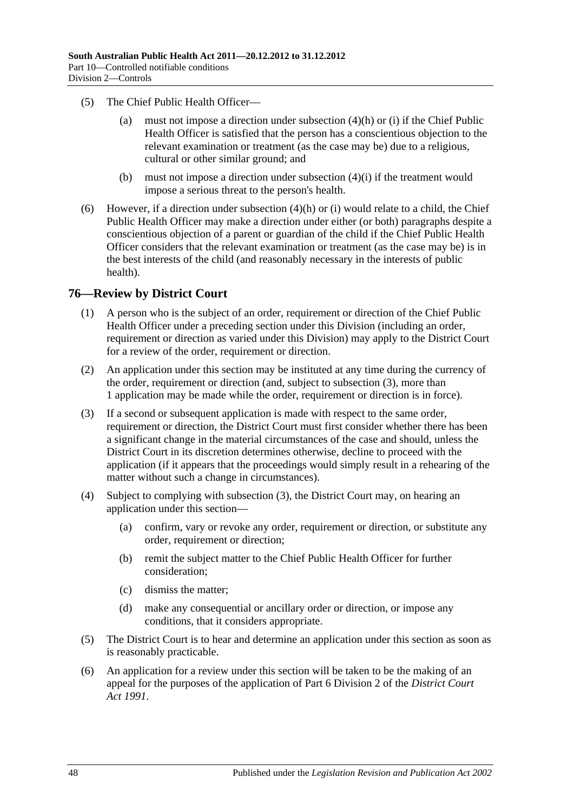- (5) The Chief Public Health Officer—
	- (a) must not impose a direction under [subsection](#page-46-0) (4)(h) or [\(i\)](#page-46-1) if the Chief Public Health Officer is satisfied that the person has a conscientious objection to the relevant examination or treatment (as the case may be) due to a religious, cultural or other similar ground; and
	- (b) must not impose a direction under [subsection](#page-46-1) (4)(i) if the treatment would impose a serious threat to the person's health.
- (6) However, if a direction under [subsection](#page-46-0) (4)(h) or [\(i\)](#page-46-1) would relate to a child, the Chief Public Health Officer may make a direction under either (or both) paragraphs despite a conscientious objection of a parent or guardian of the child if the Chief Public Health Officer considers that the relevant examination or treatment (as the case may be) is in the best interests of the child (and reasonably necessary in the interests of public health).

#### **76—Review by District Court**

- (1) A person who is the subject of an order, requirement or direction of the Chief Public Health Officer under a preceding section under this Division (including an order, requirement or direction as varied under this Division) may apply to the District Court for a review of the order, requirement or direction.
- (2) An application under this section may be instituted at any time during the currency of the order, requirement or direction (and, subject to [subsection](#page-47-0) (3), more than 1 application may be made while the order, requirement or direction is in force).
- <span id="page-47-0"></span>(3) If a second or subsequent application is made with respect to the same order, requirement or direction, the District Court must first consider whether there has been a significant change in the material circumstances of the case and should, unless the District Court in its discretion determines otherwise, decline to proceed with the application (if it appears that the proceedings would simply result in a rehearing of the matter without such a change in circumstances).
- (4) Subject to complying with [subsection](#page-47-0) (3), the District Court may, on hearing an application under this section—
	- (a) confirm, vary or revoke any order, requirement or direction, or substitute any order, requirement or direction;
	- (b) remit the subject matter to the Chief Public Health Officer for further consideration;
	- (c) dismiss the matter;
	- (d) make any consequential or ancillary order or direction, or impose any conditions, that it considers appropriate.
- (5) The District Court is to hear and determine an application under this section as soon as is reasonably practicable.
- (6) An application for a review under this section will be taken to be the making of an appeal for the purposes of the application of Part 6 Division 2 of the *[District Court](http://www.legislation.sa.gov.au/index.aspx?action=legref&type=act&legtitle=District%20Court%20Act%201991)  Act [1991](http://www.legislation.sa.gov.au/index.aspx?action=legref&type=act&legtitle=District%20Court%20Act%201991)*.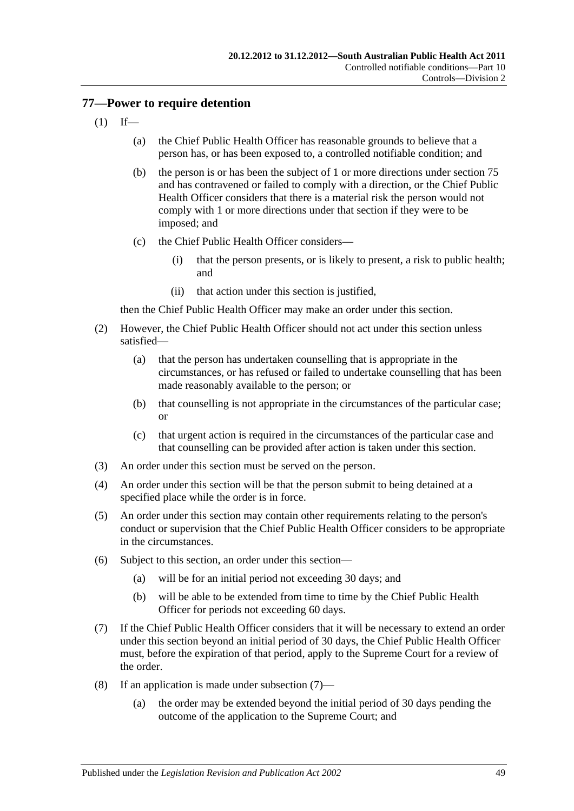## <span id="page-48-2"></span>**77—Power to require detention**

- $(1)$  If—
	- (a) the Chief Public Health Officer has reasonable grounds to believe that a person has, or has been exposed to, a controlled notifiable condition; and
	- (b) the person is or has been the subject of 1 or more directions under [section](#page-45-1) 75 and has contravened or failed to comply with a direction, or the Chief Public Health Officer considers that there is a material risk the person would not comply with 1 or more directions under that section if they were to be imposed; and
	- (c) the Chief Public Health Officer considers—
		- (i) that the person presents, or is likely to present, a risk to public health; and
		- (ii) that action under this section is justified,

then the Chief Public Health Officer may make an order under this section.

- (2) However, the Chief Public Health Officer should not act under this section unless satisfied—
	- (a) that the person has undertaken counselling that is appropriate in the circumstances, or has refused or failed to undertake counselling that has been made reasonably available to the person; or
	- (b) that counselling is not appropriate in the circumstances of the particular case; or
	- (c) that urgent action is required in the circumstances of the particular case and that counselling can be provided after action is taken under this section.
- (3) An order under this section must be served on the person.
- (4) An order under this section will be that the person submit to being detained at a specified place while the order is in force.
- (5) An order under this section may contain other requirements relating to the person's conduct or supervision that the Chief Public Health Officer considers to be appropriate in the circumstances.
- (6) Subject to this section, an order under this section—
	- (a) will be for an initial period not exceeding 30 days; and
	- (b) will be able to be extended from time to time by the Chief Public Health Officer for periods not exceeding 60 days.
- <span id="page-48-0"></span>(7) If the Chief Public Health Officer considers that it will be necessary to extend an order under this section beyond an initial period of 30 days, the Chief Public Health Officer must, before the expiration of that period, apply to the Supreme Court for a review of the order.
- <span id="page-48-1"></span>(8) If an application is made under [subsection](#page-48-0) (7)—
	- (a) the order may be extended beyond the initial period of 30 days pending the outcome of the application to the Supreme Court; and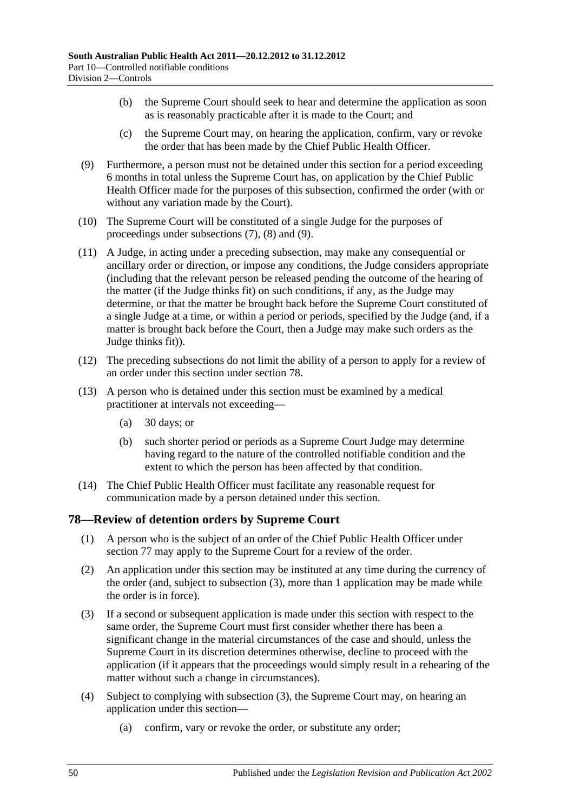- (b) the Supreme Court should seek to hear and determine the application as soon as is reasonably practicable after it is made to the Court; and
- (c) the Supreme Court may, on hearing the application, confirm, vary or revoke the order that has been made by the Chief Public Health Officer.
- <span id="page-49-0"></span>(9) Furthermore, a person must not be detained under this section for a period exceeding 6 months in total unless the Supreme Court has, on application by the Chief Public Health Officer made for the purposes of this subsection, confirmed the order (with or without any variation made by the Court).
- (10) The Supreme Court will be constituted of a single Judge for the purposes of proceedings under [subsections](#page-48-0) (7), [\(8\)](#page-48-1) and [\(9\).](#page-49-0)
- (11) A Judge, in acting under a preceding subsection, may make any consequential or ancillary order or direction, or impose any conditions, the Judge considers appropriate (including that the relevant person be released pending the outcome of the hearing of the matter (if the Judge thinks fit) on such conditions, if any, as the Judge may determine, or that the matter be brought back before the Supreme Court constituted of a single Judge at a time, or within a period or periods, specified by the Judge (and, if a matter is brought back before the Court, then a Judge may make such orders as the Judge thinks fit)).
- (12) The preceding subsections do not limit the ability of a person to apply for a review of an order under this section under [section](#page-49-1) 78.
- (13) A person who is detained under this section must be examined by a medical practitioner at intervals not exceeding—
	- (a) 30 days; or
	- (b) such shorter period or periods as a Supreme Court Judge may determine having regard to the nature of the controlled notifiable condition and the extent to which the person has been affected by that condition.
- (14) The Chief Public Health Officer must facilitate any reasonable request for communication made by a person detained under this section.

## <span id="page-49-1"></span>**78—Review of detention orders by Supreme Court**

- (1) A person who is the subject of an order of the Chief Public Health Officer under [section](#page-48-2) 77 may apply to the Supreme Court for a review of the order.
- (2) An application under this section may be instituted at any time during the currency of the order (and, subject to [subsection](#page-49-2) (3), more than 1 application may be made while the order is in force).
- <span id="page-49-2"></span>(3) If a second or subsequent application is made under this section with respect to the same order, the Supreme Court must first consider whether there has been a significant change in the material circumstances of the case and should, unless the Supreme Court in its discretion determines otherwise, decline to proceed with the application (if it appears that the proceedings would simply result in a rehearing of the matter without such a change in circumstances).
- (4) Subject to complying with [subsection](#page-49-2) (3), the Supreme Court may, on hearing an application under this section—
	- (a) confirm, vary or revoke the order, or substitute any order;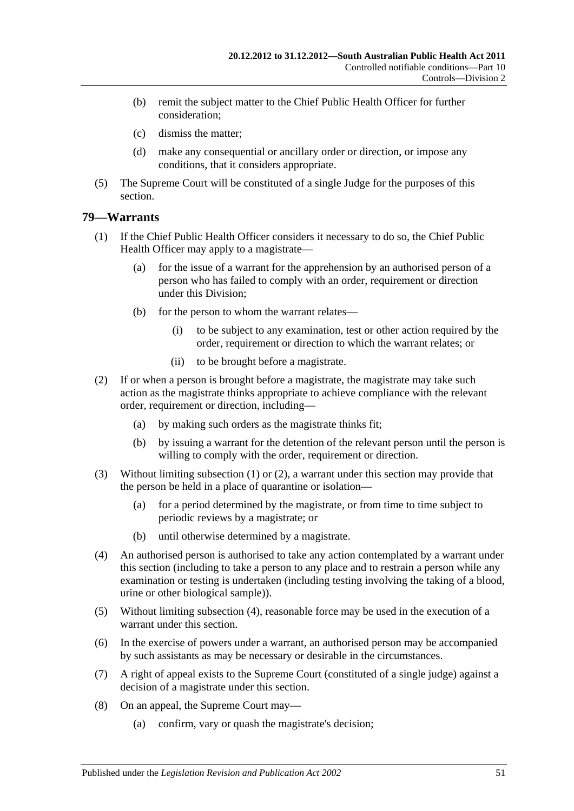- (b) remit the subject matter to the Chief Public Health Officer for further consideration;
- (c) dismiss the matter;
- (d) make any consequential or ancillary order or direction, or impose any conditions, that it considers appropriate.
- (5) The Supreme Court will be constituted of a single Judge for the purposes of this section.

## <span id="page-50-0"></span>**79—Warrants**

- (1) If the Chief Public Health Officer considers it necessary to do so, the Chief Public Health Officer may apply to a magistrate—
	- (a) for the issue of a warrant for the apprehension by an authorised person of a person who has failed to comply with an order, requirement or direction under this Division;
	- (b) for the person to whom the warrant relates—
		- (i) to be subject to any examination, test or other action required by the order, requirement or direction to which the warrant relates; or
		- (ii) to be brought before a magistrate.
- <span id="page-50-1"></span>(2) If or when a person is brought before a magistrate, the magistrate may take such action as the magistrate thinks appropriate to achieve compliance with the relevant order, requirement or direction, including—
	- (a) by making such orders as the magistrate thinks fit;
	- (b) by issuing a warrant for the detention of the relevant person until the person is willing to comply with the order, requirement or direction.
- (3) Without limiting [subsection](#page-50-0) (1) or [\(2\),](#page-50-1) a warrant under this section may provide that the person be held in a place of quarantine or isolation—
	- (a) for a period determined by the magistrate, or from time to time subject to periodic reviews by a magistrate; or
	- (b) until otherwise determined by a magistrate.
- <span id="page-50-2"></span>(4) An authorised person is authorised to take any action contemplated by a warrant under this section (including to take a person to any place and to restrain a person while any examination or testing is undertaken (including testing involving the taking of a blood, urine or other biological sample)).
- (5) Without limiting [subsection](#page-50-2) (4), reasonable force may be used in the execution of a warrant under this section.
- (6) In the exercise of powers under a warrant, an authorised person may be accompanied by such assistants as may be necessary or desirable in the circumstances.
- (7) A right of appeal exists to the Supreme Court (constituted of a single judge) against a decision of a magistrate under this section.
- (8) On an appeal, the Supreme Court may—
	- (a) confirm, vary or quash the magistrate's decision;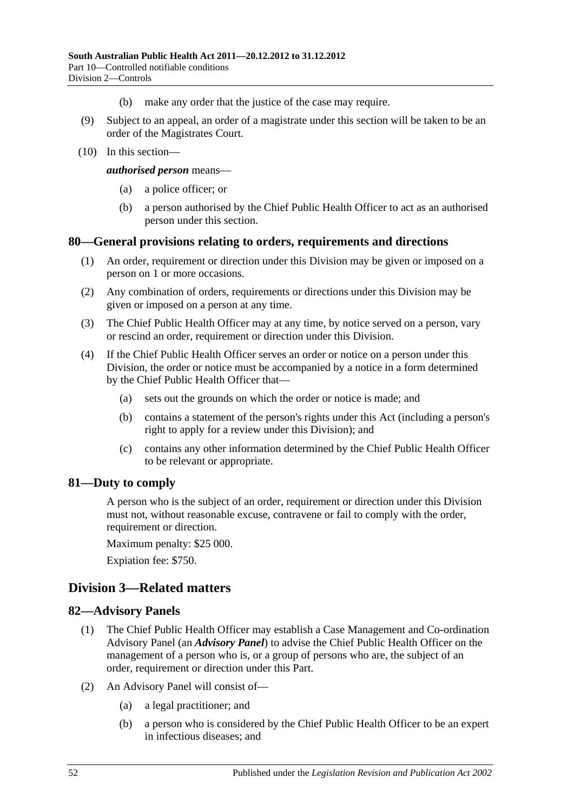- (b) make any order that the justice of the case may require.
- (9) Subject to an appeal, an order of a magistrate under this section will be taken to be an order of the Magistrates Court.
- (10) In this section—

*authorised person* means—

- (a) a police officer; or
- (b) a person authorised by the Chief Public Health Officer to act as an authorised person under this section.

#### **80—General provisions relating to orders, requirements and directions**

- (1) An order, requirement or direction under this Division may be given or imposed on a person on 1 or more occasions.
- (2) Any combination of orders, requirements or directions under this Division may be given or imposed on a person at any time.
- (3) The Chief Public Health Officer may at any time, by notice served on a person, vary or rescind an order, requirement or direction under this Division.
- (4) If the Chief Public Health Officer serves an order or notice on a person under this Division, the order or notice must be accompanied by a notice in a form determined by the Chief Public Health Officer that—
	- (a) sets out the grounds on which the order or notice is made; and
	- (b) contains a statement of the person's rights under this Act (including a person's right to apply for a review under this Division); and
	- (c) contains any other information determined by the Chief Public Health Officer to be relevant or appropriate.

#### **81—Duty to comply**

A person who is the subject of an order, requirement or direction under this Division must not, without reasonable excuse, contravene or fail to comply with the order, requirement or direction.

Maximum penalty: \$25 000.

Expiation fee: \$750.

## **Division 3—Related matters**

#### **82—Advisory Panels**

- (1) The Chief Public Health Officer may establish a Case Management and Co-ordination Advisory Panel (an *Advisory Panel*) to advise the Chief Public Health Officer on the management of a person who is, or a group of persons who are, the subject of an order, requirement or direction under this Part.
- (2) An Advisory Panel will consist of—
	- (a) a legal practitioner; and
	- (b) a person who is considered by the Chief Public Health Officer to be an expert in infectious diseases; and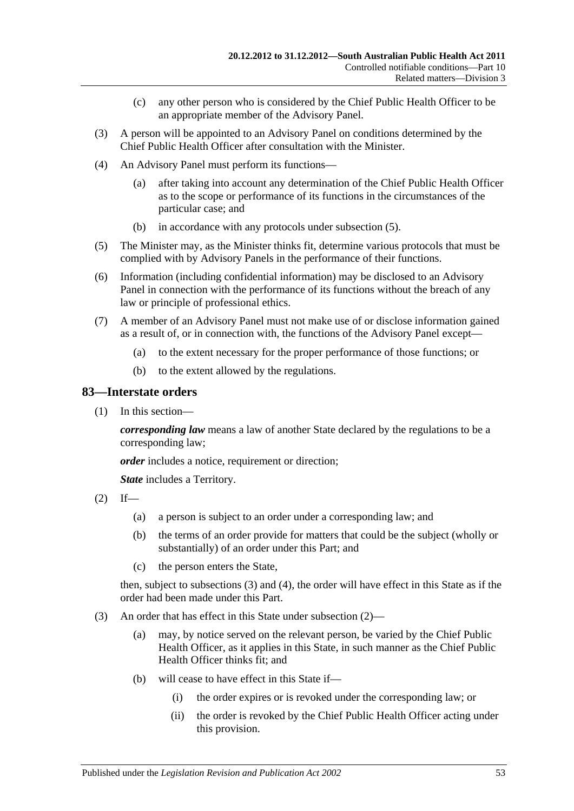- (c) any other person who is considered by the Chief Public Health Officer to be an appropriate member of the Advisory Panel.
- (3) A person will be appointed to an Advisory Panel on conditions determined by the Chief Public Health Officer after consultation with the Minister.
- (4) An Advisory Panel must perform its functions—
	- (a) after taking into account any determination of the Chief Public Health Officer as to the scope or performance of its functions in the circumstances of the particular case; and
	- (b) in accordance with any protocols under [subsection](#page-52-0) (5).
- <span id="page-52-0"></span>(5) The Minister may, as the Minister thinks fit, determine various protocols that must be complied with by Advisory Panels in the performance of their functions.
- (6) Information (including confidential information) may be disclosed to an Advisory Panel in connection with the performance of its functions without the breach of any law or principle of professional ethics.
- (7) A member of an Advisory Panel must not make use of or disclose information gained as a result of, or in connection with, the functions of the Advisory Panel except—
	- (a) to the extent necessary for the proper performance of those functions; or
	- (b) to the extent allowed by the regulations.

#### **83—Interstate orders**

(1) In this section—

*corresponding law* means a law of another State declared by the regulations to be a corresponding law;

*order* includes a notice, requirement or direction;

*State* includes a Territory.

<span id="page-52-2"></span> $(2)$  If—

- (a) a person is subject to an order under a corresponding law; and
- (b) the terms of an order provide for matters that could be the subject (wholly or substantially) of an order under this Part; and
- (c) the person enters the State,

then, subject to [subsections](#page-52-1) (3) and [\(4\),](#page-53-0) the order will have effect in this State as if the order had been made under this Part.

- <span id="page-52-1"></span>(3) An order that has effect in this State under [subsection](#page-52-2) (2)—
	- (a) may, by notice served on the relevant person, be varied by the Chief Public Health Officer, as it applies in this State, in such manner as the Chief Public Health Officer thinks fit: and
	- (b) will cease to have effect in this State if—
		- (i) the order expires or is revoked under the corresponding law; or
		- (ii) the order is revoked by the Chief Public Health Officer acting under this provision.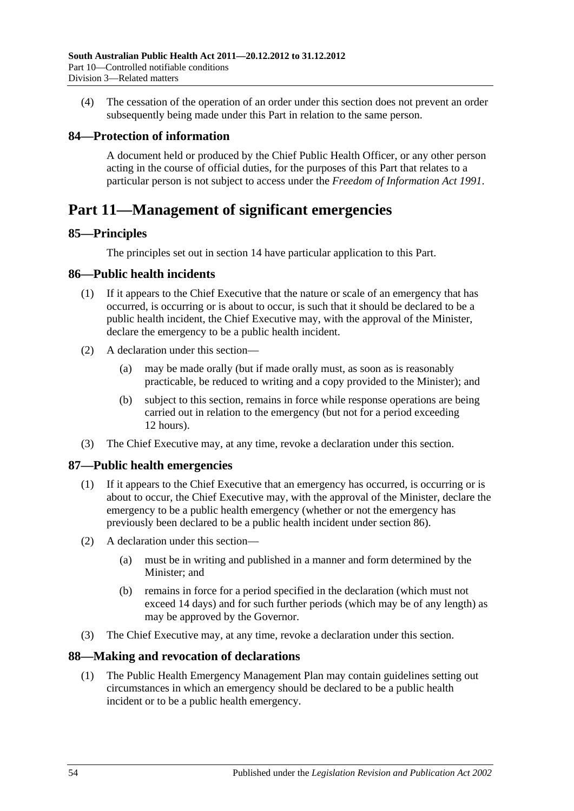<span id="page-53-0"></span>(4) The cessation of the operation of an order under this section does not prevent an order subsequently being made under this Part in relation to the same person.

# **84—Protection of information**

A document held or produced by the Chief Public Health Officer, or any other person acting in the course of official duties, for the purposes of this Part that relates to a particular person is not subject to access under the *[Freedom of Information Act](http://www.legislation.sa.gov.au/index.aspx?action=legref&type=act&legtitle=Freedom%20of%20Information%20Act%201991) 1991*.

# **Part 11—Management of significant emergencies**

## **85—Principles**

The principles set out in [section](#page-9-0) 14 have particular application to this Part.

# <span id="page-53-1"></span>**86—Public health incidents**

- (1) If it appears to the Chief Executive that the nature or scale of an emergency that has occurred, is occurring or is about to occur, is such that it should be declared to be a public health incident, the Chief Executive may, with the approval of the Minister, declare the emergency to be a public health incident.
- (2) A declaration under this section—
	- (a) may be made orally (but if made orally must, as soon as is reasonably practicable, be reduced to writing and a copy provided to the Minister); and
	- (b) subject to this section, remains in force while response operations are being carried out in relation to the emergency (but not for a period exceeding 12 hours).
- (3) The Chief Executive may, at any time, revoke a declaration under this section.

# **87—Public health emergencies**

- (1) If it appears to the Chief Executive that an emergency has occurred, is occurring or is about to occur, the Chief Executive may, with the approval of the Minister, declare the emergency to be a public health emergency (whether or not the emergency has previously been declared to be a public health incident under [section](#page-53-1) 86).
- (2) A declaration under this section—
	- (a) must be in writing and published in a manner and form determined by the Minister; and
	- (b) remains in force for a period specified in the declaration (which must not exceed 14 days) and for such further periods (which may be of any length) as may be approved by the Governor.
- (3) The Chief Executive may, at any time, revoke a declaration under this section.

## **88—Making and revocation of declarations**

(1) The Public Health Emergency Management Plan may contain guidelines setting out circumstances in which an emergency should be declared to be a public health incident or to be a public health emergency.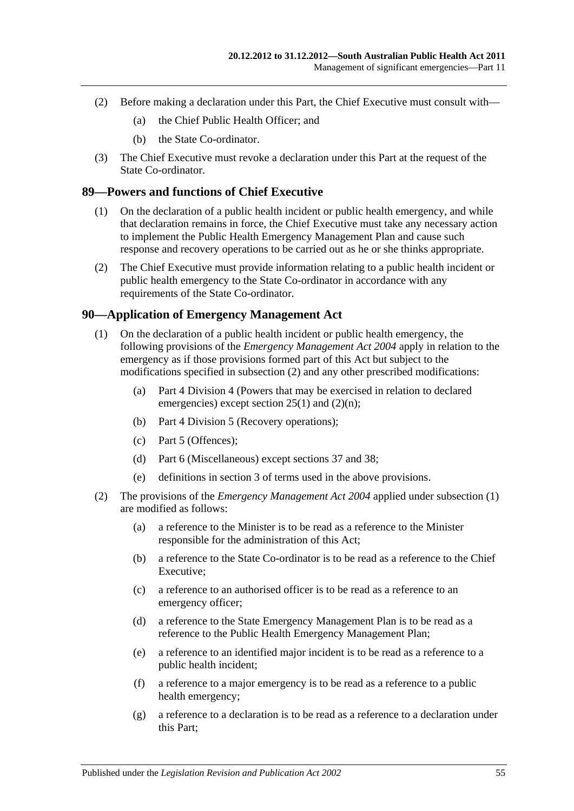- (2) Before making a declaration under this Part, the Chief Executive must consult with—
	- (a) the Chief Public Health Officer; and
	- (b) the State Co-ordinator.
- (3) The Chief Executive must revoke a declaration under this Part at the request of the State Co-ordinator.

#### <span id="page-54-2"></span>**89—Powers and functions of Chief Executive**

- (1) On the declaration of a public health incident or public health emergency, and while that declaration remains in force, the Chief Executive must take any necessary action to implement the Public Health Emergency Management Plan and cause such response and recovery operations to be carried out as he or she thinks appropriate.
- (2) The Chief Executive must provide information relating to a public health incident or public health emergency to the State Co-ordinator in accordance with any requirements of the State Co-ordinator.

#### <span id="page-54-1"></span>**90—Application of Emergency Management Act**

- (1) On the declaration of a public health incident or public health emergency, the following provisions of the *[Emergency Management Act](http://www.legislation.sa.gov.au/index.aspx?action=legref&type=act&legtitle=Emergency%20Management%20Act%202004) 2004* apply in relation to the emergency as if those provisions formed part of this Act but subject to the modifications specified in [subsection](#page-54-0) (2) and any other prescribed modifications:
	- (a) Part 4 Division 4 (Powers that may be exercised in relation to declared emergencies) except section 25(1) and (2)(n);
	- (b) Part 4 Division 5 (Recovery operations);
	- (c) Part 5 (Offences);
	- (d) Part 6 (Miscellaneous) except sections 37 and 38;
	- (e) definitions in section 3 of terms used in the above provisions.
- <span id="page-54-0"></span>(2) The provisions of the *[Emergency Management Act](http://www.legislation.sa.gov.au/index.aspx?action=legref&type=act&legtitle=Emergency%20Management%20Act%202004) 2004* applied under [subsection](#page-54-1) (1) are modified as follows:
	- (a) a reference to the Minister is to be read as a reference to the Minister responsible for the administration of this Act;
	- (b) a reference to the State Co-ordinator is to be read as a reference to the Chief Executive;
	- (c) a reference to an authorised officer is to be read as a reference to an emergency officer;
	- (d) a reference to the State Emergency Management Plan is to be read as a reference to the Public Health Emergency Management Plan;
	- (e) a reference to an identified major incident is to be read as a reference to a public health incident;
	- (f) a reference to a major emergency is to be read as a reference to a public health emergency;
	- (g) a reference to a declaration is to be read as a reference to a declaration under this Part;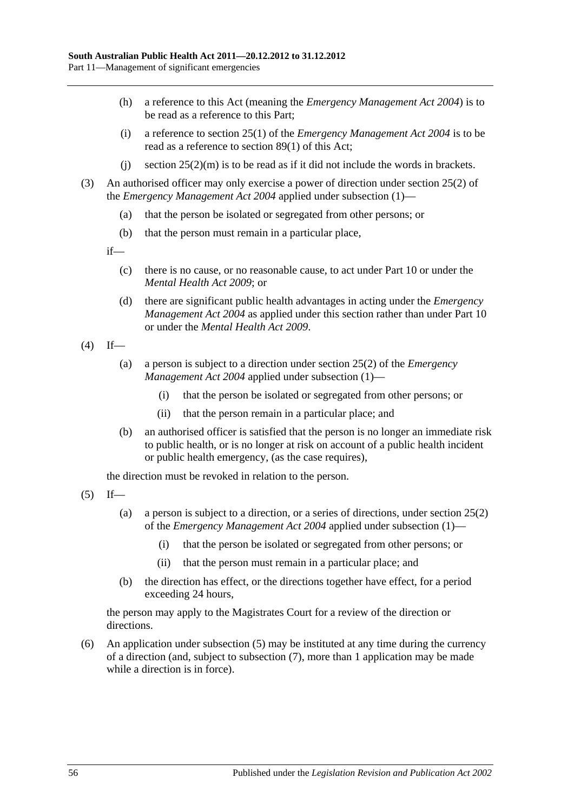- (h) a reference to this Act (meaning the *[Emergency Management Act](http://www.legislation.sa.gov.au/index.aspx?action=legref&type=act&legtitle=Emergency%20Management%20Act%202004) 2004*) is to be read as a reference to this Part;
- (i) a reference to section 25(1) of the *[Emergency Management Act](http://www.legislation.sa.gov.au/index.aspx?action=legref&type=act&legtitle=Emergency%20Management%20Act%202004) 2004* is to be read as a reference to [section](#page-54-2) 89(1) of this Act;
- (i) section  $25(2)(m)$  is to be read as if it did not include the words in brackets.
- (3) An authorised officer may only exercise a power of direction under section 25(2) of the *[Emergency Management Act](http://www.legislation.sa.gov.au/index.aspx?action=legref&type=act&legtitle=Emergency%20Management%20Act%202004) 2004* applied under [subsection](#page-54-1) (1)—
	- (a) that the person be isolated or segregated from other persons; or
	- (b) that the person must remain in a particular place,

if—

- (c) there is no cause, or no reasonable cause, to act under [Part](#page-41-3) 10 or under the *[Mental Health Act](http://www.legislation.sa.gov.au/index.aspx?action=legref&type=act&legtitle=Mental%20Health%20Act%202009) 2009*; or
- (d) there are significant public health advantages in acting under the *[Emergency](http://www.legislation.sa.gov.au/index.aspx?action=legref&type=act&legtitle=Emergency%20Management%20Act%202004)  [Management Act](http://www.legislation.sa.gov.au/index.aspx?action=legref&type=act&legtitle=Emergency%20Management%20Act%202004) 2004* as applied under this section rather than under [Part](#page-41-3) 10 or under the *[Mental Health Act](http://www.legislation.sa.gov.au/index.aspx?action=legref&type=act&legtitle=Mental%20Health%20Act%202009) 2009*.
- $(4)$  If—
	- (a) a person is subject to a direction under section 25(2) of the *[Emergency](http://www.legislation.sa.gov.au/index.aspx?action=legref&type=act&legtitle=Emergency%20Management%20Act%202004)  [Management Act](http://www.legislation.sa.gov.au/index.aspx?action=legref&type=act&legtitle=Emergency%20Management%20Act%202004) 2004* applied under [subsection](#page-54-1) (1)—
		- (i) that the person be isolated or segregated from other persons; or
		- (ii) that the person remain in a particular place; and
	- (b) an authorised officer is satisfied that the person is no longer an immediate risk to public health, or is no longer at risk on account of a public health incident or public health emergency, (as the case requires),

the direction must be revoked in relation to the person.

<span id="page-55-0"></span> $(5)$  If—

- (a) a person is subject to a direction, or a series of directions, under section 25(2) of the *[Emergency Management Act](http://www.legislation.sa.gov.au/index.aspx?action=legref&type=act&legtitle=Emergency%20Management%20Act%202004) 2004* applied under [subsection](#page-54-1) (1)—
	- (i) that the person be isolated or segregated from other persons; or
	- (ii) that the person must remain in a particular place; and
- (b) the direction has effect, or the directions together have effect, for a period exceeding 24 hours,

the person may apply to the Magistrates Court for a review of the direction or directions.

(6) An application under [subsection](#page-55-0) (5) may be instituted at any time during the currency of a direction (and, subject to [subsection](#page-56-0) (7), more than 1 application may be made while a direction is in force).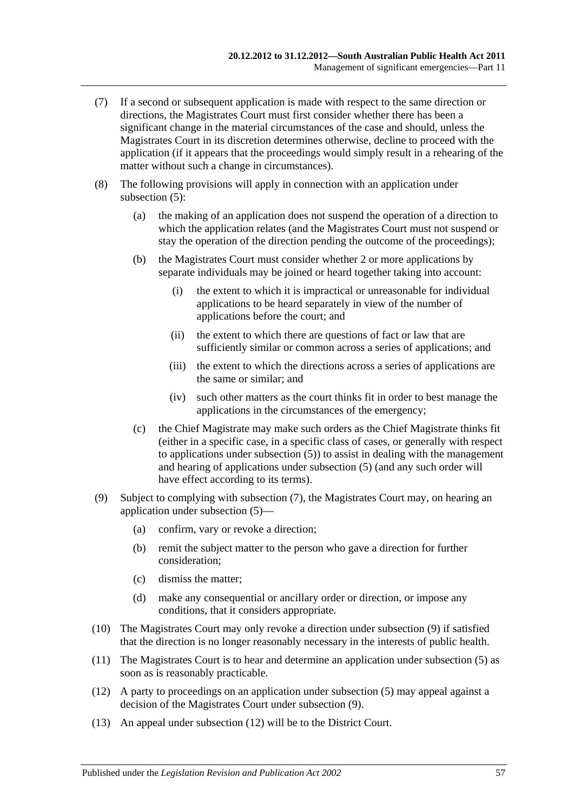- <span id="page-56-0"></span>(7) If a second or subsequent application is made with respect to the same direction or directions, the Magistrates Court must first consider whether there has been a significant change in the material circumstances of the case and should, unless the Magistrates Court in its discretion determines otherwise, decline to proceed with the application (if it appears that the proceedings would simply result in a rehearing of the matter without such a change in circumstances).
- (8) The following provisions will apply in connection with an application under [subsection](#page-55-0) (5):
	- (a) the making of an application does not suspend the operation of a direction to which the application relates (and the Magistrates Court must not suspend or stay the operation of the direction pending the outcome of the proceedings);
	- (b) the Magistrates Court must consider whether 2 or more applications by separate individuals may be joined or heard together taking into account:
		- (i) the extent to which it is impractical or unreasonable for individual applications to be heard separately in view of the number of applications before the court; and
		- (ii) the extent to which there are questions of fact or law that are sufficiently similar or common across a series of applications; and
		- (iii) the extent to which the directions across a series of applications are the same or similar; and
		- (iv) such other matters as the court thinks fit in order to best manage the applications in the circumstances of the emergency;
	- (c) the Chief Magistrate may make such orders as the Chief Magistrate thinks fit (either in a specific case, in a specific class of cases, or generally with respect to applications under [subsection](#page-55-0) (5)) to assist in dealing with the management and hearing of applications under [subsection](#page-55-0) (5) (and any such order will have effect according to its terms).
- <span id="page-56-1"></span>(9) Subject to complying with [subsection](#page-56-0) (7), the Magistrates Court may, on hearing an application under [subsection](#page-55-0) (5)—
	- (a) confirm, vary or revoke a direction;
	- (b) remit the subject matter to the person who gave a direction for further consideration;
	- (c) dismiss the matter;
	- (d) make any consequential or ancillary order or direction, or impose any conditions, that it considers appropriate.
- (10) The Magistrates Court may only revoke a direction under [subsection](#page-56-1) (9) if satisfied that the direction is no longer reasonably necessary in the interests of public health.
- (11) The Magistrates Court is to hear and determine an application under [subsection](#page-55-0) (5) as soon as is reasonably practicable.
- <span id="page-56-2"></span>(12) A party to proceedings on an application under [subsection](#page-55-0) (5) may appeal against a decision of the Magistrates Court under [subsection](#page-56-1) (9).
- (13) An appeal under [subsection](#page-56-2) (12) will be to the District Court.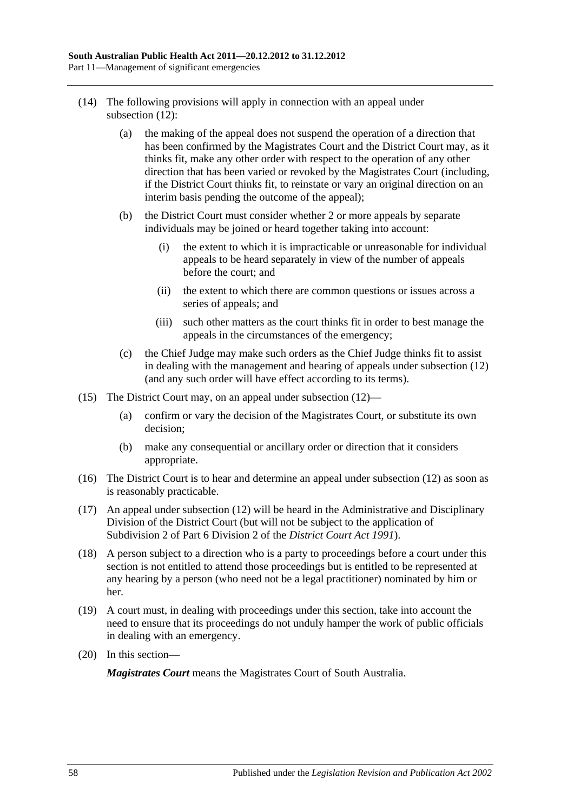- (14) The following provisions will apply in connection with an appeal under [subsection](#page-56-2) (12):
	- (a) the making of the appeal does not suspend the operation of a direction that has been confirmed by the Magistrates Court and the District Court may, as it thinks fit, make any other order with respect to the operation of any other direction that has been varied or revoked by the Magistrates Court (including, if the District Court thinks fit, to reinstate or vary an original direction on an interim basis pending the outcome of the appeal);
	- (b) the District Court must consider whether 2 or more appeals by separate individuals may be joined or heard together taking into account:
		- (i) the extent to which it is impracticable or unreasonable for individual appeals to be heard separately in view of the number of appeals before the court; and
		- (ii) the extent to which there are common questions or issues across a series of appeals; and
		- (iii) such other matters as the court thinks fit in order to best manage the appeals in the circumstances of the emergency;
	- (c) the Chief Judge may make such orders as the Chief Judge thinks fit to assist in dealing with the management and hearing of appeals under [subsection](#page-56-2) (12) (and any such order will have effect according to its terms).
- (15) The District Court may, on an appeal under [subsection](#page-56-2) (12)—
	- (a) confirm or vary the decision of the Magistrates Court, or substitute its own decision;
	- (b) make any consequential or ancillary order or direction that it considers appropriate.
- (16) The District Court is to hear and determine an appeal under [subsection](#page-56-2) (12) as soon as is reasonably practicable.
- (17) An appeal under [subsection](#page-56-2) (12) will be heard in the Administrative and Disciplinary Division of the District Court (but will not be subject to the application of Subdivision 2 of Part 6 Division 2 of the *[District Court Act](http://www.legislation.sa.gov.au/index.aspx?action=legref&type=act&legtitle=District%20Court%20Act%201991) 1991*).
- (18) A person subject to a direction who is a party to proceedings before a court under this section is not entitled to attend those proceedings but is entitled to be represented at any hearing by a person (who need not be a legal practitioner) nominated by him or her.
- (19) A court must, in dealing with proceedings under this section, take into account the need to ensure that its proceedings do not unduly hamper the work of public officials in dealing with an emergency.
- (20) In this section—

*Magistrates Court* means the Magistrates Court of South Australia.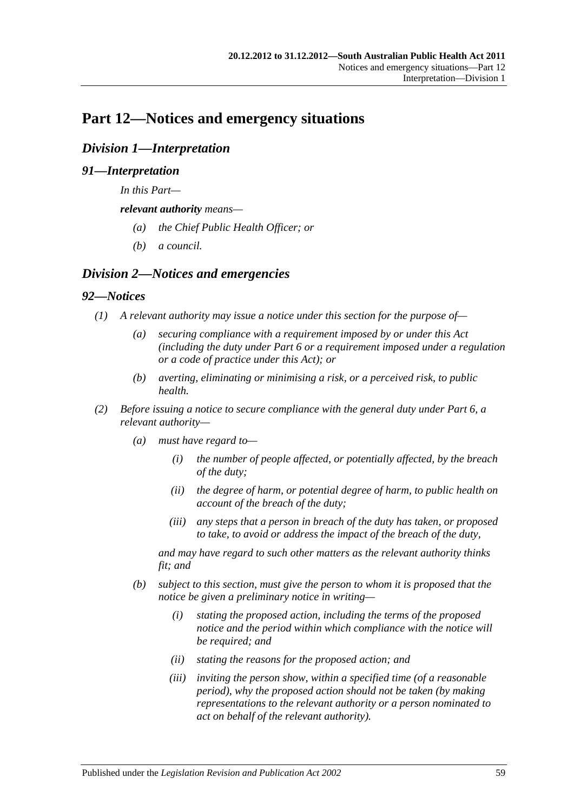# **Part 12—Notices and emergency situations**

# *Division 1—Interpretation*

# *91—Interpretation*

*In this Part—*

*relevant authority means—*

- *(a) the Chief Public Health Officer; or*
- *(b) a council.*

# *Division 2—Notices and emergencies*

#### *92—Notices*

- *(1) A relevant authority may issue a notice under this section for the purpose of—*
	- *(a) securing compliance with a requirement imposed by or under this Act (including the duty under [Part](#page-33-0) 6 or a requirement imposed under a regulation or a code of practice under this Act); or*
	- *(b) averting, eliminating or minimising a risk, or a perceived risk, to public health.*
- *(2) Before issuing a notice to secure compliance with the general duty under [Part](#page-33-0) 6, a relevant authority—*
	- *(a) must have regard to—*
		- *(i) the number of people affected, or potentially affected, by the breach of the duty;*
		- *(ii) the degree of harm, or potential degree of harm, to public health on account of the breach of the duty;*
		- *(iii) any steps that a person in breach of the duty has taken, or proposed to take, to avoid or address the impact of the breach of the duty,*

*and may have regard to such other matters as the relevant authority thinks fit; and*

- <span id="page-58-0"></span>*(b) subject to this section, must give the person to whom it is proposed that the notice be given a preliminary notice in writing—*
	- *(i) stating the proposed action, including the terms of the proposed notice and the period within which compliance with the notice will be required; and*
	- *(ii) stating the reasons for the proposed action; and*
	- *(iii) inviting the person show, within a specified time (of a reasonable period), why the proposed action should not be taken (by making representations to the relevant authority or a person nominated to act on behalf of the relevant authority).*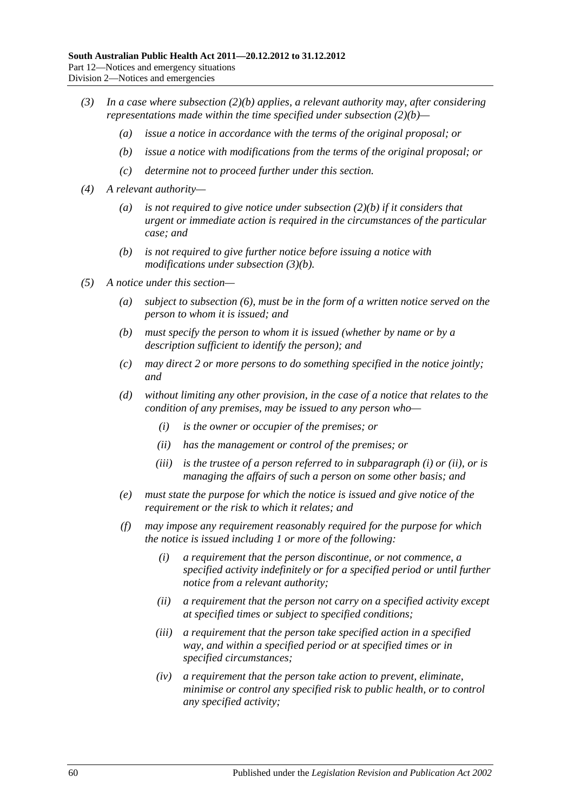- <span id="page-59-0"></span>*(3) In a case where [subsection](#page-58-0) (2)(b) applies, a relevant authority may, after considering representations made within the time specified under [subsection](#page-58-0) (2)(b)—*
	- *(a) issue a notice in accordance with the terms of the original proposal; or*
	- *(b) issue a notice with modifications from the terms of the original proposal; or*
	- *(c) determine not to proceed further under this section.*
- *(4) A relevant authority—*
	- *(a) is not required to give notice under [subsection](#page-58-0) (2)(b) if it considers that urgent or immediate action is required in the circumstances of the particular case; and*
	- *(b) is not required to give further notice before issuing a notice with modifications under [subsection](#page-59-0) (3)(b).*
- <span id="page-59-3"></span><span id="page-59-2"></span><span id="page-59-1"></span>*(5) A notice under this section—*
	- *(a) subject to [subsection](#page-60-0) (6), must be in the form of a written notice served on the person to whom it is issued; and*
	- *(b) must specify the person to whom it is issued (whether by name or by a description sufficient to identify the person); and*
	- *(c) may direct 2 or more persons to do something specified in the notice jointly; and*
	- *(d) without limiting any other provision, in the case of a notice that relates to the condition of any premises, may be issued to any person who—*
		- *(i) is the owner or occupier of the premises; or*
		- *(ii) has the management or control of the premises; or*
		- *(iii) is the trustee of a person referred to in [subparagraph](#page-59-1) (i) or [\(ii\),](#page-59-2) or is managing the affairs of such a person on some other basis; and*
	- *(e) must state the purpose for which the notice is issued and give notice of the requirement or the risk to which it relates; and*
	- *(f) may impose any requirement reasonably required for the purpose for which the notice is issued including 1 or more of the following:*
		- *(i) a requirement that the person discontinue, or not commence, a specified activity indefinitely or for a specified period or until further notice from a relevant authority;*
		- *(ii) a requirement that the person not carry on a specified activity except at specified times or subject to specified conditions;*
		- *(iii) a requirement that the person take specified action in a specified way, and within a specified period or at specified times or in specified circumstances;*
		- *(iv) a requirement that the person take action to prevent, eliminate, minimise or control any specified risk to public health, or to control any specified activity;*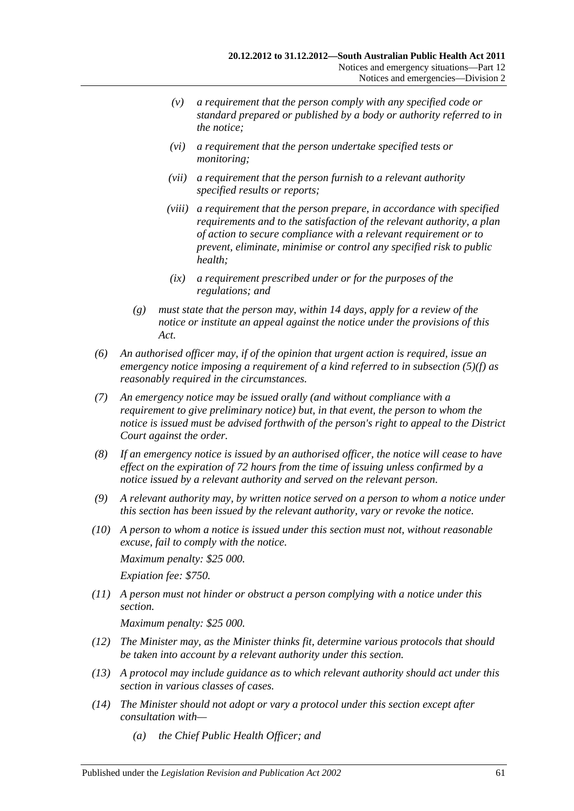- *(v) a requirement that the person comply with any specified code or standard prepared or published by a body or authority referred to in the notice;*
- *(vi) a requirement that the person undertake specified tests or monitoring;*
- *(vii) a requirement that the person furnish to a relevant authority specified results or reports;*
- *(viii) a requirement that the person prepare, in accordance with specified requirements and to the satisfaction of the relevant authority, a plan of action to secure compliance with a relevant requirement or to prevent, eliminate, minimise or control any specified risk to public health;*
- *(ix) a requirement prescribed under or for the purposes of the regulations; and*
- *(g) must state that the person may, within 14 days, apply for a review of the notice or institute an appeal against the notice under the provisions of this Act.*
- <span id="page-60-0"></span>*(6) An authorised officer may, if of the opinion that urgent action is required, issue an emergency notice imposing a requirement of a kind referred to in [subsection](#page-59-3) (5)(f) as reasonably required in the circumstances.*
- *(7) An emergency notice may be issued orally (and without compliance with a requirement to give preliminary notice) but, in that event, the person to whom the notice is issued must be advised forthwith of the person's right to appeal to the District Court against the order.*
- *(8) If an emergency notice is issued by an authorised officer, the notice will cease to have effect on the expiration of 72 hours from the time of issuing unless confirmed by a notice issued by a relevant authority and served on the relevant person.*
- *(9) A relevant authority may, by written notice served on a person to whom a notice under this section has been issued by the relevant authority, vary or revoke the notice.*
- *(10) A person to whom a notice is issued under this section must not, without reasonable excuse, fail to comply with the notice.*

*Maximum penalty: \$25 000. Expiation fee: \$750.*

*(11) A person must not hinder or obstruct a person complying with a notice under this section.*

*Maximum penalty: \$25 000.*

- *(12) The Minister may, as the Minister thinks fit, determine various protocols that should be taken into account by a relevant authority under this section.*
- *(13) A protocol may include guidance as to which relevant authority should act under this section in various classes of cases.*
- *(14) The Minister should not adopt or vary a protocol under this section except after consultation with—*
	- *(a) the Chief Public Health Officer; and*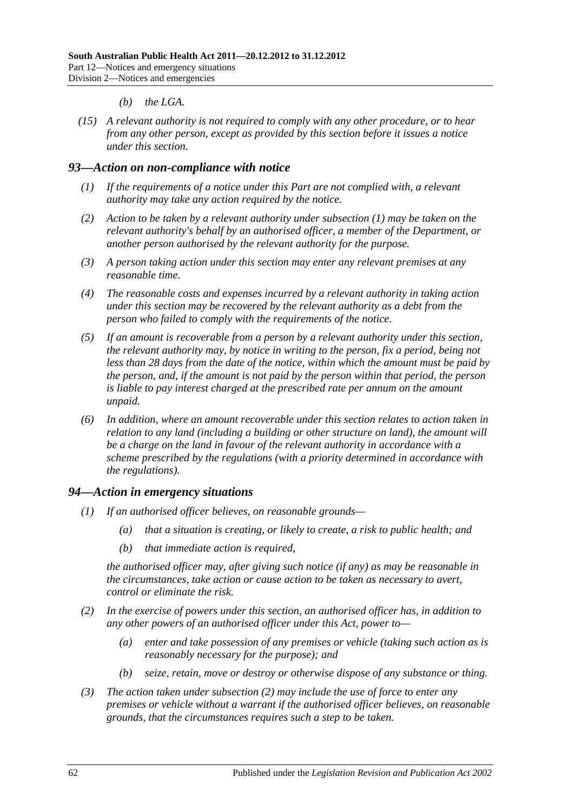#### *(b) the LGA.*

*(15) A relevant authority is not required to comply with any other procedure, or to hear from any other person, except as provided by this section before it issues a notice under this section.*

#### <span id="page-61-0"></span>*93—Action on non-compliance with notice*

- *(1) If the requirements of a notice under this Part are not complied with, a relevant authority may take any action required by the notice.*
- *(2) Action to be taken by a relevant authority under [subsection](#page-61-0) (1) may be taken on the relevant authority's behalf by an authorised officer, a member of the Department, or another person authorised by the relevant authority for the purpose.*
- *(3) A person taking action under this section may enter any relevant premises at any reasonable time.*
- *(4) The reasonable costs and expenses incurred by a relevant authority in taking action under this section may be recovered by the relevant authority as a debt from the person who failed to comply with the requirements of the notice.*
- *(5) If an amount is recoverable from a person by a relevant authority under this section, the relevant authority may, by notice in writing to the person, fix a period, being not less than 28 days from the date of the notice, within which the amount must be paid by the person, and, if the amount is not paid by the person within that period, the person is liable to pay interest charged at the prescribed rate per annum on the amount unpaid.*
- *(6) In addition, where an amount recoverable under this section relates to action taken in relation to any land (including a building or other structure on land), the amount will be a charge on the land in favour of the relevant authority in accordance with a scheme prescribed by the regulations (with a priority determined in accordance with the regulations).*

#### *94—Action in emergency situations*

- *(1) If an authorised officer believes, on reasonable grounds—*
	- *(a) that a situation is creating, or likely to create, a risk to public health; and*
	- *(b) that immediate action is required,*

*the authorised officer may, after giving such notice (if any) as may be reasonable in the circumstances, take action or cause action to be taken as necessary to avert, control or eliminate the risk.*

- <span id="page-61-1"></span>*(2) In the exercise of powers under this section, an authorised officer has, in addition to any other powers of an authorised officer under this Act, power to—*
	- *(a) enter and take possession of any premises or vehicle (taking such action as is reasonably necessary for the purpose); and*
	- *(b) seize, retain, move or destroy or otherwise dispose of any substance or thing.*
- *(3) The action taken under [subsection](#page-61-1) (2) may include the use of force to enter any premises or vehicle without a warrant if the authorised officer believes, on reasonable grounds, that the circumstances requires such a step to be taken.*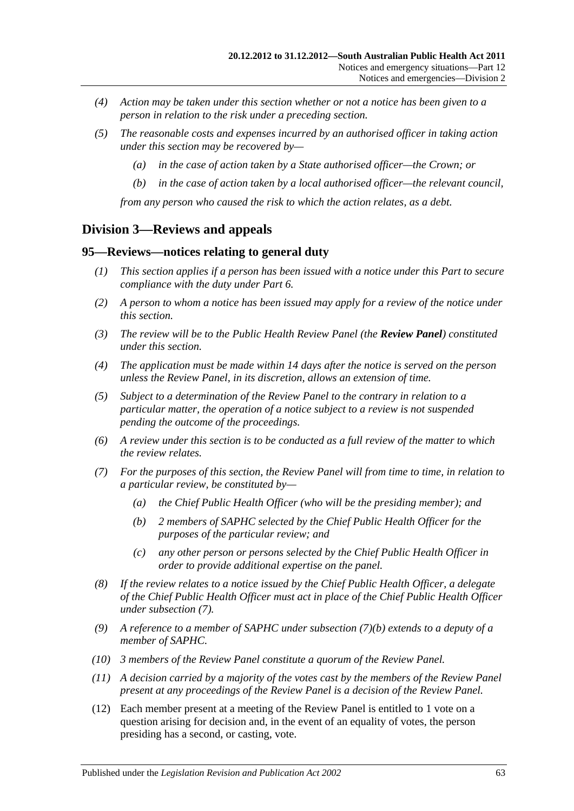- *(4) Action may be taken under this section whether or not a notice has been given to a person in relation to the risk under a preceding section.*
- *(5) The reasonable costs and expenses incurred by an authorised officer in taking action under this section may be recovered by—*
	- *(a) in the case of action taken by a State authorised officer—the Crown; or*
	- *(b) in the case of action taken by a local authorised officer—the relevant council,*

*from any person who caused the risk to which the action relates, as a debt.*

## **Division 3—Reviews and appeals**

#### **95—Reviews—notices relating to general duty**

- *(1) This section applies if a person has been issued with a notice under this Part to secure compliance with the duty under [Part](#page-33-0) 6.*
- *(2) A person to whom a notice has been issued may apply for a review of the notice under this section.*
- *(3) The review will be to the Public Health Review Panel (the Review Panel) constituted under this section.*
- *(4) The application must be made within 14 days after the notice is served on the person unless the Review Panel, in its discretion, allows an extension of time.*
- *(5) Subject to a determination of the Review Panel to the contrary in relation to a particular matter, the operation of a notice subject to a review is not suspended pending the outcome of the proceedings.*
- *(6) A review under this section is to be conducted as a full review of the matter to which the review relates.*
- <span id="page-62-1"></span><span id="page-62-0"></span>*(7) For the purposes of this section, the Review Panel will from time to time, in relation to a particular review, be constituted by—*
	- *(a) the Chief Public Health Officer (who will be the presiding member); and*
	- *(b) 2 members of SAPHC selected by the Chief Public Health Officer for the purposes of the particular review; and*
	- *(c) any other person or persons selected by the Chief Public Health Officer in order to provide additional expertise on the panel.*
- *(8) If the review relates to a notice issued by the Chief Public Health Officer, a delegate of the Chief Public Health Officer must act in place of the Chief Public Health Officer under [subsection](#page-62-0) (7).*
- *(9) A reference to a member of SAPHC under [subsection](#page-62-1) (7)(b) extends to a deputy of a member of SAPHC.*
- *(10) 3 members of the Review Panel constitute a quorum of the Review Panel.*
- *(11) A decision carried by a majority of the votes cast by the members of the Review Panel present at any proceedings of the Review Panel is a decision of the Review Panel.*
- (12) Each member present at a meeting of the Review Panel is entitled to 1 vote on a question arising for decision and, in the event of an equality of votes, the person presiding has a second, or casting, vote.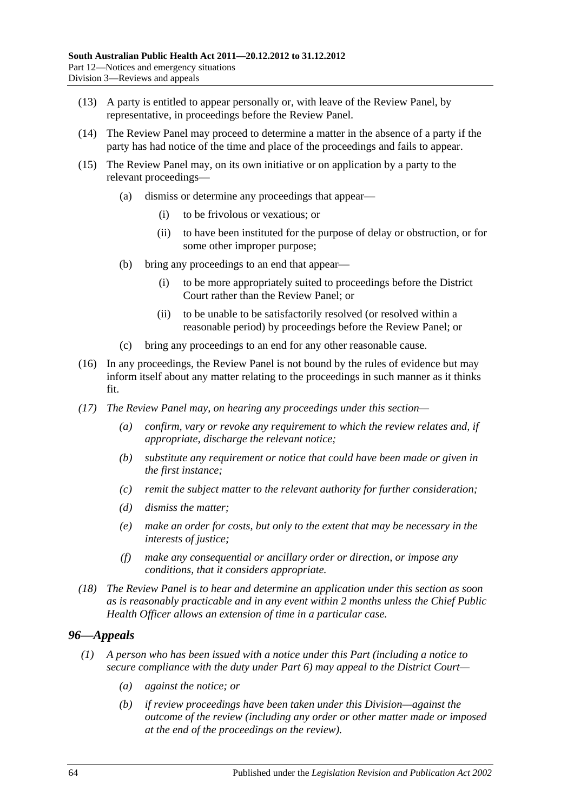- (13) A party is entitled to appear personally or, with leave of the Review Panel, by representative, in proceedings before the Review Panel.
- (14) The Review Panel may proceed to determine a matter in the absence of a party if the party has had notice of the time and place of the proceedings and fails to appear.
- (15) The Review Panel may, on its own initiative or on application by a party to the relevant proceedings—
	- (a) dismiss or determine any proceedings that appear—
		- (i) to be frivolous or vexatious; or
		- (ii) to have been instituted for the purpose of delay or obstruction, or for some other improper purpose;
	- (b) bring any proceedings to an end that appear—
		- (i) to be more appropriately suited to proceedings before the District Court rather than the Review Panel; or
		- (ii) to be unable to be satisfactorily resolved (or resolved within a reasonable period) by proceedings before the Review Panel; or
	- (c) bring any proceedings to an end for any other reasonable cause.
- (16) In any proceedings, the Review Panel is not bound by the rules of evidence but may inform itself about any matter relating to the proceedings in such manner as it thinks fit.
- *(17) The Review Panel may, on hearing any proceedings under this section—*
	- *(a) confirm, vary or revoke any requirement to which the review relates and, if appropriate, discharge the relevant notice;*
	- *(b) substitute any requirement or notice that could have been made or given in the first instance;*
	- *(c) remit the subject matter to the relevant authority for further consideration;*
	- *(d) dismiss the matter;*
	- *(e) make an order for costs, but only to the extent that may be necessary in the interests of justice;*
	- *(f) make any consequential or ancillary order or direction, or impose any conditions, that it considers appropriate.*
- *(18) The Review Panel is to hear and determine an application under this section as soon as is reasonably practicable and in any event within 2 months unless the Chief Public Health Officer allows an extension of time in a particular case.*

## *96—Appeals*

- <span id="page-63-1"></span><span id="page-63-0"></span>*(1) A person who has been issued with a notice under this Part (including a notice to secure compliance with the duty under [Part](#page-33-0) 6) may appeal to the District Court—*
	- *(a) against the notice; or*
	- *(b) if review proceedings have been taken under this Division—against the outcome of the review (including any order or other matter made or imposed at the end of the proceedings on the review).*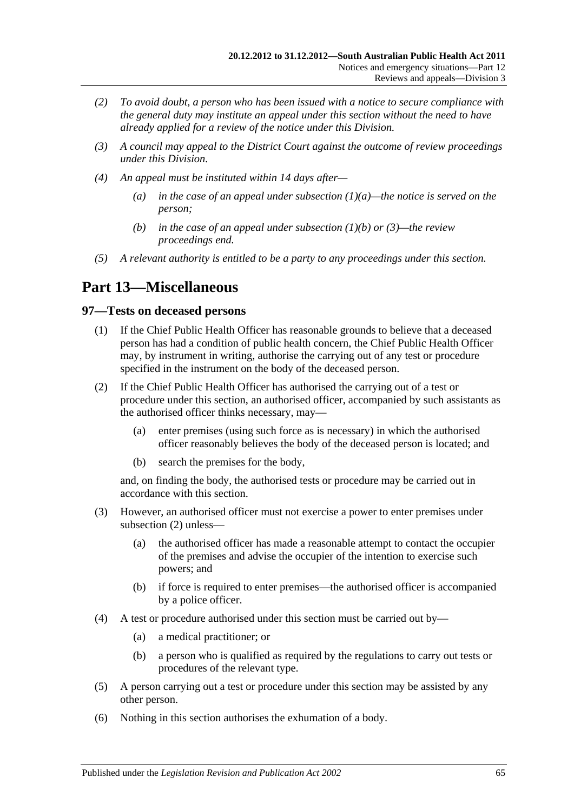- *(2) To avoid doubt, a person who has been issued with a notice to secure compliance with the general duty may institute an appeal under this section without the need to have already applied for a review of the notice under this Division.*
- <span id="page-64-0"></span>*(3) A council may appeal to the District Court against the outcome of review proceedings under this Division.*
- *(4) An appeal must be instituted within 14 days after—*
	- *(a) in the case of an appeal under [subsection](#page-63-0) (1)(a)—the notice is served on the person;*
	- *(b) in the case of an appeal under [subsection](#page-63-1) (1)(b) or [\(3\)—](#page-64-0)the review proceedings end.*
- *(5) A relevant authority is entitled to be a party to any proceedings under this section.*

# **Part 13—Miscellaneous**

#### **97—Tests on deceased persons**

- (1) If the Chief Public Health Officer has reasonable grounds to believe that a deceased person has had a condition of public health concern, the Chief Public Health Officer may, by instrument in writing, authorise the carrying out of any test or procedure specified in the instrument on the body of the deceased person.
- <span id="page-64-1"></span>(2) If the Chief Public Health Officer has authorised the carrying out of a test or procedure under this section, an authorised officer, accompanied by such assistants as the authorised officer thinks necessary, may—
	- (a) enter premises (using such force as is necessary) in which the authorised officer reasonably believes the body of the deceased person is located; and
	- (b) search the premises for the body,

and, on finding the body, the authorised tests or procedure may be carried out in accordance with this section.

- (3) However, an authorised officer must not exercise a power to enter premises under [subsection](#page-64-1) (2) unless—
	- (a) the authorised officer has made a reasonable attempt to contact the occupier of the premises and advise the occupier of the intention to exercise such powers; and
	- (b) if force is required to enter premises—the authorised officer is accompanied by a police officer.
- (4) A test or procedure authorised under this section must be carried out by—
	- (a) a medical practitioner; or
	- (b) a person who is qualified as required by the regulations to carry out tests or procedures of the relevant type.
- (5) A person carrying out a test or procedure under this section may be assisted by any other person.
- (6) Nothing in this section authorises the exhumation of a body.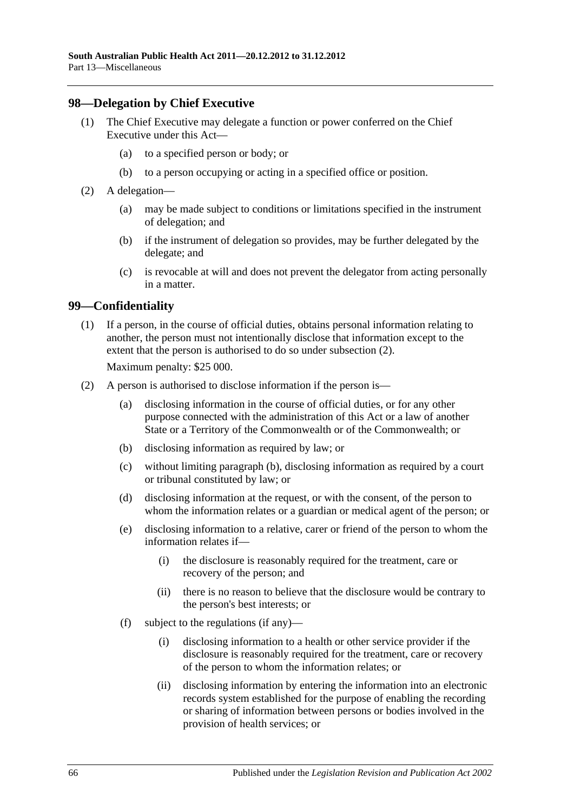#### **98—Delegation by Chief Executive**

- (1) The Chief Executive may delegate a function or power conferred on the Chief Executive under this Act—
	- (a) to a specified person or body; or
	- (b) to a person occupying or acting in a specified office or position.
- (2) A delegation—
	- (a) may be made subject to conditions or limitations specified in the instrument of delegation; and
	- (b) if the instrument of delegation so provides, may be further delegated by the delegate; and
	- (c) is revocable at will and does not prevent the delegator from acting personally in a matter.

#### **99—Confidentiality**

(1) If a person, in the course of official duties, obtains personal information relating to another, the person must not intentionally disclose that information except to the extent that the person is authorised to do so under [subsection](#page-65-0) (2).

Maximum penalty: \$25 000.

- <span id="page-65-2"></span><span id="page-65-1"></span><span id="page-65-0"></span>(2) A person is authorised to disclose information if the person is—
	- (a) disclosing information in the course of official duties, or for any other purpose connected with the administration of this Act or a law of another State or a Territory of the Commonwealth or of the Commonwealth; or
	- (b) disclosing information as required by law; or
	- (c) without limiting [paragraph](#page-65-1) (b), disclosing information as required by a court or tribunal constituted by law; or
	- (d) disclosing information at the request, or with the consent, of the person to whom the information relates or a guardian or medical agent of the person; or
	- (e) disclosing information to a relative, carer or friend of the person to whom the information relates if—
		- (i) the disclosure is reasonably required for the treatment, care or recovery of the person; and
		- (ii) there is no reason to believe that the disclosure would be contrary to the person's best interests; or
	- (f) subject to the regulations (if any)—
		- (i) disclosing information to a health or other service provider if the disclosure is reasonably required for the treatment, care or recovery of the person to whom the information relates; or
		- (ii) disclosing information by entering the information into an electronic records system established for the purpose of enabling the recording or sharing of information between persons or bodies involved in the provision of health services; or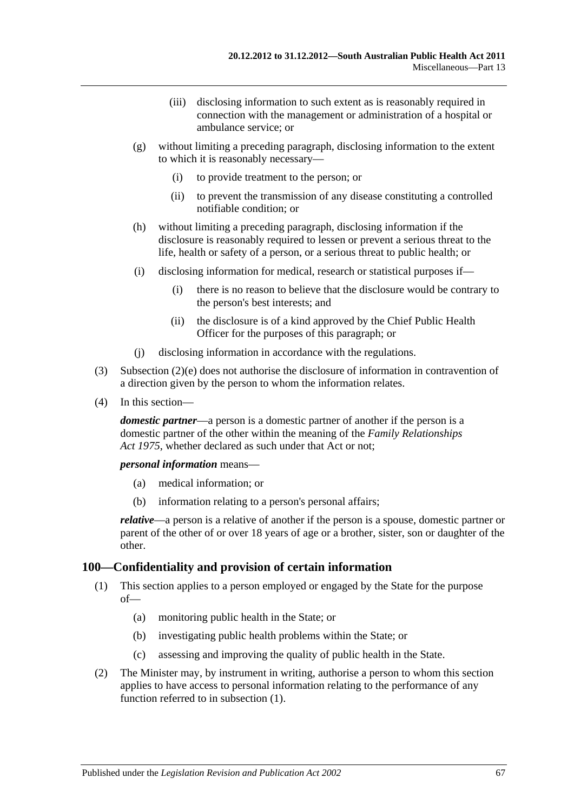- (iii) disclosing information to such extent as is reasonably required in connection with the management or administration of a hospital or ambulance service; or
- (g) without limiting a preceding paragraph, disclosing information to the extent to which it is reasonably necessary—
	- (i) to provide treatment to the person; or
	- (ii) to prevent the transmission of any disease constituting a controlled notifiable condition; or
- (h) without limiting a preceding paragraph, disclosing information if the disclosure is reasonably required to lessen or prevent a serious threat to the life, health or safety of a person, or a serious threat to public health; or
- (i) disclosing information for medical, research or statistical purposes if—
	- (i) there is no reason to believe that the disclosure would be contrary to the person's best interests; and
	- (ii) the disclosure is of a kind approved by the Chief Public Health Officer for the purposes of this paragraph; or
- (j) disclosing information in accordance with the regulations.
- (3) [Subsection](#page-65-2) (2)(e) does not authorise the disclosure of information in contravention of a direction given by the person to whom the information relates.
- (4) In this section—

*domestic partner*—a person is a domestic partner of another if the person is a domestic partner of the other within the meaning of the *[Family Relationships](http://www.legislation.sa.gov.au/index.aspx?action=legref&type=act&legtitle=Family%20Relationships%20Act%201975)  Act [1975](http://www.legislation.sa.gov.au/index.aspx?action=legref&type=act&legtitle=Family%20Relationships%20Act%201975)*, whether declared as such under that Act or not;

*personal information* means—

- (a) medical information; or
- (b) information relating to a person's personal affairs;

*relative*—a person is a relative of another if the person is a spouse, domestic partner or parent of the other of or over 18 years of age or a brother, sister, son or daughter of the other.

#### <span id="page-66-0"></span>**100—Confidentiality and provision of certain information**

- (1) This section applies to a person employed or engaged by the State for the purpose of—
	- (a) monitoring public health in the State; or
	- (b) investigating public health problems within the State; or
	- (c) assessing and improving the quality of public health in the State.
- <span id="page-66-1"></span>(2) The Minister may, by instrument in writing, authorise a person to whom this section applies to have access to personal information relating to the performance of any function referred to in [subsection](#page-66-0) (1).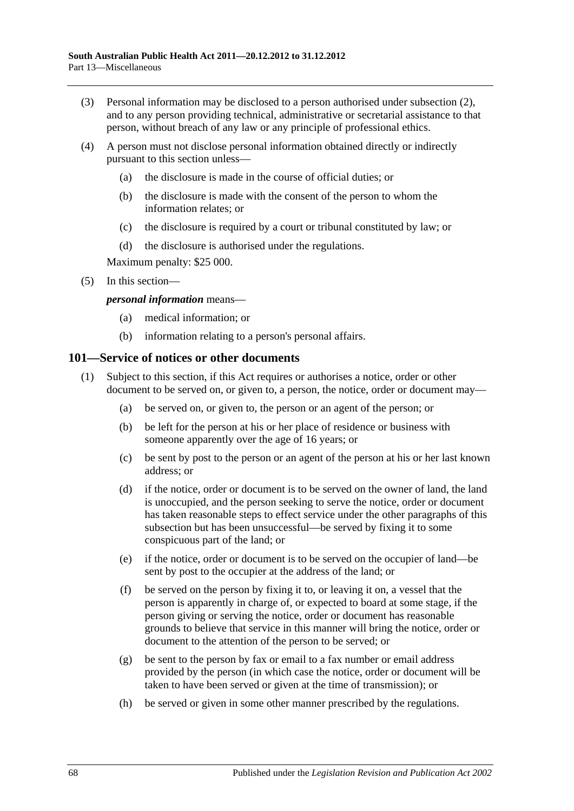- (3) Personal information may be disclosed to a person authorised under [subsection](#page-66-1) (2), and to any person providing technical, administrative or secretarial assistance to that person, without breach of any law or any principle of professional ethics.
- (4) A person must not disclose personal information obtained directly or indirectly pursuant to this section unless—
	- (a) the disclosure is made in the course of official duties; or
	- (b) the disclosure is made with the consent of the person to whom the information relates; or
	- (c) the disclosure is required by a court or tribunal constituted by law; or
	- (d) the disclosure is authorised under the regulations.

Maximum penalty: \$25 000.

(5) In this section—

#### *personal information* means—

- (a) medical information; or
- (b) information relating to a person's personal affairs.

#### <span id="page-67-0"></span>**101—Service of notices or other documents**

- (1) Subject to this section, if this Act requires or authorises a notice, order or other document to be served on, or given to, a person, the notice, order or document may—
	- (a) be served on, or given to, the person or an agent of the person; or
	- (b) be left for the person at his or her place of residence or business with someone apparently over the age of 16 years; or
	- (c) be sent by post to the person or an agent of the person at his or her last known address; or
	- (d) if the notice, order or document is to be served on the owner of land, the land is unoccupied, and the person seeking to serve the notice, order or document has taken reasonable steps to effect service under the other paragraphs of this subsection but has been unsuccessful—be served by fixing it to some conspicuous part of the land; or
	- (e) if the notice, order or document is to be served on the occupier of land—be sent by post to the occupier at the address of the land; or
	- (f) be served on the person by fixing it to, or leaving it on, a vessel that the person is apparently in charge of, or expected to board at some stage, if the person giving or serving the notice, order or document has reasonable grounds to believe that service in this manner will bring the notice, order or document to the attention of the person to be served; or
	- (g) be sent to the person by fax or email to a fax number or email address provided by the person (in which case the notice, order or document will be taken to have been served or given at the time of transmission); or
	- (h) be served or given in some other manner prescribed by the regulations.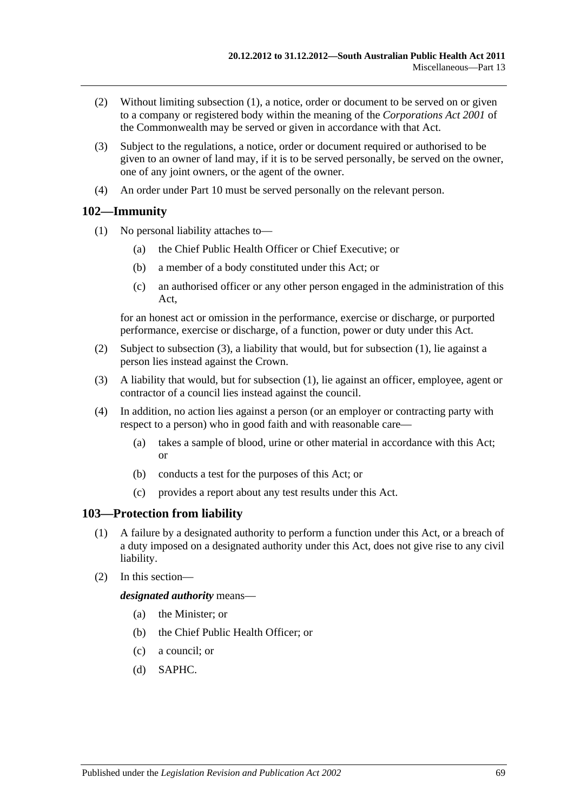- (2) Without limiting [subsection](#page-67-0) (1), a notice, order or document to be served on or given to a company or registered body within the meaning of the *Corporations Act 2001* of the Commonwealth may be served or given in accordance with that Act.
- (3) Subject to the regulations, a notice, order or document required or authorised to be given to an owner of land may, if it is to be served personally, be served on the owner, one of any joint owners, or the agent of the owner.
- (4) An order under [Part](#page-41-3) 10 must be served personally on the relevant person.

## <span id="page-68-1"></span>**102—Immunity**

- (1) No personal liability attaches to—
	- (a) the Chief Public Health Officer or Chief Executive; or
	- (b) a member of a body constituted under this Act; or
	- (c) an authorised officer or any other person engaged in the administration of this Act,

for an honest act or omission in the performance, exercise or discharge, or purported performance, exercise or discharge, of a function, power or duty under this Act.

- (2) Subject to [subsection](#page-68-0) (3), a liability that would, but for [subsection](#page-68-1) (1), lie against a person lies instead against the Crown.
- <span id="page-68-0"></span>(3) A liability that would, but for [subsection](#page-68-1) (1), lie against an officer, employee, agent or contractor of a council lies instead against the council.
- (4) In addition, no action lies against a person (or an employer or contracting party with respect to a person) who in good faith and with reasonable care—
	- (a) takes a sample of blood, urine or other material in accordance with this Act; or
	- (b) conducts a test for the purposes of this Act; or
	- (c) provides a report about any test results under this Act.

## **103—Protection from liability**

- (1) A failure by a designated authority to perform a function under this Act, or a breach of a duty imposed on a designated authority under this Act, does not give rise to any civil liability.
- (2) In this section—

*designated authority* means—

- (a) the Minister; or
- (b) the Chief Public Health Officer; or
- (c) a council; or
- (d) SAPHC.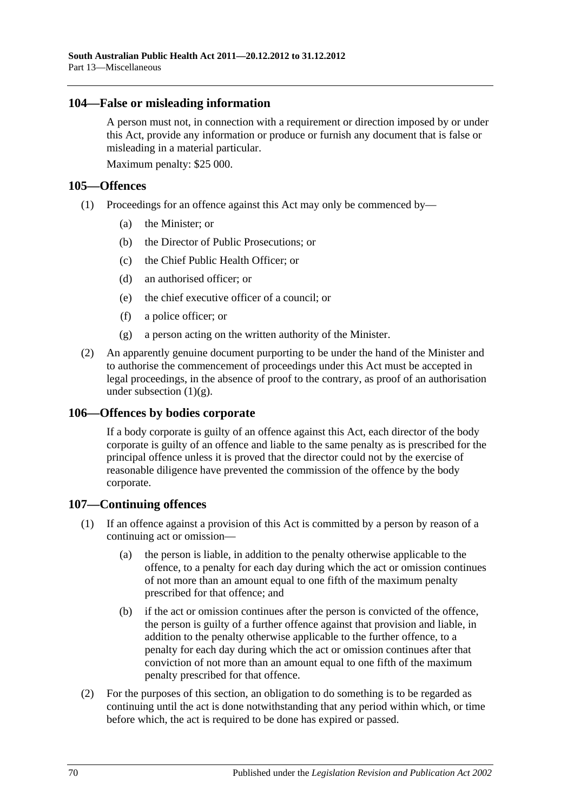#### **104—False or misleading information**

A person must not, in connection with a requirement or direction imposed by or under this Act, provide any information or produce or furnish any document that is false or misleading in a material particular.

Maximum penalty: \$25 000.

## **105—Offences**

- (1) Proceedings for an offence against this Act may only be commenced by—
	- (a) the Minister; or
	- (b) the Director of Public Prosecutions; or
	- (c) the Chief Public Health Officer; or
	- (d) an authorised officer; or
	- (e) the chief executive officer of a council; or
	- (f) a police officer; or
	- (g) a person acting on the written authority of the Minister.
- <span id="page-69-0"></span>(2) An apparently genuine document purporting to be under the hand of the Minister and to authorise the commencement of proceedings under this Act must be accepted in legal proceedings, in the absence of proof to the contrary, as proof of an authorisation under [subsection](#page-69-0)  $(1)(g)$ .

## **106—Offences by bodies corporate**

If a body corporate is guilty of an offence against this Act, each director of the body corporate is guilty of an offence and liable to the same penalty as is prescribed for the principal offence unless it is proved that the director could not by the exercise of reasonable diligence have prevented the commission of the offence by the body corporate.

## **107—Continuing offences**

- (1) If an offence against a provision of this Act is committed by a person by reason of a continuing act or omission—
	- (a) the person is liable, in addition to the penalty otherwise applicable to the offence, to a penalty for each day during which the act or omission continues of not more than an amount equal to one fifth of the maximum penalty prescribed for that offence; and
	- (b) if the act or omission continues after the person is convicted of the offence, the person is guilty of a further offence against that provision and liable, in addition to the penalty otherwise applicable to the further offence, to a penalty for each day during which the act or omission continues after that conviction of not more than an amount equal to one fifth of the maximum penalty prescribed for that offence.
- (2) For the purposes of this section, an obligation to do something is to be regarded as continuing until the act is done notwithstanding that any period within which, or time before which, the act is required to be done has expired or passed.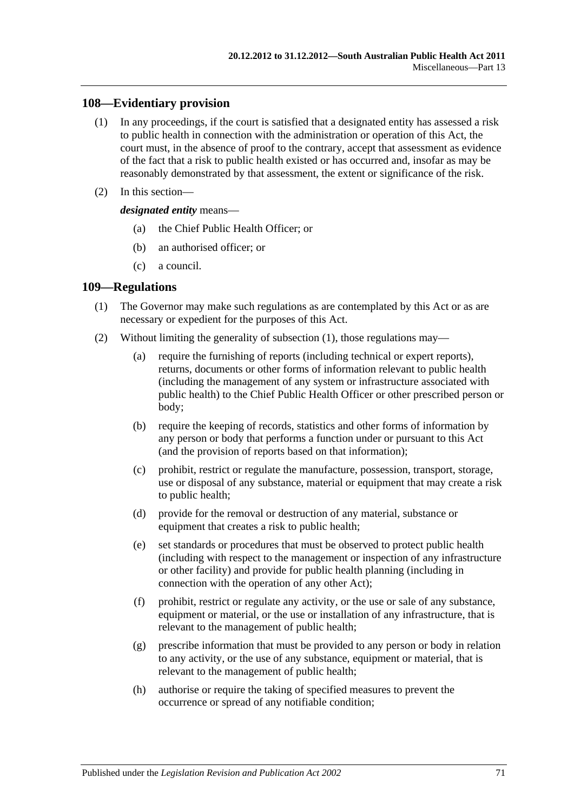## **108—Evidentiary provision**

- (1) In any proceedings, if the court is satisfied that a designated entity has assessed a risk to public health in connection with the administration or operation of this Act, the court must, in the absence of proof to the contrary, accept that assessment as evidence of the fact that a risk to public health existed or has occurred and, insofar as may be reasonably demonstrated by that assessment, the extent or significance of the risk.
- (2) In this section—

*designated entity* means—

- (a) the Chief Public Health Officer; or
- (b) an authorised officer; or
- (c) a council.

#### <span id="page-70-0"></span>**109—Regulations**

- (1) The Governor may make such regulations as are contemplated by this Act or as are necessary or expedient for the purposes of this Act.
- (2) Without limiting the generality of [subsection](#page-70-0) (1), those regulations may—
	- (a) require the furnishing of reports (including technical or expert reports), returns, documents or other forms of information relevant to public health (including the management of any system or infrastructure associated with public health) to the Chief Public Health Officer or other prescribed person or body;
	- (b) require the keeping of records, statistics and other forms of information by any person or body that performs a function under or pursuant to this Act (and the provision of reports based on that information);
	- (c) prohibit, restrict or regulate the manufacture, possession, transport, storage, use or disposal of any substance, material or equipment that may create a risk to public health;
	- (d) provide for the removal or destruction of any material, substance or equipment that creates a risk to public health;
	- (e) set standards or procedures that must be observed to protect public health (including with respect to the management or inspection of any infrastructure or other facility) and provide for public health planning (including in connection with the operation of any other Act);
	- (f) prohibit, restrict or regulate any activity, or the use or sale of any substance, equipment or material, or the use or installation of any infrastructure, that is relevant to the management of public health;
	- (g) prescribe information that must be provided to any person or body in relation to any activity, or the use of any substance, equipment or material, that is relevant to the management of public health;
	- (h) authorise or require the taking of specified measures to prevent the occurrence or spread of any notifiable condition;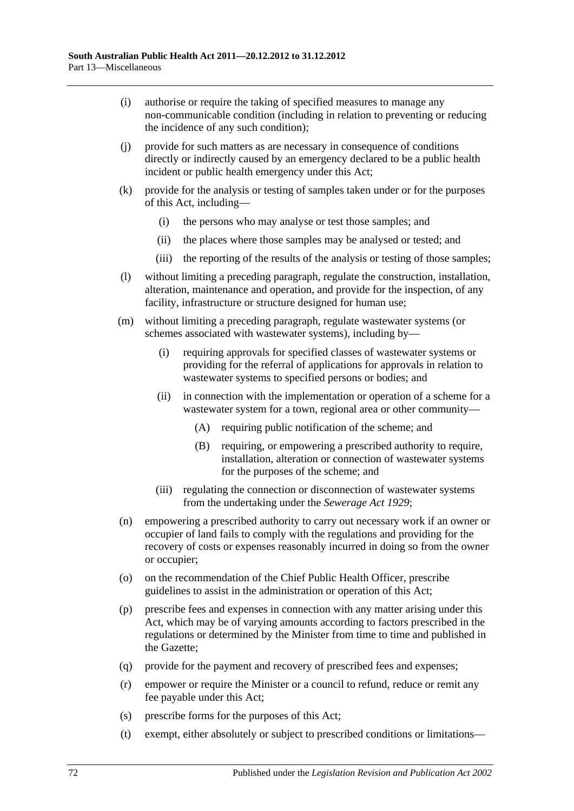- (i) authorise or require the taking of specified measures to manage any non-communicable condition (including in relation to preventing or reducing the incidence of any such condition);
- (j) provide for such matters as are necessary in consequence of conditions directly or indirectly caused by an emergency declared to be a public health incident or public health emergency under this Act;
- (k) provide for the analysis or testing of samples taken under or for the purposes of this Act, including—
	- (i) the persons who may analyse or test those samples; and
	- (ii) the places where those samples may be analysed or tested; and
	- (iii) the reporting of the results of the analysis or testing of those samples;
- (l) without limiting a preceding paragraph, regulate the construction, installation, alteration, maintenance and operation, and provide for the inspection, of any facility, infrastructure or structure designed for human use;
- (m) without limiting a preceding paragraph, regulate wastewater systems (or schemes associated with wastewater systems), including by—
	- (i) requiring approvals for specified classes of wastewater systems or providing for the referral of applications for approvals in relation to wastewater systems to specified persons or bodies; and
	- (ii) in connection with the implementation or operation of a scheme for a wastewater system for a town, regional area or other community—
		- (A) requiring public notification of the scheme; and
		- (B) requiring, or empowering a prescribed authority to require, installation, alteration or connection of wastewater systems for the purposes of the scheme; and
	- (iii) regulating the connection or disconnection of wastewater systems from the undertaking under the *[Sewerage Act](http://www.legislation.sa.gov.au/index.aspx?action=legref&type=act&legtitle=Sewerage%20Act%201929) 1929*;
- (n) empowering a prescribed authority to carry out necessary work if an owner or occupier of land fails to comply with the regulations and providing for the recovery of costs or expenses reasonably incurred in doing so from the owner or occupier;
- (o) on the recommendation of the Chief Public Health Officer, prescribe guidelines to assist in the administration or operation of this Act;
- (p) prescribe fees and expenses in connection with any matter arising under this Act, which may be of varying amounts according to factors prescribed in the regulations or determined by the Minister from time to time and published in the Gazette;
- (q) provide for the payment and recovery of prescribed fees and expenses;
- (r) empower or require the Minister or a council to refund, reduce or remit any fee payable under this Act;
- (s) prescribe forms for the purposes of this Act;
- (t) exempt, either absolutely or subject to prescribed conditions or limitations—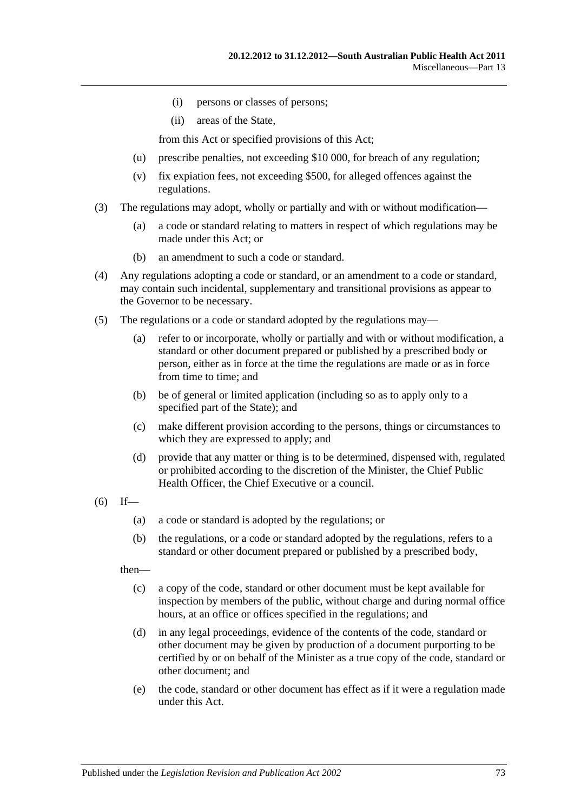- (i) persons or classes of persons;
- (ii) areas of the State,

from this Act or specified provisions of this Act;

- (u) prescribe penalties, not exceeding \$10 000, for breach of any regulation;
- (v) fix expiation fees, not exceeding \$500, for alleged offences against the regulations.
- (3) The regulations may adopt, wholly or partially and with or without modification—
	- (a) a code or standard relating to matters in respect of which regulations may be made under this Act; or
	- (b) an amendment to such a code or standard.
- (4) Any regulations adopting a code or standard, or an amendment to a code or standard, may contain such incidental, supplementary and transitional provisions as appear to the Governor to be necessary.
- (5) The regulations or a code or standard adopted by the regulations may—
	- (a) refer to or incorporate, wholly or partially and with or without modification, a standard or other document prepared or published by a prescribed body or person, either as in force at the time the regulations are made or as in force from time to time; and
	- (b) be of general or limited application (including so as to apply only to a specified part of the State); and
	- (c) make different provision according to the persons, things or circumstances to which they are expressed to apply; and
	- (d) provide that any matter or thing is to be determined, dispensed with, regulated or prohibited according to the discretion of the Minister, the Chief Public Health Officer, the Chief Executive or a council.
- $(6)$  If—
	- (a) a code or standard is adopted by the regulations; or
	- (b) the regulations, or a code or standard adopted by the regulations, refers to a standard or other document prepared or published by a prescribed body,

then—

- (c) a copy of the code, standard or other document must be kept available for inspection by members of the public, without charge and during normal office hours, at an office or offices specified in the regulations; and
- (d) in any legal proceedings, evidence of the contents of the code, standard or other document may be given by production of a document purporting to be certified by or on behalf of the Minister as a true copy of the code, standard or other document; and
- (e) the code, standard or other document has effect as if it were a regulation made under this Act.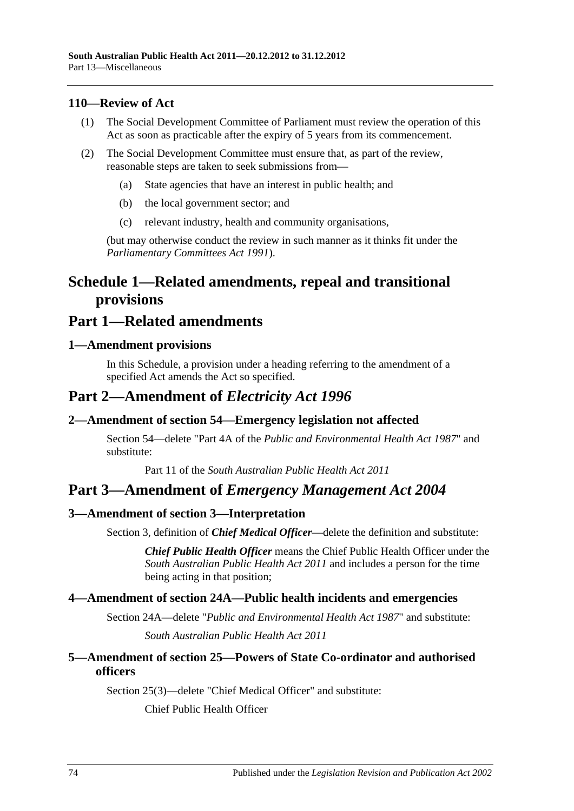#### **110—Review of Act**

- (1) The Social Development Committee of Parliament must review the operation of this Act as soon as practicable after the expiry of 5 years from its commencement.
- (2) The Social Development Committee must ensure that, as part of the review, reasonable steps are taken to seek submissions from—
	- (a) State agencies that have an interest in public health; and
	- (b) the local government sector; and
	- (c) relevant industry, health and community organisations,

(but may otherwise conduct the review in such manner as it thinks fit under the *[Parliamentary Committees Act](http://www.legislation.sa.gov.au/index.aspx?action=legref&type=act&legtitle=Parliamentary%20Committees%20Act%201991) 1991*).

## **Schedule 1—Related amendments, repeal and transitional provisions**

### **Part 1—Related amendments**

#### **1—Amendment provisions**

In this Schedule, a provision under a heading referring to the amendment of a specified Act amends the Act so specified.

### **Part 2—Amendment of** *Electricity Act 1996*

#### **2—Amendment of section 54—Emergency legislation not affected**

Section 54—delete "Part 4A of the *[Public and Environmental Health Act](http://www.legislation.sa.gov.au/index.aspx?action=legref&type=act&legtitle=Public%20and%20Environmental%20Health%20Act%201987) 1987*" and substitute:

Part 11 of the *[South Australian Public Health Act](http://www.legislation.sa.gov.au/index.aspx?action=legref&type=act&legtitle=South%20Australian%20Public%20Health%20Act%202011) 2011*

### **Part 3—Amendment of** *Emergency Management Act 2004*

#### **3—Amendment of section 3—Interpretation**

Section 3, definition of *Chief Medical Officer*—delete the definition and substitute:

*Chief Public Health Officer* means the Chief Public Health Officer under the *[South Australian Public Health Act](http://www.legislation.sa.gov.au/index.aspx?action=legref&type=act&legtitle=South%20Australian%20Public%20Health%20Act%202011) 2011* and includes a person for the time being acting in that position;

#### **4—Amendment of section 24A—Public health incidents and emergencies**

Section 24A—delete "*[Public and Environmental Health Act](http://www.legislation.sa.gov.au/index.aspx?action=legref&type=act&legtitle=Public%20and%20Environmental%20Health%20Act%201987) 1987*" and substitute: *[South Australian Public Health Act](http://www.legislation.sa.gov.au/index.aspx?action=legref&type=act&legtitle=South%20Australian%20Public%20Health%20Act%202011) 2011*

#### **5—Amendment of section 25—Powers of State Co-ordinator and authorised officers**

Section 25(3)—delete "Chief Medical Officer" and substitute:

Chief Public Health Officer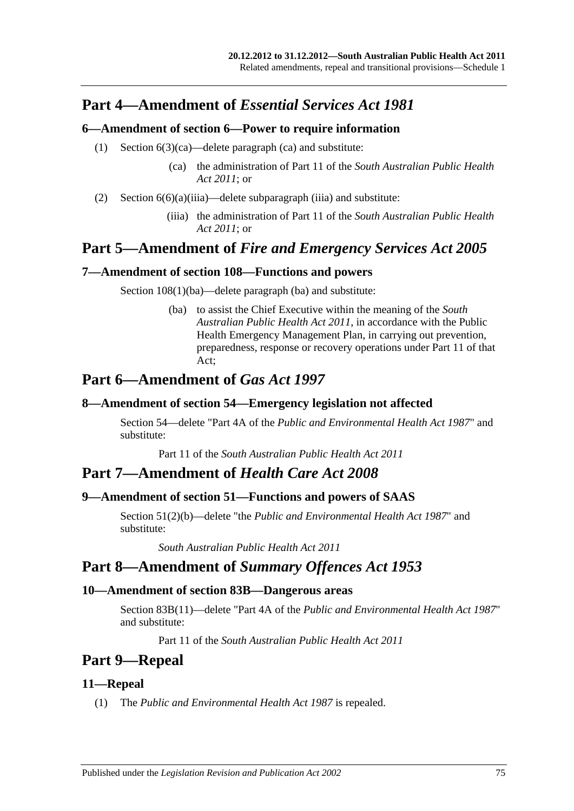## **Part 4—Amendment of** *Essential Services Act 1981*

#### **6—Amendment of section 6—Power to require information**

- (1) Section 6(3)(ca)—delete paragraph (ca) and substitute:
	- (ca) the administration of Part 11 of the *[South Australian Public Health](http://www.legislation.sa.gov.au/index.aspx?action=legref&type=act&legtitle=South%20Australian%20Public%20Health%20Act%202011)  Act [2011](http://www.legislation.sa.gov.au/index.aspx?action=legref&type=act&legtitle=South%20Australian%20Public%20Health%20Act%202011)*; or
- (2) Section  $6(6)(a)(iii)a$ —delete subparagraph (iiia) and substitute:
	- (iiia) the administration of Part 11 of the *[South Australian Public Health](http://www.legislation.sa.gov.au/index.aspx?action=legref&type=act&legtitle=South%20Australian%20Public%20Health%20Act%202011)  Act [2011](http://www.legislation.sa.gov.au/index.aspx?action=legref&type=act&legtitle=South%20Australian%20Public%20Health%20Act%202011)*; or

## **Part 5—Amendment of** *Fire and Emergency Services Act 2005*

### **7—Amendment of section 108—Functions and powers**

Section  $108(1)(ba)$ —delete paragraph (ba) and substitute:

(ba) to assist the Chief Executive within the meaning of the *[South](http://www.legislation.sa.gov.au/index.aspx?action=legref&type=act&legtitle=South%20Australian%20Public%20Health%20Act%202011)  [Australian Public Health Act](http://www.legislation.sa.gov.au/index.aspx?action=legref&type=act&legtitle=South%20Australian%20Public%20Health%20Act%202011) 2011*, in accordance with the Public Health Emergency Management Plan, in carrying out prevention, preparedness, response or recovery operations under Part 11 of that Act;

## **Part 6—Amendment of** *Gas Act 1997*

#### **8—Amendment of section 54—Emergency legislation not affected**

Section 54—delete "Part 4A of the *[Public and Environmental Health Act](http://www.legislation.sa.gov.au/index.aspx?action=legref&type=act&legtitle=Public%20and%20Environmental%20Health%20Act%201987) 1987*" and substitute:

Part 11 of the *[South Australian Public Health Act](http://www.legislation.sa.gov.au/index.aspx?action=legref&type=act&legtitle=South%20Australian%20Public%20Health%20Act%202011) 2011*

## **Part 7—Amendment of** *Health Care Act 2008*

### **9—Amendment of section 51—Functions and powers of SAAS**

Section 51(2)(b)—delete "the *[Public and Environmental Health Act](http://www.legislation.sa.gov.au/index.aspx?action=legref&type=act&legtitle=Public%20and%20Environmental%20Health%20Act%201987) 1987*" and substitute:

*[South Australian Public Health Act](http://www.legislation.sa.gov.au/index.aspx?action=legref&type=act&legtitle=South%20Australian%20Public%20Health%20Act%202011) 2011*

## **Part 8—Amendment of** *Summary Offences Act 1953*

#### **10—Amendment of section 83B—Dangerous areas**

Section 83B(11)—delete "Part 4A of the *[Public and Environmental Health Act](http://www.legislation.sa.gov.au/index.aspx?action=legref&type=act&legtitle=Public%20and%20Environmental%20Health%20Act%201987) 1987*" and substitute:

Part 11 of the *[South Australian Public Health Act](http://www.legislation.sa.gov.au/index.aspx?action=legref&type=act&legtitle=South%20Australian%20Public%20Health%20Act%202011) 2011*

## **Part 9—Repeal**

### **11—Repeal**

(1) The *[Public and Environmental Health Act](http://www.legislation.sa.gov.au/index.aspx?action=legref&type=act&legtitle=Public%20and%20Environmental%20Health%20Act%201987) 1987* is repealed.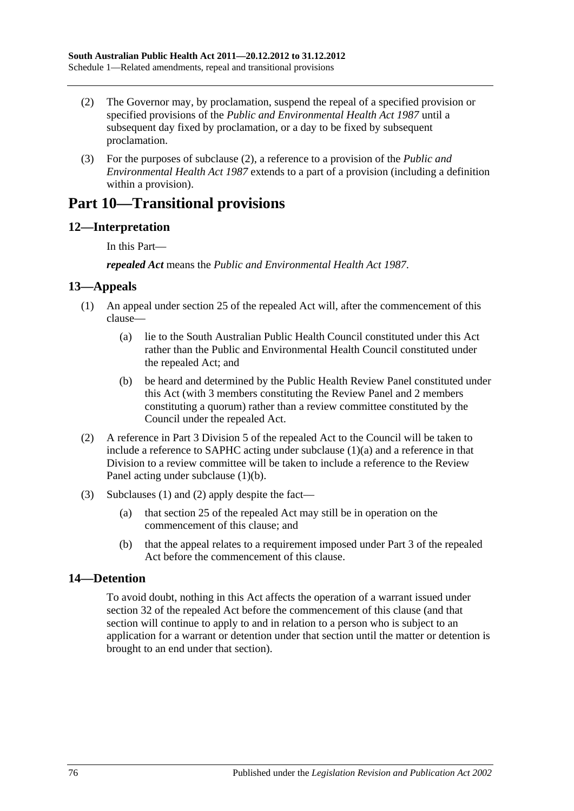- <span id="page-75-0"></span>(2) The Governor may, by proclamation, suspend the repeal of a specified provision or specified provisions of the *[Public and Environmental Health Act](http://www.legislation.sa.gov.au/index.aspx?action=legref&type=act&legtitle=Public%20and%20Environmental%20Health%20Act%201987) 1987* until a subsequent day fixed by proclamation, or a day to be fixed by subsequent proclamation.
- (3) For the purposes of [subclause](#page-75-0) (2), a reference to a provision of the *[Public and](http://www.legislation.sa.gov.au/index.aspx?action=legref&type=act&legtitle=Public%20and%20Environmental%20Health%20Act%201987)  [Environmental Health Act](http://www.legislation.sa.gov.au/index.aspx?action=legref&type=act&legtitle=Public%20and%20Environmental%20Health%20Act%201987) 1987* extends to a part of a provision (including a definition within a provision).

## **Part 10—Transitional provisions**

### **12—Interpretation**

In this Part—

*repealed Act* means the *[Public and Environmental Health Act](http://www.legislation.sa.gov.au/index.aspx?action=legref&type=act&legtitle=Public%20and%20Environmental%20Health%20Act%201987) 1987*.

#### <span id="page-75-3"></span>**13—Appeals**

- <span id="page-75-1"></span>(1) An appeal under section 25 of the repealed Act will, after the commencement of this clause—
	- (a) lie to the South Australian Public Health Council constituted under this Act rather than the Public and Environmental Health Council constituted under the repealed Act; and
	- (b) be heard and determined by the Public Health Review Panel constituted under this Act (with 3 members constituting the Review Panel and 2 members constituting a quorum) rather than a review committee constituted by the Council under the repealed Act.
- <span id="page-75-4"></span><span id="page-75-2"></span>(2) A reference in Part 3 Division 5 of the repealed Act to the Council will be taken to include a reference to SAPHC acting under [subclause](#page-75-1) (1)(a) and a reference in that Division to a review committee will be taken to include a reference to the Review Panel acting under [subclause](#page-75-2) (1)(b).
- (3) [Subclauses](#page-75-3) (1) and [\(2\)](#page-75-4) apply despite the fact—
	- (a) that section 25 of the repealed Act may still be in operation on the commencement of this clause; and
	- (b) that the appeal relates to a requirement imposed under Part 3 of the repealed Act before the commencement of this clause.

### **14—Detention**

To avoid doubt, nothing in this Act affects the operation of a warrant issued under section 32 of the repealed Act before the commencement of this clause (and that section will continue to apply to and in relation to a person who is subject to an application for a warrant or detention under that section until the matter or detention is brought to an end under that section).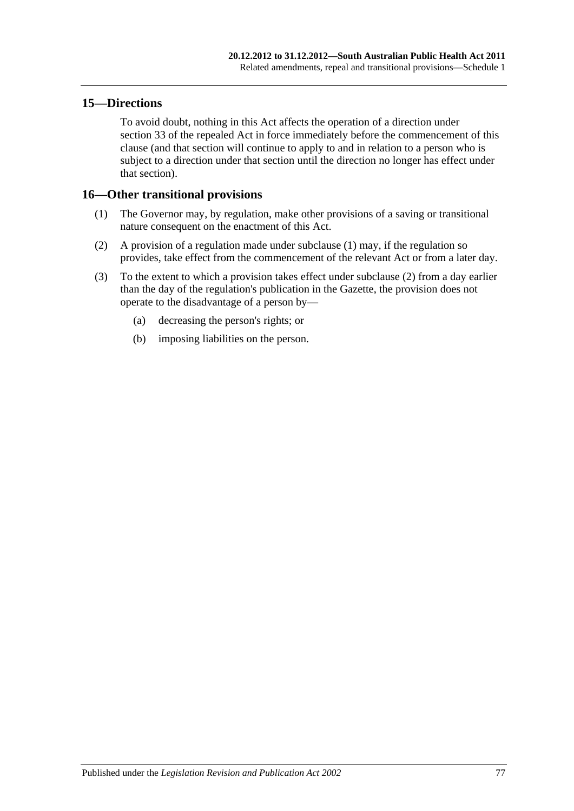#### **15—Directions**

To avoid doubt, nothing in this Act affects the operation of a direction under section 33 of the repealed Act in force immediately before the commencement of this clause (and that section will continue to apply to and in relation to a person who is subject to a direction under that section until the direction no longer has effect under that section).

#### <span id="page-76-0"></span>**16—Other transitional provisions**

- (1) The Governor may, by regulation, make other provisions of a saving or transitional nature consequent on the enactment of this Act.
- <span id="page-76-1"></span>(2) A provision of a regulation made under [subclause](#page-76-0) (1) may, if the regulation so provides, take effect from the commencement of the relevant Act or from a later day.
- (3) To the extent to which a provision takes effect under [subclause](#page-76-1) (2) from a day earlier than the day of the regulation's publication in the Gazette, the provision does not operate to the disadvantage of a person by—
	- (a) decreasing the person's rights; or
	- (b) imposing liabilities on the person.